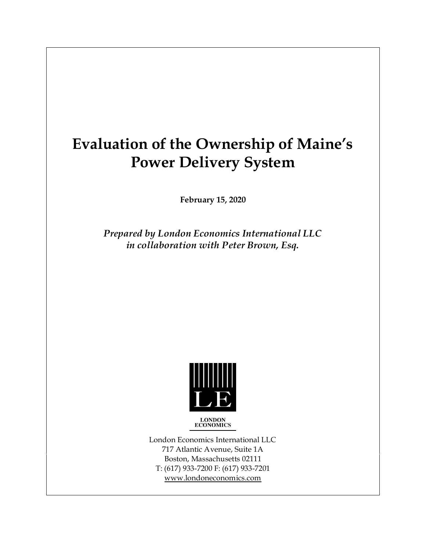# **Evaluation of the Ownership of Maine's Power Delivery System**

**February 15, 2020**

*Prepared by London Economics International LLC in collaboration with Peter Brown, Esq.* 



**LONDON**<br>**ECONOMICS** 

London Economics International LLC 717 Atlantic Avenue, Suite 1A Boston, Massachusetts 02111 T: (617) 933-7200 F: (617) 933-7201 www.londoneconomics.com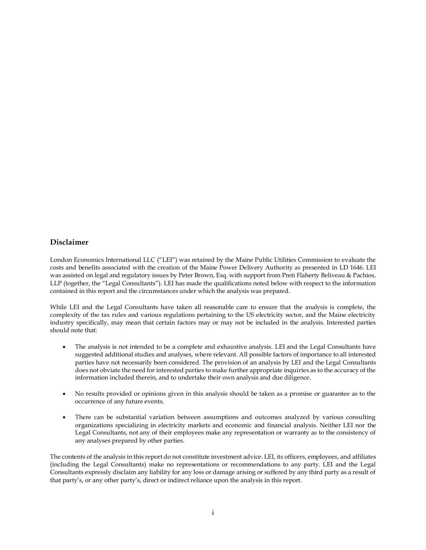#### **Disclaimer**

London Economics International LLC ("LEI") was retained by the Maine Public Utilities Commission to evaluate the costs and benefits associated with the creation of the Maine Power Delivery Authority as presented in LD 1646. LEI was assisted on legal and regulatory issues by Peter Brown, Esq. with support from Preti Flaherty Beliveau & Pachios, LLP (together, the "Legal Consultants"). LEI has made the qualifications noted below with respect to the information contained in this report and the circumstances under which the analysis was prepared.

While LEI and the Legal Consultants have taken all reasonable care to ensure that the analysis is complete, the complexity of the tax rules and various regulations pertaining to the US electricity sector, and the Maine electricity industry specifically, may mean that certain factors may or may not be included in the analysis. Interested parties should note that:

- The analysis is not intended to be a complete and exhaustive analysis. LEI and the Legal Consultants have suggested additional studies and analyses, where relevant. All possible factors of importance to all interested parties have not necessarily been considered. The provision of an analysis by LEI and the Legal Consultants does not obviate the need for interested parties to make further appropriate inquiries as to the accuracy of the information included therein, and to undertake their own analysis and due diligence.
- No results provided or opinions given in this analysis should be taken as a promise or guarantee as to the occurrence of any future events.
- There can be substantial variation between assumptions and outcomes analyzed by various consulting organizations specializing in electricity markets and economic and financial analysis. Neither LEI nor the Legal Consultants, not any of their employees make any representation or warranty as to the consistency of any analyses prepared by other parties.

The contents of the analysis in this report do not constitute investment advice. LEI, its officers, employees, and affiliates (including the Legal Consultants) make no representations or recommendations to any party. LEI and the Legal Consultants expressly disclaim any liability for any loss or damage arising or suffered by any third party as a result of that party's, or any other party's, direct or indirect reliance upon the analysis in this report.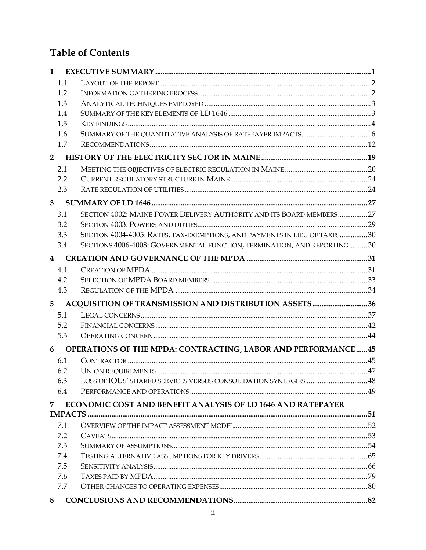## **Table of Contents**

| 1              |                                                                           |  |
|----------------|---------------------------------------------------------------------------|--|
| 1.1            |                                                                           |  |
| 1.2            |                                                                           |  |
| 1.3            |                                                                           |  |
| 1.4            |                                                                           |  |
| 1.5            |                                                                           |  |
| 1.6            |                                                                           |  |
| 1.7            |                                                                           |  |
| $\overline{2}$ |                                                                           |  |
| 2.1            |                                                                           |  |
| 2.2            |                                                                           |  |
| 2.3            |                                                                           |  |
| 3              |                                                                           |  |
| 3.1            | SECTION 4002: MAINE POWER DELIVERY AUTHORITY AND ITS BOARD MEMBERS27      |  |
| 3.2            |                                                                           |  |
| 3.3            | SECTION 4004-4005: RATES, TAX-EXEMPTIONS, AND PAYMENTS IN LIEU OF TAXES30 |  |
| 3.4            | SECTIONS 4006-4008: GOVERNMENTAL FUNCTION, TERMINATION, AND REPORTING30   |  |
| 4              |                                                                           |  |
| 4.1            |                                                                           |  |
| 4.2            |                                                                           |  |
| 4.3            |                                                                           |  |
| 5              |                                                                           |  |
| 5.1            |                                                                           |  |
| 5.2            |                                                                           |  |
| 5.3            |                                                                           |  |
| 6              | OPERATIONS OF THE MPDA: CONTRACTING, LABOR AND PERFORMANCE  45            |  |
| 6.1            |                                                                           |  |
| 6.2            |                                                                           |  |
| 6.3            |                                                                           |  |
| 6.4            |                                                                           |  |
| 7.             | <b>ECONOMIC COST AND BENEFIT ANALYSIS OF LD 1646 AND RATEPAYER</b>        |  |
|                |                                                                           |  |
| 7.1            |                                                                           |  |
| 7.2            |                                                                           |  |
| 7.3            |                                                                           |  |
| 7.4            |                                                                           |  |
| 7.5            |                                                                           |  |
| 7.6            |                                                                           |  |
| 7.7            |                                                                           |  |
| 8              |                                                                           |  |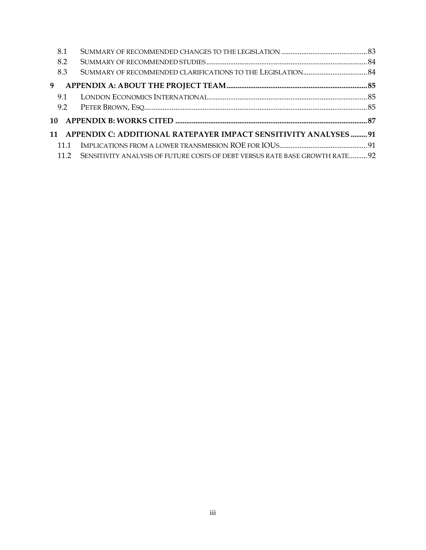| 8.1 |                                                                                   |  |
|-----|-----------------------------------------------------------------------------------|--|
| 8.2 |                                                                                   |  |
| 8.3 |                                                                                   |  |
| 9   |                                                                                   |  |
| 9.1 |                                                                                   |  |
|     |                                                                                   |  |
|     |                                                                                   |  |
|     | 11 APPENDIX C: ADDITIONAL RATEPAYER IMPACT SENSITIVITY ANALYSES 91                |  |
| 111 |                                                                                   |  |
|     | 11.2 SENSITIVITY ANALYSIS OF FUTURE COSTS OF DEBT VERSUS RATE BASE GROWTH RATE 92 |  |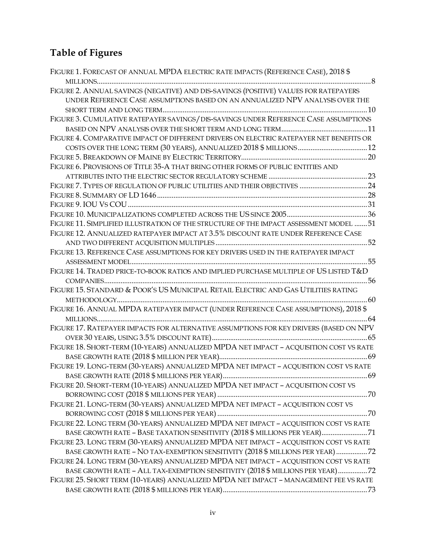## **Table of Figures**

| FIGURE 1. FORECAST OF ANNUAL MPDA ELECTRIC RATE IMPACTS (REFERENCE CASE), 2018 \$       |
|-----------------------------------------------------------------------------------------|
|                                                                                         |
| FIGURE 2. ANNUAL SAVINGS (NEGATIVE) AND DIS-SAVINGS (POSITIVE) VALUES FOR RATEPAYERS    |
| UNDER REFERENCE CASE ASSUMPTIONS BASED ON AN ANNUALIZED NPV ANALYSIS OVER THE           |
|                                                                                         |
| FIGURE 3. CUMULATIVE RATEPAYER SAVINGS / DIS-SAVINGS UNDER REFERENCE CASE ASSUMPTIONS   |
|                                                                                         |
| FIGURE 4. COMPARATIVE IMPACT OF DIFFERENT DRIVERS ON ELECTRIC RATEPAYER NET BENEFITS OR |
|                                                                                         |
|                                                                                         |
| FIGURE 6. PROVISIONS OF TITLE 35-A THAT BRING OTHER FORMS OF PUBLIC ENTITIES AND        |
|                                                                                         |
|                                                                                         |
|                                                                                         |
|                                                                                         |
|                                                                                         |
| FIGURE 11. SIMPLIFIED ILLUSTRATION OF THE STRUCTURE OF THE IMPACT ASSESSMENT MODEL  51  |
| FIGURE 12. ANNUALIZED RATEPAYER IMPACT AT 3.5% DISCOUNT RATE UNDER REFERENCE CASE       |
|                                                                                         |
| FIGURE 13. REFERENCE CASE ASSUMPTIONS FOR KEY DRIVERS USED IN THE RATEPAYER IMPACT      |
|                                                                                         |
| FIGURE 14. TRADED PRICE-TO-BOOK RATIOS AND IMPLIED PURCHASE MULTIPLE OF US LISTED T&D   |
|                                                                                         |
| FIGURE 15. STANDARD & POOR'S US MUNICIPAL RETAIL ELECTRIC AND GAS UTILITIES RATING      |
|                                                                                         |
| FIGURE 16. ANNUAL MPDA RATEPAYER IMPACT (UNDER REFERENCE CASE ASSUMPTIONS), 2018 \$     |
|                                                                                         |
| FIGURE 17. RATEPAYER IMPACTS FOR ALTERNATIVE ASSUMPTIONS FOR KEY DRIVERS (BASED ON NPV  |
|                                                                                         |
| FIGURE 18. SHORT-TERM (10-YEARS) ANNUALIZED MPDA NET IMPACT - ACQUISITION COST VS RATE  |
|                                                                                         |
| FIGURE 19. LONG-TERM (30-YEARS) ANNUALIZED MPDA NET IMPACT - ACQUISITION COST VS RATE   |
|                                                                                         |
| FIGURE 20. SHORT-TERM (10-YEARS) ANNUALIZED MPDA NET IMPACT - ACQUISITION COST VS       |
|                                                                                         |
| FIGURE 21. LONG-TERM (30-YEARS) ANNUALIZED MPDA NET IMPACT - ACQUISITION COST VS        |
|                                                                                         |
| FIGURE 22. LONG TERM (30-YEARS) ANNUALIZED MPDA NET IMPACT - ACQUISITION COST VS RATE   |
| BASE GROWTH RATE - BASE TAXATION SENSITIVITY (2018 \$ MILLIONS PER YEAR)71              |
| FIGURE 23. LONG TERM (30-YEARS) ANNUALIZED MPDA NET IMPACT - ACQUISITION COST VS RATE   |
| BASE GROWTH RATE - NO TAX-EXEMPTION SENSITIVITY (2018 \$ MILLIONS PER YEAR) 72          |
| FIGURE 24. LONG TERM (30-YEARS) ANNUALIZED MPDA NET IMPACT - ACQUISITION COST VS RATE   |
| BASE GROWTH RATE - ALL TAX-EXEMPTION SENSITIVITY (2018 \$ MILLIONS PER YEAR)72          |
| FIGURE 25. SHORT TERM (10-YEARS) ANNUALIZED MPDA NET IMPACT - MANAGEMENT FEE VS RATE    |
|                                                                                         |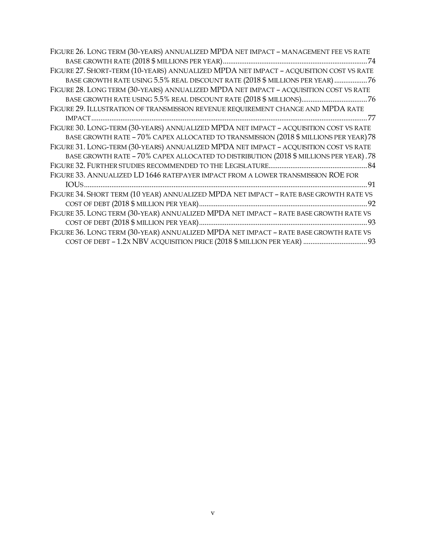| FIGURE 26. LONG TERM (30-YEARS) ANNUALIZED MPDA NET IMPACT - MANAGEMENT FEE VS RATE    |
|----------------------------------------------------------------------------------------|
|                                                                                        |
| FIGURE 27. SHORT-TERM (10-YEARS) ANNUALIZED MPDA NET IMPACT - ACQUISITION COST VS RATE |
| BASE GROWTH RATE USING 5.5% REAL DISCOUNT RATE (2018 \$ MILLIONS PER YEAR) 76          |
| FIGURE 28. LONG TERM (30-YEARS) ANNUALIZED MPDA NET IMPACT - ACQUISITION COST VS RATE  |
|                                                                                        |
| FIGURE 29. ILLUSTRATION OF TRANSMISSION REVENUE REQUIREMENT CHANGE AND MPDA RATE       |
|                                                                                        |
| FIGURE 30. LONG-TERM (30-YEARS) ANNUALIZED MPDA NET IMPACT - ACQUISITION COST VS RATE  |
| BASE GROWTH RATE - 70% CAPEX ALLOCATED TO TRANSMISSION (2018 \$ MILLIONS PER YEAR) 78  |
| FIGURE 31. LONG-TERM (30-YEARS) ANNUALIZED MPDA NET IMPACT - ACQUISITION COST VS RATE  |
| BASE GROWTH RATE - 70% CAPEX ALLOCATED TO DISTRIBUTION (2018 \$ MILLIONS PER YEAR).78  |
|                                                                                        |
| FIGURE 33. ANNUALIZED LD 1646 RATEPAYER IMPACT FROM A LOWER TRANSMISSION ROE FOR       |
|                                                                                        |
| FIGURE 34. SHORT TERM (10 YEAR) ANNUALIZED MPDA NET IMPACT - RATE BASE GROWTH RATE VS  |
|                                                                                        |
| FIGURE 35. LONG TERM (30-YEAR) ANNUALIZED MPDA NET IMPACT - RATE BASE GROWTH RATE VS   |
|                                                                                        |
| FIGURE 36. LONG TERM (30-YEAR) ANNUALIZED MPDA NET IMPACT - RATE BASE GROWTH RATE VS   |
|                                                                                        |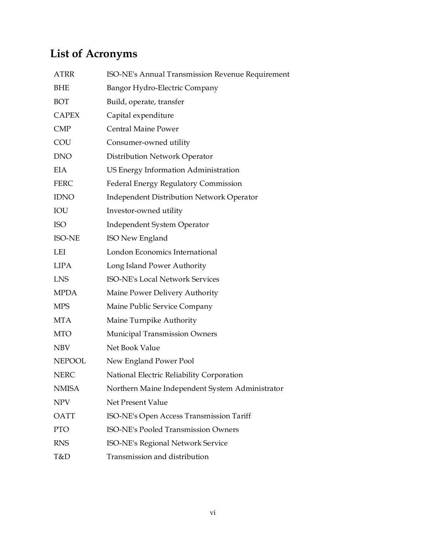## **List of Acronyms**

| <b>ATRR</b>   | ISO-NE's Annual Transmission Revenue Requirement |
|---------------|--------------------------------------------------|
| <b>BHE</b>    | Bangor Hydro-Electric Company                    |
| BOT           | Build, operate, transfer                         |
| <b>CAPEX</b>  | Capital expenditure                              |
| <b>CMP</b>    | <b>Central Maine Power</b>                       |
| COU           | Consumer-owned utility                           |
| <b>DNO</b>    | Distribution Network Operator                    |
| EIA           | US Energy Information Administration             |
| <b>FERC</b>   | Federal Energy Regulatory Commission             |
| <b>IDNO</b>   | <b>Independent Distribution Network Operator</b> |
| IOU           | Investor-owned utility                           |
| <b>ISO</b>    | Independent System Operator                      |
| <b>ISO-NE</b> | ISO New England                                  |
| LEI           | London Economics International                   |
| <b>LIPA</b>   | Long Island Power Authority                      |
| <b>LNS</b>    | ISO-NE's Local Network Services                  |
| <b>MPDA</b>   | Maine Power Delivery Authority                   |
| <b>MPS</b>    | Maine Public Service Company                     |
| <b>MTA</b>    | Maine Turnpike Authority                         |
| <b>MTO</b>    | <b>Municipal Transmission Owners</b>             |
| <b>NBV</b>    | Net Book Value                                   |
| <b>NEPOOL</b> | New England Power Pool                           |
| <b>NERC</b>   | National Electric Reliability Corporation        |
| <b>NMISA</b>  | Northern Maine Independent System Administrator  |
| <b>NPV</b>    | Net Present Value                                |
| <b>OATT</b>   | ISO-NE's Open Access Transmission Tariff         |
| <b>PTO</b>    | <b>ISO-NE's Pooled Transmission Owners</b>       |
| <b>RNS</b>    | ISO-NE's Regional Network Service                |
| T&D           | Transmission and distribution                    |
|               |                                                  |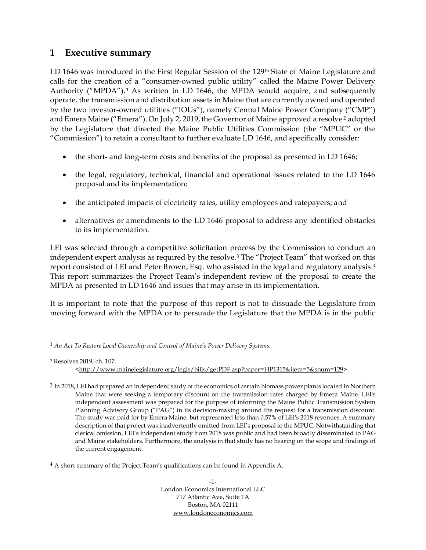### <span id="page-7-0"></span>**1 Executive summary**

LD 1646 was introduced in the First Regular Session of the 129<sup>th</sup> State of Maine Legislature and calls for the creation of a "consumer-owned public utility" called the Maine Power Delivery Authority ("MPDA").<sup>1</sup> As written in LD 1646, the MPDA would acquire, and subsequently operate, the transmission and distribution assets in Maine that are currently owned and operated by the two investor-owned utilities ("IOUs"), namely Central Maine Power Company ("CMP") and Emera Maine ("Emera"). On July 2, 2019, the Governor of Maine approved a resolve<sup>2</sup> adopted by the Legislature that directed the Maine Public Utilities Commission (the "MPUC" or the "Commission") to retain a consultant to further evaluate LD 1646, and specifically consider:

- the short- and long-term costs and benefits of the proposal as presented in LD 1646;
- the legal, regulatory, technical, financial and operational issues related to the LD 1646 proposal and its implementation;
- the anticipated impacts of electricity rates, utility employees and ratepayers; and
- alternatives or amendments to the LD 1646 proposal to address any identified obstacles to its implementation.

LEI was selected through a competitive solicitation process by the Commission to conduct an independent expert analysis as required by the resolve. <sup>3</sup> The "Project Team" that worked on this report consisted of LEI and Peter Brown, Esq. who assisted in the legal and regulatory analysis. 4 This report summarizes the Project Team's independent review of the proposal to create the MPDA as presented in LD 1646 and issues that may arise in its implementation.

It is important to note that the purpose of this report is not to dissuade the Legislature from moving forward with the MPDA or to persuade the Legislature that the MPDA is in the public

<sup>4</sup> A short summary of the Project Team's qualifications can be found in Appendix A.

-1- London Economics International LLC 717 Atlantic Ave, Suite 1A Boston, MA 02111 [www.londoneconomics.com](http://www.londoneconomics.com/)

<sup>1</sup> *An Act To Restore Local Ownership and Control of Maine's Power Delivery Systems.*

<sup>2</sup> Resolves 2019, ch. 107. [<http://www.mainelegislature.org/legis/bills/getPDF.asp?paper=HP1315&item=5&snum=129>](http://www.mainelegislature.org/legis/bills/getPDF.asp?paper=HP1315&item=5&snum=129).

<sup>&</sup>lt;sup>3</sup> In 2018, LEI had prepared an independent study of the economics of certain biomass power plants located in Northern Maine that were seeking a temporary discount on the transmission rates charged by Emera Maine. LEI's independent assessment was prepared for the purpose of informing the Maine Public Transmission System Planning Advisory Group ("PAG") in its decision-making around the request for a transmission discount. The study was paid for by Emera Maine, but represented less than 0.57% of LEI's 2018 revenues. A summary description of that project was inadvertently omitted from LEI's proposal to the MPUC. Notwithstanding that clerical omission, LEI's independent study from 2018 was public and had been broadly disseminated to PAG and Maine stakeholders. Furthermore, the analysis in that study has no bearing on the scope and findings of the current engagement.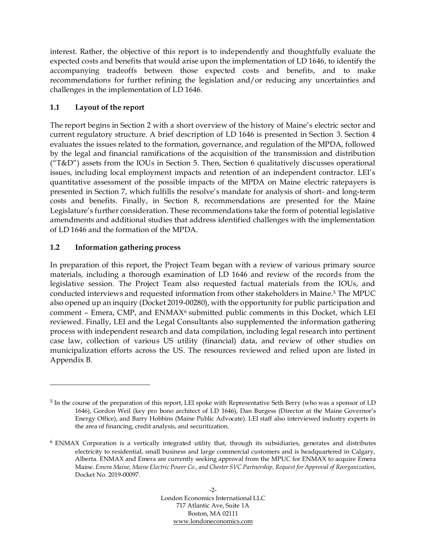interest. Rather, the objective of this report is to independently and thoughtfully evaluate the expected costs and benefits that would arise upon the implementation of LD 1646, to identify the accompanying tradeoffs between those expected costs and benefits, and to make recommendations for further refining the legislation and/or reducing any uncertainties and challenges in the implementation of LD 1646.

#### <span id="page-8-0"></span>**1.1 Layout of the report**

The report begins in Section 2 with a short overview of the history of Maine's electric sector and current regulatory structure. A brief description of LD 1646 is presented in Section 3. Section 4 evaluates the issues related to the formation, governance, and regulation of the MPDA, followed by the legal and financial ramifications of the acquisition of the transmission and distribution ( $T&D''$ ) assets from the IOUs in Section 5. Then, Section 6 qualitatively discusses operational issues, including local employment impacts and retention of an independent contractor. LEI's quantitative assessment of the possible impacts of the MPDA on Maine electric ratepayers is presented in Section 7, which fulfills the resolve's mandate for analysis of short- and long-term costs and benefits. Finally, in Section 8, recommendations are presented for the Maine Legislature's further consideration. These recommendations take the form of potential legislative amendments and additional studies that address identified challenges with the implementation of LD 1646 and the formation of the MPDA.

#### <span id="page-8-1"></span>**1.2 Information gathering process**

In preparation of this report, the Project Team began with a review of various primary source materials, including a thorough examination of LD 1646 and review of the records from the legislative session. The Project Team also requested factual materials from the IOUs, and conducted interviews and requested information from other stakeholders in Maine.<sup>5</sup> The MPUC also opened up an inquiry (Docket 2019-00280), with the opportunity for public participation and comment – Emera, CMP, and ENMAX<sup>6</sup> submitted public comments in this Docket, which LEI reviewed. Finally, LEI and the Legal Consultants also supplemented the information gathering process with independent research and data compilation, including legal research into pertinent case law, collection of various US utility (financial) data, and review of other studies on municipalization efforts across the US. The resources reviewed and relied upon are listed in Appendix B.

<sup>5</sup> In the course of the preparation of this report, LEI spoke with Representative Seth Berry (who was a sponsor of LD 1646), Gordon Weil (key pro bono architect of LD 1646), Dan Burgess (Director at the Maine Governor's Energy Office), and Barry Hobbins (Maine Public Advocate). LEI staff also interviewed industry experts in the area of financing, credit analysis, and securitization.

<sup>6</sup> ENMAX Corporation is a vertically integrated utility that, through its subsidiaries, generates and distributes electricity to residential, small business and large commercial customers and is headquartered in Calgary, Alberta. ENMAX and Emera are currently seeking approval from the MPUC for ENMAX to acquire Emera Maine. *Emera Maine, Maine Electric Power Co., and Chester SVC Partnership, Request for Approval of Reorganization*, Docket No. 2019-00097.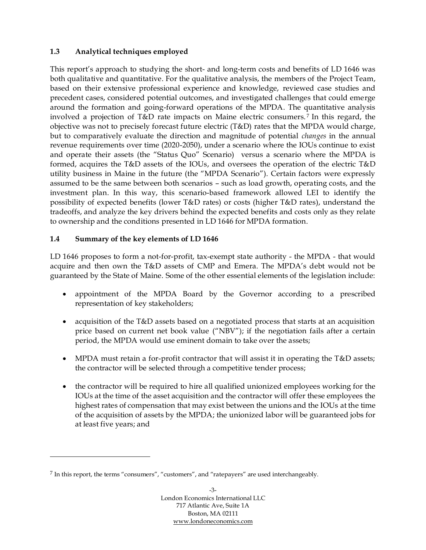#### <span id="page-9-0"></span>**1.3 Analytical techniques employed**

This report's approach to studying the short- and long-term costs and benefits of LD 1646 was both qualitative and quantitative. For the qualitative analysis, the members of the Project Team, based on their extensive professional experience and knowledge, reviewed case studies and precedent cases, considered potential outcomes, and investigated challenges that could emerge around the formation and going-forward operations of the MPDA. The quantitative analysis involved a projection of T&D rate impacts on Maine electric consumers. <sup>7</sup> In this regard, the objective was not to precisely forecast future electric (T&D) rates that the MPDA would charge, but to comparatively evaluate the direction and magnitude of potential *changes* in the annual revenue requirements over time (2020-2050), under a scenario where the IOUs continue to exist and operate their assets (the "Status Quo" Scenario) versus a scenario where the MPDA is formed, acquires the T&D assets of the IOUs, and oversees the operation of the electric T&D utility business in Maine in the future (the "MPDA Scenario"). Certain factors were expressly assumed to be the same between both scenarios – such as load growth, operating costs, and the investment plan. In this way, this scenario-based framework allowed LEI to identify the possibility of expected benefits (lower T&D rates) or costs (higher T&D rates), understand the tradeoffs, and analyze the key drivers behind the expected benefits and costs only as they relate to ownership and the conditions presented in LD 1646 for MPDA formation.

#### <span id="page-9-1"></span>**1.4 Summary of the key elements of LD 1646**

LD 1646 proposes to form a not-for-profit, tax-exempt state authority - the MPDA - that would acquire and then own the T&D assets of CMP and Emera. The MPDA's debt would not be guaranteed by the State of Maine. Some of the other essential elements of the legislation include:

- appointment of the MPDA Board by the Governor according to a prescribed representation of key stakeholders;
- acquisition of the T&D assets based on a negotiated process that starts at an acquisition price based on current net book value ("NBV"); if the negotiation fails after a certain period, the MPDA would use eminent domain to take over the assets;
- MPDA must retain a for-profit contractor that will assist it in operating the T&D assets; the contractor will be selected through a competitive tender process;
- the contractor will be required to hire all qualified unionized employees working for the IOUs at the time of the asset acquisition and the contractor will offer these employees the highest rates of compensation that may exist between the unions and the IOUs at the time of the acquisition of assets by the MPDA; the unionized labor will be guaranteed jobs for at least five years; and

 $^7$  In this report, the terms "consumers", "customers", and "ratepayers" are used interchangeably.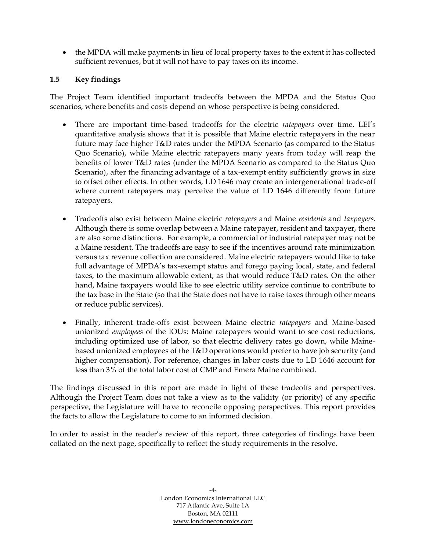• the MPDA will make payments in lieu of local property taxes to the extent it has collected sufficient revenues, but it will not have to pay taxes on its income.

#### <span id="page-10-0"></span>**1.5 Key findings**

The Project Team identified important tradeoffs between the MPDA and the Status Quo scenarios, where benefits and costs depend on whose perspective is being considered.

- There are important time-based tradeoffs for the electric *ratepayers* over time. LEI's quantitative analysis shows that it is possible that Maine electric ratepayers in the near future may face higher T&D rates under the MPDA Scenario (as compared to the Status Quo Scenario), while Maine electric ratepayers many years from today will reap the benefits of lower T&D rates (under the MPDA Scenario as compared to the Status Quo Scenario), after the financing advantage of a tax-exempt entity sufficiently grows in size to offset other effects. In other words, LD 1646 may create an intergenerational trade-off where current ratepayers may perceive the value of LD 1646 differently from future ratepayers.
- Tradeoffs also exist between Maine electric *ratepayers* and Maine *residents* and *taxpayers*. Although there is some overlap between a Maine ratepayer, resident and taxpayer, there are also some distinctions. For example, a commercial or industrial ratepayer may not be a Maine resident. The tradeoffs are easy to see if the incentives around rate minimization versus tax revenue collection are considered. Maine electric ratepayers would like to take full advantage of MPDA's tax-exempt status and forego paying local, state, and federal taxes, to the maximum allowable extent, as that would reduce T&D rates. On the other hand, Maine taxpayers would like to see electric utility service continue to contribute to the tax base in the State (so that the State does not have to raise taxes through other means or reduce public services).
- Finally, inherent trade-offs exist between Maine electric *ratepayers* and Maine-based unionized *employees* of the IOUs: Maine ratepayers would want to see cost reductions, including optimized use of labor, so that electric delivery rates go down, while Mainebased unionized employees of the T&D operations would prefer to have job security (and higher compensation). For reference, changes in labor costs due to LD 1646 account for less than 3% of the total labor cost of CMP and Emera Maine combined.

The findings discussed in this report are made in light of these tradeoffs and perspectives. Although the Project Team does not take a view as to the validity (or priority) of any specific perspective, the Legislature will have to reconcile opposing perspectives. This report provides the facts to allow the Legislature to come to an informed decision.

In order to assist in the reader's review of this report, three categories of findings have been collated on the next page, specifically to reflect the study requirements in the resolve.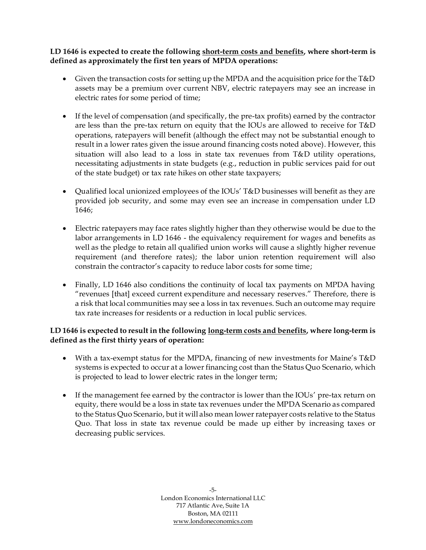#### **LD 1646 is expected to create the following short-term costs and benefits, where short-term is defined as approximately the first ten years of MPDA operations:**

- Given the transaction costs for setting up the MPDA and the acquisition price for the T&D assets may be a premium over current NBV, electric ratepayers may see an increase in electric rates for some period of time;
- If the level of compensation (and specifically, the pre-tax profits) earned by the contractor are less than the pre-tax return on equity that the IOUs are allowed to receive for T&D operations, ratepayers will benefit (although the effect may not be substantial enough to result in a lower rates given the issue around financing costs noted above). However, this situation will also lead to a loss in state tax revenues from T&D utility operations, necessitating adjustments in state budgets (e.g., reduction in public services paid for out of the state budget) or tax rate hikes on other state taxpayers;
- Qualified local unionized employees of the IOUs' T&D businesses will benefit as they are provided job security, and some may even see an increase in compensation under LD 1646;
- Electric ratepayers may face rates slightly higher than they otherwise would be due to the labor arrangements in LD 1646 - the equivalency requirement for wages and benefits as well as the pledge to retain all qualified union works will cause a slightly higher revenue requirement (and therefore rates); the labor union retention requirement will also constrain the contractor's capacity to reduce labor costs for some time;
- Finally, LD 1646 also conditions the continuity of local tax payments on MPDA having "revenues [that] exceed current expenditure and necessary reserves." Therefore, there is a risk that local communities may see a loss in tax revenues. Such an outcome may require tax rate increases for residents or a reduction in local public services.

#### **LD 1646 is expected to result in the following long-term costs and benefits, where long-term is defined as the first thirty years of operation:**

- With a tax-exempt status for the MPDA, financing of new investments for Maine's T&D systems is expected to occur at a lower financing cost than the Status Quo Scenario, which is projected to lead to lower electric rates in the longer term;
- If the management fee earned by the contractor is lower than the IOUs' pre-tax return on equity, there would be a loss in state tax revenues under the MPDA Scenario as compared to the Status Quo Scenario, but it will also mean lower ratepayer costs relative to the Status Quo. That loss in state tax revenue could be made up either by increasing taxes or decreasing public services.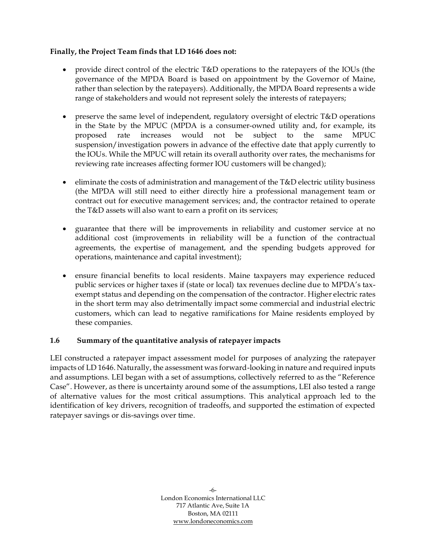#### **Finally, the Project Team finds that LD 1646 does not:**

- provide direct control of the electric T&D operations to the ratepayers of the IOUs (the governance of the MPDA Board is based on appointment by the Governor of Maine, rather than selection by the ratepayers). Additionally, the MPDA Board represents a wide range of stakeholders and would not represent solely the interests of ratepayers;
- preserve the same level of independent, regulatory oversight of electric T&D operations in the State by the MPUC (MPDA is a consumer-owned utility and, for example, its proposed rate increases would not be subject to the same MPUC suspension/investigation powers in advance of the effective date that apply currently to the IOUs. While the MPUC will retain its overall authority over rates, the mechanisms for reviewing rate increases affecting former IOU customers will be changed);
- eliminate the costs of administration and management of the T&D electric utility business (the MPDA will still need to either directly hire a professional management team or contract out for executive management services; and, the contractor retained to operate the T&D assets will also want to earn a profit on its services;
- guarantee that there will be improvements in reliability and customer service at no additional cost (improvements in reliability will be a function of the contractual agreements, the expertise of management, and the spending budgets approved for operations, maintenance and capital investment);
- ensure financial benefits to local residents. Maine taxpayers may experience reduced public services or higher taxes if (state or local) tax revenues decline due to MPDA's taxexempt status and depending on the compensation of the contractor. Higher electric rates in the short term may also detrimentally impact some commercial and industrial electric customers, which can lead to negative ramifications for Maine residents employed by these companies.

#### <span id="page-12-0"></span>**1.6 Summary of the quantitative analysis of ratepayer impacts**

LEI constructed a ratepayer impact assessment model for purposes of analyzing the ratepayer impacts of LD 1646. Naturally, the assessment was forward-looking in nature and required inputs and assumptions. LEI began with a set of assumptions, collectively referred to as the "Reference Case". However, as there is uncertainty around some of the assumptions, LEI also tested a range of alternative values for the most critical assumptions. This analytical approach led to the identification of key drivers, recognition of tradeoffs, and supported the estimation of expected ratepayer savings or dis-savings over time.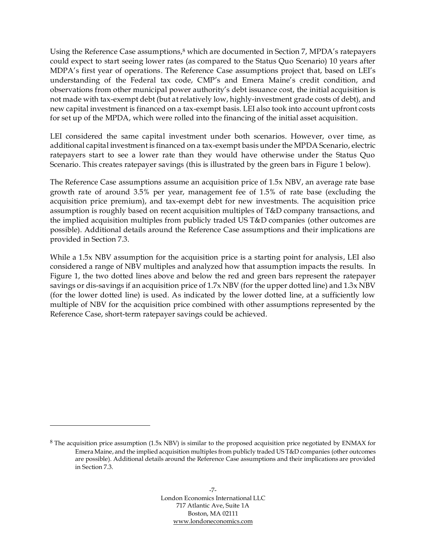Using the Reference Case assumptions,<sup>8</sup> which are documented in Section 7, MPDA's ratepayers could expect to start seeing lower rates (as compared to the Status Quo Scenario) 10 years after MDPA's first year of operations. The Reference Case assumptions project that, based on LEI's understanding of the Federal tax code, CMP's and Emera Maine's credit condition, and observations from other municipal power authority's debt issuance cost, the initial acquisition is not made with tax-exempt debt (but at relatively low, highly-investment grade costs of debt), and new capital investment is financed on a tax-exempt basis. LEI also took into account upfront costs for set up of the MPDA, which were rolled into the financing of the initial asset acquisition.

LEI considered the same capital investment under both scenarios. However, over time, as additional capital investment is financed on a tax-exempt basis under the MPDA Scenario, electric ratepayers start to see a lower rate than they would have otherwise under the Status Quo Scenario. This creates ratepayer savings (this is illustrated by the green bars in Figure 1 below).

The Reference Case assumptions assume an acquisition price of 1.5x NBV, an average rate base growth rate of around 3.5% per year, management fee of 1.5% of rate base (excluding the acquisition price premium), and tax-exempt debt for new investments. The acquisition price assumption is roughly based on recent acquisition multiples of T&D company transactions, and the implied acquisition multiples from publicly traded US T&D companies (other outcomes are possible). Additional details around the Reference Case assumptions and their implications are provided in Section 7.3.

While a 1.5x NBV assumption for the acquisition price is a starting point for analysis, LEI also considered a range of NBV multiples and analyzed how that assumption impacts the results. In [Figure 1,](#page-14-0) the two dotted lines above and below the red and green bars represent the ratepayer savings or dis-savings if an acquisition price of 1.7x NBV (for the upper dotted line) and 1.3x NBV (for the lower dotted line) is used. As indicated by the lower dotted line, at a sufficiently low multiple of NBV for the acquisition price combined with other assumptions represented by the Reference Case, short-term ratepayer savings could be achieved.

<sup>8</sup> The acquisition price assumption (1.5x NBV) is similar to the proposed acquisition price negotiated by ENMAX for Emera Maine, and the implied acquisition multiples from publicly traded US T&D companies (other outcomes are possible). Additional details around the Reference Case assumptions and their implications are provided in Section 7.3.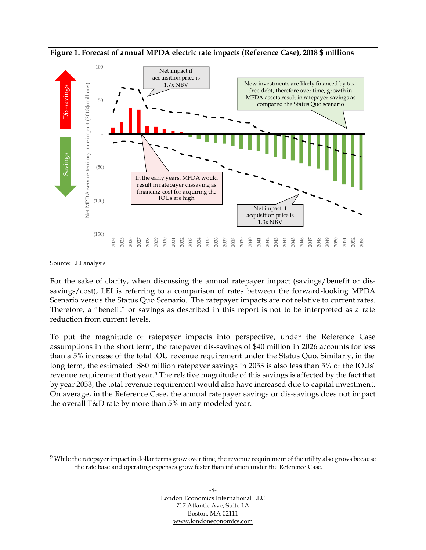<span id="page-14-0"></span>

For the sake of clarity, when discussing the annual ratepayer impact (savings/benefit or dissavings/cost), LEI is referring to a comparison of rates between the forward-looking MPDA Scenario versus the Status Quo Scenario. The ratepayer impacts are not relative to current rates. Therefore, a "benefit" or savings as described in this report is not to be interpreted as a rate reduction from current levels.

To put the magnitude of ratepayer impacts into perspective, under the Reference Case assumptions in the short term, the ratepayer dis-savings of \$40 million in 2026 accounts for less than a 5% increase of the total IOU revenue requirement under the Status Quo. Similarly, in the long term, the estimated \$80 million ratepayer savings in 2053 is also less than 5% of the IOUs' revenue requirement that year. <sup>9</sup> The relative magnitude of this savings is affected by the fact that by year 2053, the total revenue requirement would also have increased due to capital investment. On average, in the Reference Case, the annual ratepayer savings or dis-savings does not impact the overall T&D rate by more than 5% in any modeled year.

<sup>&</sup>lt;sup>9</sup> While the ratepayer impact in dollar terms grow over time, the revenue requirement of the utility also grows because the rate base and operating expenses grow faster than inflation under the Reference Case.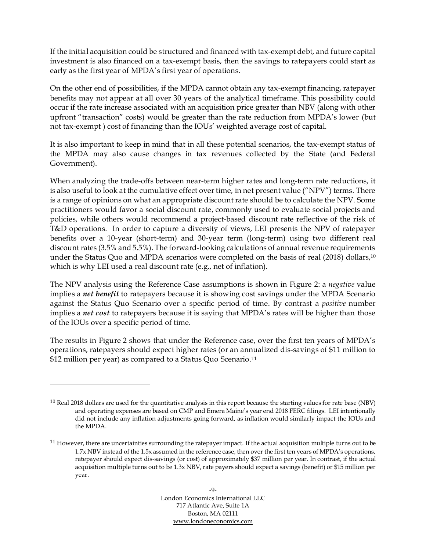If the initial acquisition could be structured and financed with tax-exempt debt, and future capital investment is also financed on a tax-exempt basis, then the savings to ratepayers could start as early as the first year of MPDA's first year of operations.

On the other end of possibilities, if the MPDA cannot obtain any tax-exempt financing, ratepayer benefits may not appear at all over 30 years of the analytical timeframe. This possibility could occur if the rate increase associated with an acquisition price greater than NBV (along with other upfront "transaction" costs) would be greater than the rate reduction from MPDA's lower (but not tax-exempt ) cost of financing than the IOUs' weighted average cost of capital.

It is also important to keep in mind that in all these potential scenarios, the tax-exempt status of the MPDA may also cause changes in tax revenues collected by the State (and Federal Government).

When analyzing the trade-offs between near-term higher rates and long-term rate reductions, it is also useful to look at the cumulative effect over time, in net present value ("NPV") terms. There is a range of opinions on what an appropriate discount rate should be to calculate the NPV. Some practitioners would favor a social discount rate, commonly used to evaluate social projects and policies, while others would recommend a project-based discount rate reflective of the risk of T&D operations. In order to capture a diversity of views, LEI presents the NPV of ratepayer benefits over a 10-year (short-term) and 30-year term (long-term) using two different real discount rates (3.5% and 5.5%). The forward-looking calculations of annual revenue requirements under the Status Quo and MPDA scenarios were completed on the basis of real (2018) dollars, 10 which is why LEI used a real discount rate (e.g., net of inflation).

The NPV analysis using the Reference Case assumptions is shown in [Figure 2:](#page-16-0) a *negative* value implies a *net benefit* to ratepayers because it is showing cost savings under the MPDA Scenario against the Status Quo Scenario over a specific period of time. By contrast a *positive* number implies a *net cost* to ratepayers because it is saying that MPDA's rates will be higher than those of the IOUs over a specific period of time.

The results in [Figure 2](#page-16-0) shows that under the Reference case, over the first ten years of MPDA's operations, ratepayers should expect higher rates (or an annualized dis-savings of \$11 million to \$12 million per year) as compared to a Status Quo Scenario.<sup>11</sup>

 $10$  Real 2018 dollars are used for the quantitative analysis in this report because the starting values for rate base (NBV) and operating expenses are based on CMP and Emera Maine's year end 2018 FERC filings. LEI intentionally did not include any inflation adjustments going forward, as inflation would similarly impact the IOUs and the MPDA.

 $11$  However, there are uncertainties surrounding the ratepayer impact. If the actual acquisition multiple turns out to be 1.7x NBV instead of the 1.5x assumed in the reference case, then over the first ten years of MPDA's operations, ratepayer should expect dis-savings (or cost) of approximately \$37 million per year. In contrast, if the actual acquisition multiple turns out to be 1.3x NBV, rate payers should expect a savings (benefit) or \$15 million per year.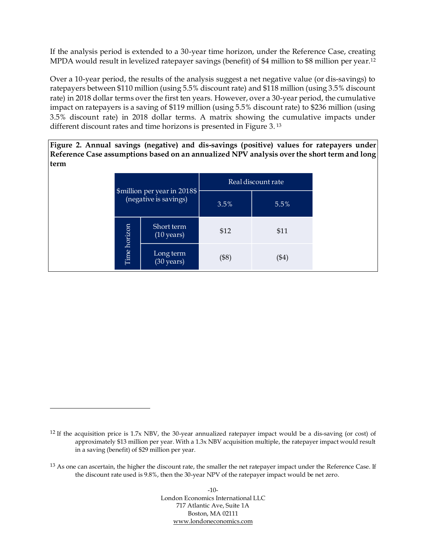If the analysis period is extended to a 30-year time horizon, under the Reference Case, creating MPDA would result in levelized ratepayer savings (benefit) of \$4 million to \$8 million per year.<sup>12</sup>

Over a 10-year period, the results of the analysis suggest a net negative value (or dis-savings) to ratepayers between \$110 million (using 5.5% discount rate) and \$118 million (using 3.5% discount rate) in 2018 dollar terms over the first ten years. However, over a 30-year period, the cumulative impact on ratepayers is a saving of \$119 million (using 5.5% discount rate) to \$236 million (using 3.5% discount rate) in 2018 dollar terms. A matrix showing the cumulative impacts under different discount rates and time horizons is presented in [Figure 3.](#page-17-0) 13

<span id="page-16-0"></span>**Figure 2. Annual savings (negative) and dis-savings (positive) values for ratepayers under Reference Case assumptions based on an annualized NPV analysis over the short term and long term**

|              |                                                       |       | Real discount rate |
|--------------|-------------------------------------------------------|-------|--------------------|
|              | \$million per year in 2018\$<br>(negative is savings) | 3.5%  | 5.5%               |
|              | Short term<br>$(10 \text{ years})$                    | \$12  | \$11               |
| Time horizon | Long term<br>(30 years)                               | (\$8) | (\$4)              |

 $-10-$ London Economics International LLC 717 Atlantic Ave, Suite 1A Boston, MA 02111 [www.londoneconomics.com](http://www.londoneconomics.com/)

<sup>&</sup>lt;sup>12</sup> If the acquisition price is  $1.7x$  NBV, the 30-year annualized ratepayer impact would be a dis-saving (or cost) of approximately \$13 million per year. With a 1.3x NBV acquisition multiple, the ratepayer impact would result in a saving (benefit) of \$29 million per year.

<sup>&</sup>lt;sup>13</sup> As one can ascertain, the higher the discount rate, the smaller the net ratepayer impact under the Reference Case. If the discount rate used is 9.8%, then the 30-year NPV of the ratepayer impact would be net zero.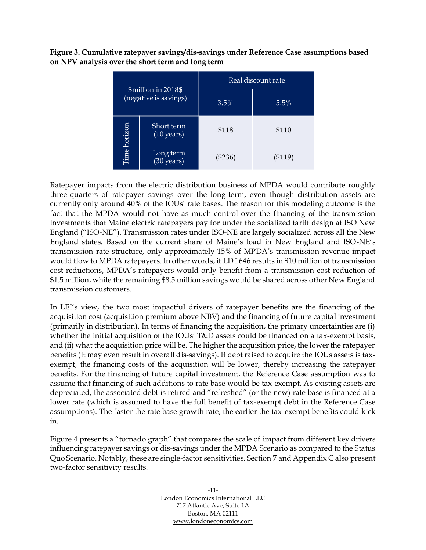<span id="page-17-0"></span>

|                                              |      |                                    |           | Real discount rate |
|----------------------------------------------|------|------------------------------------|-----------|--------------------|
| \$million in 2018\$<br>(negative is savings) |      | 3.5%                               | 5.5%      |                    |
| horizon                                      |      | Short term<br>$(10 \text{ years})$ | \$118     | \$110              |
|                                              | Time | Long term<br>$(30 \text{ years})$  | $(\$236)$ | (\$119)            |

Ratepayer impacts from the electric distribution business of MPDA would contribute roughly three-quarters of ratepayer savings over the long-term, even though distribution assets are currently only around 40% of the IOUs' rate bases. The reason for this modeling outcome is the fact that the MPDA would not have as much control over the financing of the transmission investments that Maine electric ratepayers pay for under the socialized tariff design at ISO New England ("ISO-NE"). Transmission rates under ISO-NE are largely socialized across all the New England states. Based on the current share of Maine's load in New England and ISO-NE's transmission rate structure, only approximately 15% of MPDA's transmission revenue impact would flow to MPDA ratepayers. In other words, if LD 1646 results in \$10 million of transmission cost reductions, MPDA's ratepayers would only benefit from a transmission cost reduction of \$1.5 million, while the remaining \$8.5 million savings would be shared across other New England transmission customers.

In LEI's view, the two most impactful drivers of ratepayer benefits are the financing of the acquisition cost (acquisition premium above NBV) and the financing of future capital investment (primarily in distribution). In terms of financing the acquisition, the primary uncertainties are (i) whether the initial acquisition of the IOUs' T&D assets could be financed on a tax-exempt basis, and (ii) what the acquisition price will be. The higher the acquisition price, the lower the ratepayer benefits (it may even result in overall dis-savings). If debt raised to acquire the IOUs assets is taxexempt, the financing costs of the acquisition will be lower, thereby increasing the ratepayer benefits. For the financing of future capital investment, the Reference Case assumption was to assume that financing of such additions to rate base would be tax-exempt. As existing assets are depreciated, the associated debt is retired and "refreshed" (or the new) rate base is financed at a lower rate (which is assumed to have the full benefit of tax-exempt debt in the Reference Case assumptions). The faster the rate base growth rate, the earlier the tax-exempt benefits could kick in.

[Figure 4](#page-18-1) presents a "tornado graph" that compares the scale of impact from different key drivers influencing ratepayer savings or dis-savings under the MPDA Scenario as compared to the Status Quo Scenario. Notably, these are single-factor sensitivities. Section [7](#page-57-0) and Appendix C also present two-factor sensitivity results.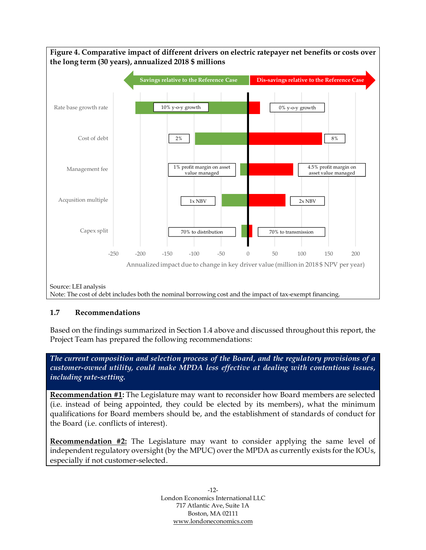<span id="page-18-1"></span>

#### <span id="page-18-0"></span>**1.7 Recommendations**

Based on the findings summarized in Section [1.4](#page-9-1) above and discussed throughout this report, the Project Team has prepared the following recommendations:

*The current composition and selection process of the Board, and the regulatory provisions of a customer-owned utility, could make MPDA less effective at dealing with contentious issues, including rate-setting.*

**Recommendation #1:** The Legislature may want to reconsider how Board members are selected (i.e. instead of being appointed, they could be elected by its members), what the minimum qualifications for Board members should be, and the establishment of standards of conduct for the Board (i.e. conflicts of interest).

**Recommendation #2:** The Legislature may want to consider applying the same level of independent regulatory oversight (by the MPUC) over the MPDA as currently exists for the IOUs, especially if not customer-selected.

> -12- London Economics International LLC 717 Atlantic Ave, Suite 1A Boston, MA 02111 [www.londoneconomics.com](http://www.londoneconomics.com/)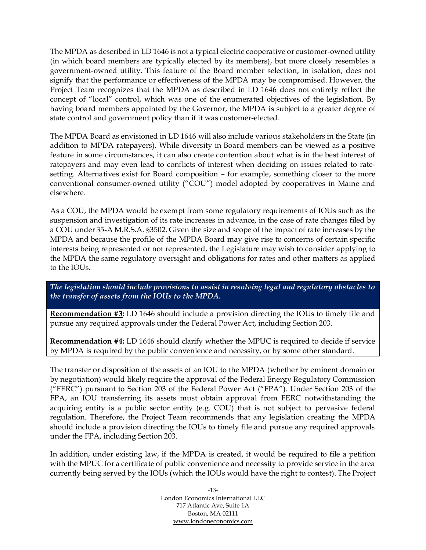The MPDA as described in LD 1646 is not a typical electric cooperative or customer-owned utility (in which board members are typically elected by its members), but more closely resembles a government-owned utility. This feature of the Board member selection, in isolation, does not signify that the performance or effectiveness of the MPDA may be compromised. However, the Project Team recognizes that the MPDA as described in LD 1646 does not entirely reflect the concept of "local" control, which was one of the enumerated objectives of the legislation. By having board members appointed by the Governor, the MPDA is subject to a greater degree of state control and government policy than if it was customer-elected.

The MPDA Board as envisioned in LD 1646 will also include various stakeholders in the State (in addition to MPDA ratepayers). While diversity in Board members can be viewed as a positive feature in some circumstances, it can also create contention about what is in the best interest of ratepayers and may even lead to conflicts of interest when deciding on issues related to ratesetting. Alternatives exist for Board composition – for example, something closer to the more conventional consumer-owned utility ("COU") model adopted by cooperatives in Maine and elsewhere.

As a COU, the MPDA would be exempt from some regulatory requirements of IOUs such as the suspension and investigation of its rate increases in advance, in the case of rate changes filed by a COU under 35-A M.R.S.A. §3502. Given the size and scope of the impact of rate increases by the MPDA and because the profile of the MPDA Board may give rise to concerns of certain specific interests being represented or not represented, the Legislature may wish to consider applying to the MPDA the same regulatory oversight and obligations for rates and other matters as applied to the IOUs.

*The legislation should include provisions to assist in resolving legal and regulatory obstacles to the transfer of assets from the IOUs to the MPDA.* 

**Recommendation #3:** LD 1646 should include a provision directing the IOUs to timely file and pursue any required approvals under the Federal Power Act, including Section 203.

**Recommendation #4:** LD 1646 should clarify whether the MPUC is required to decide if service by MPDA is required by the public convenience and necessity, or by some other standard.

The transfer or disposition of the assets of an IOU to the MPDA (whether by eminent domain or by negotiation) would likely require the approval of the Federal Energy Regulatory Commission ("FERC") pursuant to Section 203 of the Federal Power Act ("FPA"). Under Section 203 of the FPA, an IOU transferring its assets must obtain approval from FERC notwithstanding the acquiring entity is a public sector entity (e.g. COU) that is not subject to pervasive federal regulation. Therefore, the Project Team recommends that any legislation creating the MPDA should include a provision directing the IOUs to timely file and pursue any required approvals under the FPA, including Section 203.

In addition, under existing law, if the MPDA is created, it would be required to file a petition with the MPUC for a certificate of public convenience and necessity to provide service in the area currently being served by the IOUs (which the IOUs would have the right to contest). The Project

> -13- London Economics International LLC 717 Atlantic Ave, Suite 1A Boston, MA 02111 [www.londoneconomics.com](http://www.londoneconomics.com/)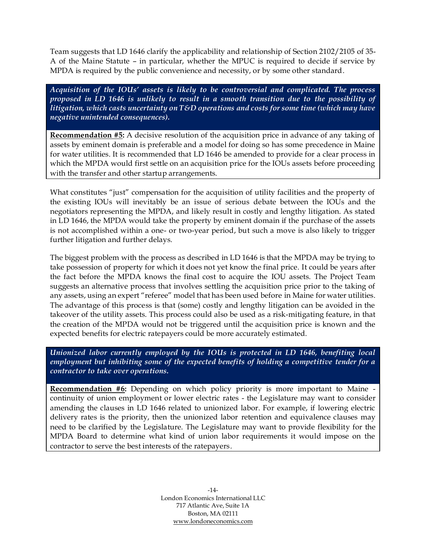Team suggests that LD 1646 clarify the applicability and relationship of Section 2102/2105 of 35- A of the Maine Statute – in particular, whether the MPUC is required to decide if service by MPDA is required by the public convenience and necessity, or by some other standard.

*Acquisition of the IOUs' assets is likely to be controversial and complicated. The process proposed in LD 1646 is unlikely to result in a smooth transition due to the possibility of litigation, which casts uncertainty on T&D operations and costs for some time (which may have negative unintended consequences).*

**Recommendation #5:** A decisive resolution of the acquisition price in advance of any taking of assets by eminent domain is preferable and a model for doing so has some precedence in Maine for water utilities. It is recommended that LD 1646 be amended to provide for a clear process in which the MPDA would first settle on an acquisition price for the IOUs assets before proceeding with the transfer and other startup arrangements.

What constitutes "just" compensation for the acquisition of utility facilities and the property of the existing IOUs will inevitably be an issue of serious debate between the IOUs and the negotiators representing the MPDA, and likely result in costly and lengthy litigation. As stated in LD 1646, the MPDA would take the property by eminent domain if the purchase of the assets is not accomplished within a one- or two-year period, but such a move is also likely to trigger further litigation and further delays.

The biggest problem with the process as described in LD 1646 is that the MPDA may be trying to take possession of property for which it does not yet know the final price. It could be years after the fact before the MPDA knows the final cost to acquire the IOU assets. The Project Team suggests an alternative process that involves settling the acquisition price prior to the taking of any assets, using an expert "referee" model that has been used before in Maine for water utilities. The advantage of this process is that (some) costly and lengthy litigation can be avoided in the takeover of the utility assets. This process could also be used as a risk-mitigating feature, in that the creation of the MPDA would not be triggered until the acquisition price is known and the expected benefits for electric ratepayers could be more accurately estimated.

*Unionized labor currently employed by the IOUs is protected in LD 1646, benefiting local employment but inhibiting some of the expected benefits of holding a competitive tender for a contractor to take over operations.*

**Recommendation #6:** Depending on which policy priority is more important to Maine continuity of union employment or lower electric rates - the Legislature may want to consider amending the clauses in LD 1646 related to unionized labor. For example, if lowering electric delivery rates is the priority, then the unionized labor retention and equivalence clauses may need to be clarified by the Legislature. The Legislature may want to provide flexibility for the MPDA Board to determine what kind of union labor requirements it would impose on the contractor to serve the best interests of the ratepayers.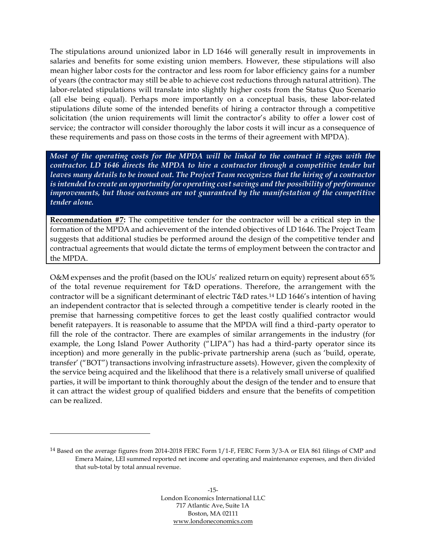The stipulations around unionized labor in LD 1646 will generally result in improvements in salaries and benefits for some existing union members. However, these stipulations will also mean higher labor costs for the contractor and less room for labor efficiency gains for a number of years (the contractor may still be able to achieve cost reductions through natural attrition). The labor-related stipulations will translate into slightly higher costs from the Status Quo Scenario (all else being equal). Perhaps more importantly on a conceptual basis, these labor-related stipulations dilute some of the intended benefits of hiring a contractor through a competitive solicitation (the union requirements will limit the contractor's ability to offer a lower cost of service; the contractor will consider thoroughly the labor costs it will incur as a consequence of these requirements and pass on those costs in the terms of their agreement with MPDA).

*Most of the operating costs for the MPDA will be linked to the contract it signs with the contractor. LD 1646 directs the MPDA to hire a contractor through a competitive tender but leaves many details to be ironed out. The Project Team recognizes that the hiring of a contractor is intended to create an opportunity for operating cost savings and the possibility of performance improvements, but those outcomes are not guaranteed by the manifestation of the competitive tender alone.*

**Recommendation #7:** The competitive tender for the contractor will be a critical step in the formation of the MPDA and achievement of the intended objectives of LD 1646. The Project Team suggests that additional studies be performed around the design of the competitive tender and contractual agreements that would dictate the terms of employment between the contractor and the MPDA.

O&M expenses and the profit (based on the IOUs' realized return on equity) represent about 65% of the total revenue requirement for T&D operations. Therefore, the arrangement with the contractor will be a significant determinant of electric T&D rates.<sup>14</sup> LD 1646's intention of having an independent contractor that is selected through a competitive tender is clearly rooted in the premise that harnessing competitive forces to get the least costly qualified contractor would benefit ratepayers. It is reasonable to assume that the MPDA will find a third-party operator to fill the role of the contractor. There are examples of similar arrangements in the industry (for example, the Long Island Power Authority ("LIPA") has had a third-party operator since its inception) and more generally in the public-private partnership arena (such as 'build, operate, transfer' ("BOT") transactions involving infrastructure assets). However, given the complexity of the service being acquired and the likelihood that there is a relatively small universe of qualified parties, it will be important to think thoroughly about the design of the tender and to ensure that it can attract the widest group of qualified bidders and ensure that the benefits of competition can be realized.

<sup>14</sup> Based on the average figures from 2014-2018 FERC Form 1/1-F, FERC Form 3/3-A or EIA 861 filings of CMP and Emera Maine, LEI summed reported net income and operating and maintenance expenses, and then divided that sub-total by total annual revenue.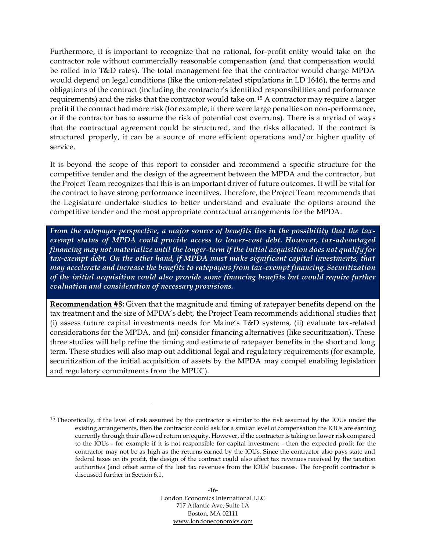Furthermore, it is important to recognize that no rational, for-profit entity would take on the contractor role without commercially reasonable compensation (and that compensation would be rolled into T&D rates). The total management fee that the contractor would charge MPDA would depend on legal conditions (like the union-related stipulations in LD 1646), the terms and obligations of the contract (including the contractor's identified responsibilities and performance requirements) and the risks that the contractor would take on.<sup>15</sup> A contractor may require a larger profit if the contract had more risk (for example, if there were large penalties on non-performance, or if the contractor has to assume the risk of potential cost overruns). There is a myriad of ways that the contractual agreement could be structured, and the risks allocated. If the contract is structured properly, it can be a source of more efficient operations and/or higher quality of service.

It is beyond the scope of this report to consider and recommend a specific structure for the competitive tender and the design of the agreement between the MPDA and the contractor, but the Project Team recognizes that this is an important driver of future outcomes. It will be vital for the contract to have strong performance incentives. Therefore, the Project Team recommends that the Legislature undertake studies to better understand and evaluate the options around the competitive tender and the most appropriate contractual arrangements for the MPDA.

*From the ratepayer perspective, a major source of benefits lies in the possibility that the taxexempt status of MPDA could provide access to lower-cost debt. However, tax-advantaged financing may not materialize until the longer-term if the initial acquisition does not qualify for*  tax-exempt debt. On the other hand, if MPDA must make significant capital investments, that *may accelerate and increase the benefits to ratepayers from tax-exempt financing. Securitization of the initial acquisition could also provide some financing benefits but would require further evaluation and consideration of necessary provisions.*

**Recommendation #8:** Given that the magnitude and timing of ratepayer benefits depend on the tax treatment and the size of MPDA's debt, the Project Team recommends additional studies that (i) assess future capital investments needs for Maine's T&D systems, (ii) evaluate tax-related considerations for the MPDA, and (iii) consider financing alternatives (like securitization). These three studies will help refine the timing and estimate of ratepayer benefits in the short and long term. These studies will also map out additional legal and regulatory requirements (for example, securitization of the initial acquisition of assets by the MPDA may compel enabling legislation and regulatory commitments from the MPUC).

<sup>&</sup>lt;sup>15</sup> Theoretically, if the level of risk assumed by the contractor is similar to the risk assumed by the IOUs under the existing arrangements, then the contractor could ask for a similar level of compensation the IOUs are earning currently through their allowed return on equity. However, if the contractor is taking on lower risk compared to the IOUs - for example if it is not responsible for capital investment - then the expected profit for the contractor may not be as high as the returns earned by the IOUs. Since the contractor also pays state and federal taxes on its profit, the design of the contract could also affect tax revenues received by the taxation authorities (and offset some of the lost tax revenues from the IOUs' business. The for-profit contractor is discussed further in Sectio[n 6.1.](#page-51-1)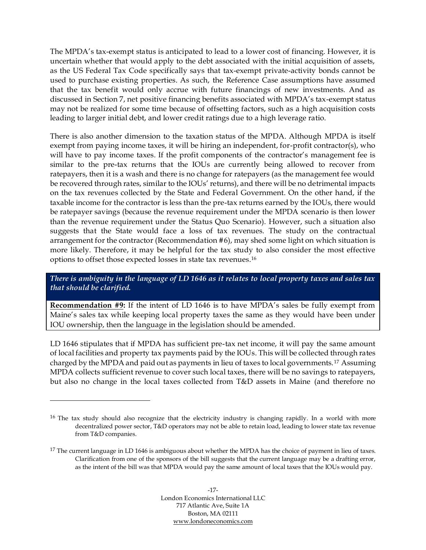The MPDA's tax-exempt status is anticipated to lead to a lower cost of financing. However, it is uncertain whether that would apply to the debt associated with the initial acquisition of assets, as the US Federal Tax Code specifically says that tax-exempt private-activity bonds cannot be used to purchase existing properties. As such, the Reference Case assumptions have assumed that the tax benefit would only accrue with future financings of new investments. And as discussed in Section 7, net positive financing benefits associated with MPDA's tax-exempt status may not be realized for some time because of offsetting factors, such as a high acquisition costs leading to larger initial debt, and lower credit ratings due to a high leverage ratio.

There is also another dimension to the taxation status of the MPDA. Although MPDA is itself exempt from paying income taxes, it will be hiring an independent, for-profit contractor(s), who will have to pay income taxes. If the profit components of the contractor's management fee is similar to the pre-tax returns that the IOUs are currently being allowed to recover from ratepayers, then it is a wash and there is no change for ratepayers (as the management fee would be recovered through rates, similar to the IOUs' returns), and there will be no detrimental impacts on the tax revenues collected by the State and Federal Government. On the other hand, if the taxable income for the contractor is less than the pre-tax returns earned by the IOUs, there would be ratepayer savings (because the revenue requirement under the MPDA scenario is then lower than the revenue requirement under the Status Quo Scenario). However, such a situation also suggests that the State would face a loss of tax revenues. The study on the contractual arrangement for the contractor (Recommendation #6), may shed some light on which situation is more likely. Therefore, it may be helpful for the tax study to also consider the most effective options to offset those expected losses in state tax revenues.<sup>16</sup>

*There is ambiguity in the language of LD 1646 as it relates to local property taxes and sales tax that should be clarified.*

**Recommendation #9:** If the intent of LD 1646 is to have MPDA's sales be fully exempt from Maine's sales tax while keeping local property taxes the same as they would have been under IOU ownership, then the language in the legislation should be amended.

LD 1646 stipulates that if MPDA has sufficient pre-tax net income, it will pay the same amount of local facilities and property tax payments paid by the IOUs. This will be collected through rates charged by the MPDA and paid out as payments in lieu of taxes to local governments. <sup>17</sup> Assuming MPDA collects sufficient revenue to cover such local taxes, there will be no savings to ratepayers, but also no change in the local taxes collected from T&D assets in Maine (and therefore no

<sup>&</sup>lt;sup>16</sup> The tax study should also recognize that the electricity industry is changing rapidly. In a world with more decentralized power sector, T&D operators may not be able to retain load, leading to lower state tax revenue from T&D companies.

<sup>&</sup>lt;sup>17</sup> The current language in LD 1646 is ambiguous about whether the MPDA has the choice of payment in lieu of taxes. Clarification from one of the sponsors of the bill suggests that the current language may be a drafting error, as the intent of the bill was that MPDA would pay the same amount of local taxes that the IOUs would pay.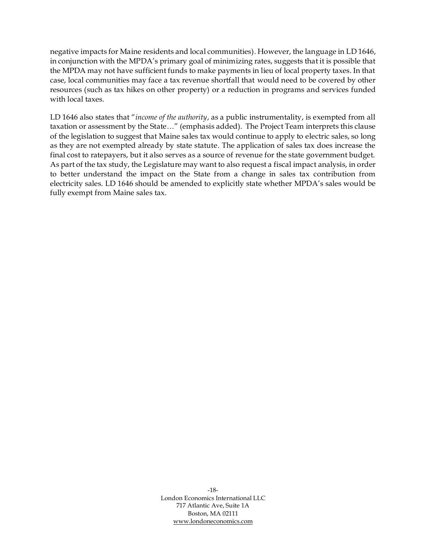negative impacts for Maine residents and local communities). However, the language in LD 1646, in conjunction with the MPDA's primary goal of minimizing rates, suggests that it is possible that the MPDA may not have sufficient funds to make payments in lieu of local property taxes. In that case, local communities may face a tax revenue shortfall that would need to be covered by other resources (such as tax hikes on other property) or a reduction in programs and services funded with local taxes.

LD 1646 also states that "*income of the authority*, as a public instrumentality, is exempted from all taxation or assessment by the State…" (emphasis added). The Project Team interprets this clause of the legislation to suggest that Maine sales tax would continue to apply to electric sales, so long as they are not exempted already by state statute. The application of sales tax does increase the final cost to ratepayers, but it also serves as a source of revenue for the state government budget. As part of the tax study, the Legislature may want to also request a fiscal impact analysis, in order to better understand the impact on the State from a change in sales tax contribution from electricity sales. LD 1646 should be amended to explicitly state whether MPDA's sales would be fully exempt from Maine sales tax.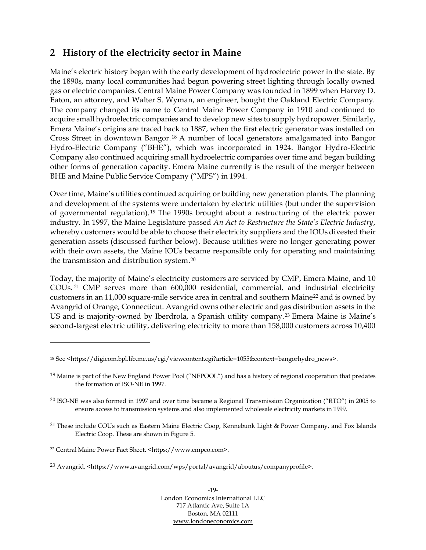### <span id="page-25-0"></span>**2 History of the electricity sector in Maine**

Maine's electric history began with the early development of hydroelectric power in the state. By the 1890s, many local communities had begun powering street lighting through locally owned gas or electric companies. Central Maine Power Company was founded in 1899 when Harvey D. Eaton, an attorney, and Walter S. Wyman, an engineer, bought the Oakland Electric Company. The company changed its name to Central Maine Power Company in 1910 and continued to acquire small hydroelectric companies and to develop new sites to supply hydropower. Similarly, Emera Maine's origins are traced back to 1887, when the first electric generator was installed on Cross Street in downtown Bangor. <sup>18</sup> A number of local generators amalgamated into Bangor Hydro-Electric Company ("BHE"), which was incorporated in 1924. Bangor Hydro-Electric Company also continued acquiring small hydroelectric companies over time and began building other forms of generation capacity. Emera Maine currently is the result of the merger between BHE and Maine Public Service Company ("MPS") in 1994.

Over time, Maine's utilities continued acquiring or building new generation plants. The planning and development of the systems were undertaken by electric utilities (but under the supervision of governmental regulation). <sup>19</sup> The 1990s brought about a restructuring of the electric power industry. In 1997, the Maine Legislature passed *An Act to Restructure the State's Electric Industry*, whereby customers would be able to choose their electricity suppliers and the IOUs divested their generation assets (discussed further below). Because utilities were no longer generating power with their own assets, the Maine IOUs became responsible only for operating and maintaining the transmission and distribution system.<sup>20</sup>

Today, the majority of Maine's electricity customers are serviced by CMP, Emera Maine, and 10 COUs. <sup>21</sup> CMP serves more than 600,000 residential, commercial, and industrial electricity customers in an 11,000 square-mile service area in central and southern Maine<sup>22</sup> and is owned by Avangrid of Orange, Connecticut. Avangrid owns other electric and gas distribution assets in the US and is majority-owned by Iberdrola, a Spanish utility company.<sup>23</sup> Emera Maine is Maine's second-largest electric utility, delivering electricity to more than 158,000 customers across 10,400

-19- London Economics International LLC 717 Atlantic Ave, Suite 1A Boston, MA 02111 [www.londoneconomics.com](http://www.londoneconomics.com/)

<sup>18</sup> See <https://digicom.bpl.lib.me.us/cgi/viewcontent.cgi?article=1055&context=bangorhydro\_news>.

<sup>&</sup>lt;sup>19</sup> Maine is part of the New England Power Pool ("NEPOOL") and has a history of regional cooperation that predates the formation of ISO-NE in 1997.

<sup>20</sup> ISO-NE was also formed in 1997 and over time became a Regional Transmission Organization ("RTO") in 2005 to ensure access to transmission systems and also implemented wholesale electricity markets in 1999.

<sup>&</sup>lt;sup>21</sup> These include COUs such as Eastern Maine Electric Coop, Kennebunk Light & Power Company, and Fox Islands Electric Coop. These are shown i[n Figure 5.](#page-26-1)

<sup>22</sup> Central Maine Power Fact Sheet. <https://www.cmpco.com>.

<sup>&</sup>lt;sup>23</sup> Avangrid. <https://www.avangrid.com/wps/portal/avangrid/aboutus/companyprofile>.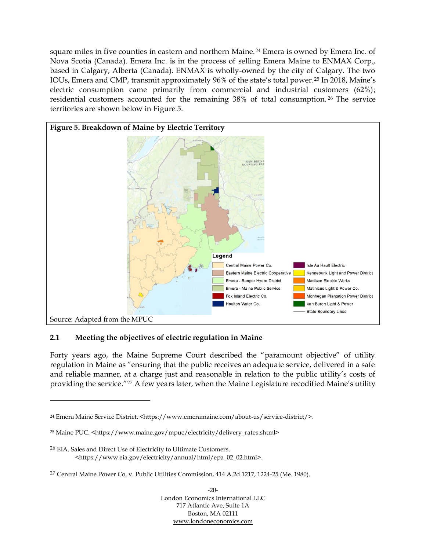square miles in five counties in eastern and northern Maine. <sup>24</sup> Emera is owned by Emera Inc. of Nova Scotia (Canada). Emera Inc. is in the process of selling Emera Maine to ENMAX Corp., based in Calgary, Alberta (Canada). ENMAX is wholly-owned by the city of Calgary. The two IOUs, Emera and CMP, transmit approximately 96% of the state's total power.<sup>25</sup> In 2018, Maine's electric consumption came primarily from commercial and industrial customers (62%); residential customers accounted for the remaining 38% of total consumption. <sup>26</sup> The service territories are shown below in [Figure 5.](#page-26-1)

<span id="page-26-1"></span>

#### <span id="page-26-0"></span>**2.1 Meeting the objectives of electric regulation in Maine**

Forty years ago, the Maine Supreme Court described the "paramount objective" of utility regulation in Maine as "ensuring that the public receives an adequate service, delivered in a safe and reliable manner, at a charge just and reasonable in relation to the public utility's costs of providing the service."<sup>27</sup> A few years later, when the Maine Legislature recodified Maine's utility

<sup>&</sup>lt;sup>24</sup> Emera Maine Service District. <https://www.emeramaine.com/about-us/service-district/>.

<sup>25</sup> Maine PUC. <https://www.maine.gov/mpuc/electricity/delivery\_rates.shtml>

<sup>26</sup> EIA. Sales and Direct Use of Electricity to Ultimate Customers. <https://www.eia.gov/electricity/annual/html/epa\_02\_02.html>.

<sup>27</sup> Central Maine Power Co. v. Public Utilities Commission, 414 A.2d 1217, 1224-25 (Me. 1980).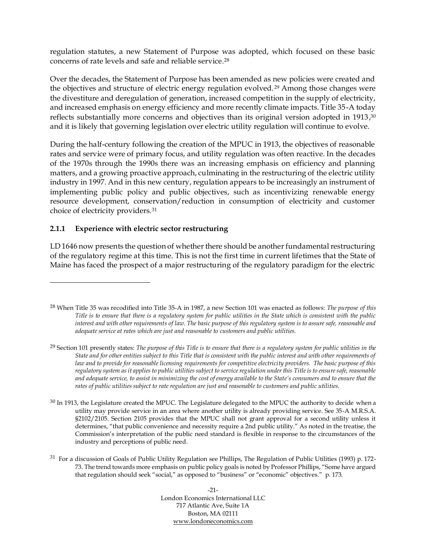regulation statutes, a new Statement of Purpose was adopted, which focused on these basic concerns of rate levels and safe and reliable service.<sup>28</sup>

Over the decades, the Statement of Purpose has been amended as new policies were created and the objectives and structure of electric energy regulation evolved.<sup>29</sup> Among those changes were the divestiture and deregulation of generation, increased competition in the supply of electricity, and increased emphasis on energy efficiency and more recently climate impacts. Title 35-A today reflects substantially more concerns and objectives than its original version adopted in 1913, 30 and it is likely that governing legislation over electric utility regulation will continue to evolve.

During the half-century following the creation of the MPUC in 1913, the objectives of reasonable rates and service were of primary focus, and utility regulation was often reactive. In the decades of the 1970s through the 1990s there was an increasing emphasis on efficiency and planning matters, and a growing proactive approach, culminating in the restructuring of the electric utility industry in 1997. And in this new century, regulation appears to be increasingly an instrument of implementing public policy and public objectives, such as incentivizing renewable energy resource development, conservation/reduction in consumption of electricity and customer choice of electricity providers.<sup>31</sup>

#### **2.1.1 Experience with electric sector restructuring**

LD 1646 now presents the question of whether there should be another fundamental restructuring of the regulatory regime at this time. This is not the first time in current lifetimes that the State of Maine has faced the prospect of a major restructuring of the regulatory paradigm for the electric

-21- London Economics International LLC 717 Atlantic Ave, Suite 1A Boston, MA 02111 [www.londoneconomics.com](http://www.londoneconomics.com/)

<sup>28</sup> When Title 35 was recodified into Title 35-A in 1987, a new Section 101 was enacted as follows: *The purpose of this Title is to ensure that there is a regulatory system for public utilities in the State which is consistent with the public interest and with other requirements of law. The basic purpose of this regulatory system is to assure safe, reasonable and adequate service at rates which are just and reasonable to customers and public utilities.*

<sup>29</sup> Section 101 presently states: *The purpose of this Title is to ensure that there is a regulatory system for public utilities in the State and for other entities subject to this Title that is consistent with the public interest and with other requirements of* law and to provide for reasonable licensing requirements for competitive electricity providers. The basic purpose of this *regulatory system as it applies to public utilities subject to service regulation under this Title is to ensure safe, reasonable and adequate service, to assist in minimizing the cost of energy available to the State's consumers and to ensure that the rates of public utilities subject to rate regulation are just and reasonable to customers and public utilities.*

<sup>&</sup>lt;sup>30</sup> In 1913, the Legislature created the MPUC. The Legislature delegated to the MPUC the authority to decide when a utility may provide service in an area where another utility is already providing service. See 35-A M.R.S.A. §2102/2105. Section 2105 provides that the MPUC shall not grant approval for a second utility unless it determines, "that public convenience and necessity require a 2nd public utility." As noted in the treatise, the Commission's interpretation of the public need standard is flexible in response to the circumstances of the industry and perceptions of public need.

<sup>31</sup> For a discussion of Goals of Public Utility Regulation see Phillips, The Regulation of Public Utilities (1993) p. 172- 73. The trend towards more emphasis on public policy goals is noted by Professor Phillips, "Some have argued that regulation should seek "social," as opposed to "business" or "economic" objectives." p. 173.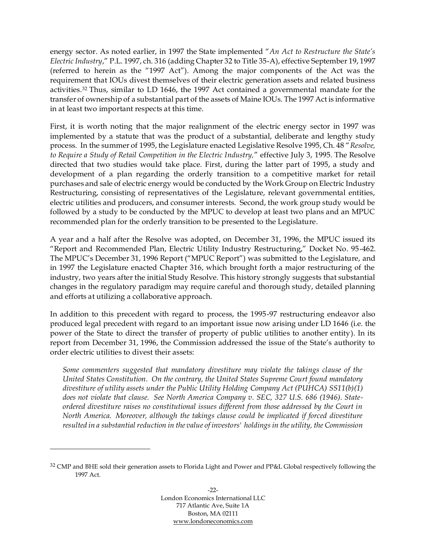energy sector. As noted earlier, in 1997 the State implemented "*An Act to Restructure the State's Electric Industry*," P.L. 1997, ch. 316 (adding Chapter 32 to Title 35-A), effective September 19, 1997 (referred to herein as the "1997 Act"). Among the major components of the Act was the requirement that IOUs divest themselves of their electric generation assets and related business activities.<sup>32</sup> Thus, similar to LD 1646, the 1997 Act contained a governmental mandate for the transfer of ownership of a substantial part of the assets of Maine IOUs. The 1997 Act is informative in at least two important respects at this time.

First, it is worth noting that the major realignment of the electric energy sector in 1997 was implemented by a statute that was the product of a substantial, deliberate and lengthy study process. In the summer of 1995, the Legislature enacted Legislative Resolve 1995, Ch. 48 "*Resolve, to Require a Study of Retail Competition in the Electric Industry,*" effective July 3, 1995. The Resolve directed that two studies would take place. First, during the latter part of 1995, a study and development of a plan regarding the orderly transition to a competitive market for retail purchases and sale of electric energy would be conducted by the Work Group on Electric Industry Restructuring, consisting of representatives of the Legislature, relevant governmental entities, electric utilities and producers, and consumer interests. Second, the work group study would be followed by a study to be conducted by the MPUC to develop at least two plans and an MPUC recommended plan for the orderly transition to be presented to the Legislature.

A year and a half after the Resolve was adopted, on December 31, 1996, the MPUC issued its "Report and Recommended Plan, Electric Utility Industry Restructuring," Docket No. 95-462. The MPUC's December 31, 1996 Report ("MPUC Report") was submitted to the Legislature, and in 1997 the Legislature enacted Chapter 316, which brought forth a major restructuring of the industry, two years after the initial Study Resolve. This history strongly suggests that substantial changes in the regulatory paradigm may require careful and thorough study, detailed planning and efforts at utilizing a collaborative approach.

In addition to this precedent with regard to process, the 1995-97 restructuring endeavor also produced legal precedent with regard to an important issue now arising under LD 1646 (i.e. the power of the State to direct the transfer of property of public utilities to another entity). In its report from December 31, 1996, the Commission addressed the issue of the State's authority to order electric utilities to divest their assets:

*Some commenters suggested that mandatory divestiture may violate the takings clause of the United States Constitution. On the contrary, the United States Supreme Court found mandatory divestiture of utility assets under the Public Utility Holding Company Act (PUHCA) SS11(b)(1) does not violate that clause. See North America Company v. SEC, 327 U.S. 686 (1946). Stateordered divestiture raises no constitutional issues different from those addressed by the Court in North America. Moreover, although the takings clause could be implicated if forced divestiture resulted in a substantial reduction in the value of investors' holdings in the utility, the Commission* 

<sup>&</sup>lt;sup>32</sup> CMP and BHE sold their generation assets to Florida Light and Power and PP&L Global respectively following the 1997 Act.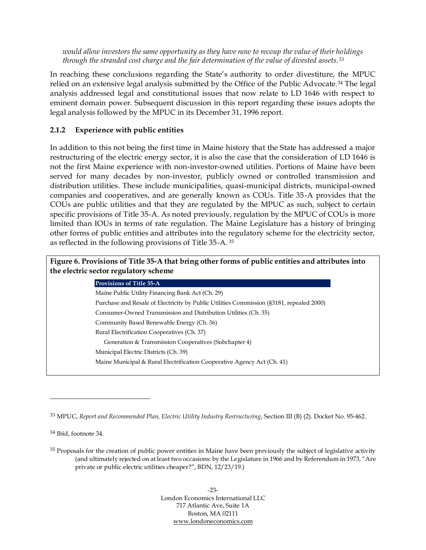*would allow investors the same opportunity as they have now to recoup the value of their holdings through the stranded cost charge and the fair determination of the value of divested assets. <sup>33</sup>*

In reaching these conclusions regarding the State's authority to order divestiture, the MPUC relied on an extensive legal analysis submitted by the Office of the Public Advocate.<sup>34</sup> The legal analysis addressed legal and constitutional issues that now relate to LD 1646 with respect to eminent domain power. Subsequent discussion in this report regarding these issues adopts the legal analysis followed by the MPUC in its December 31, 1996 report.

#### **2.1.2 Experience with public entities**

In addition to this not being the first time in Maine history that the State has addressed a major restructuring of the electric energy sector, it is also the case that the consideration of LD 1646 is not the first Maine experience with non-investor-owned utilities. Portions of Maine have been served for many decades by non-investor, publicly owned or controlled transmission and distribution utilities. These include municipalities, quasi-municipal districts, municipal-owned companies and cooperatives, and are generally known as COUs. Title 35-A provides that the COUs are public utilities and that they are regulated by the MPUC as such, subject to certain specific provisions of Title 35-A. As noted previously, regulation by the MPUC of COUs is more limited than IOUs in terms of rate regulation. The Maine Legislature has a history of bringing other forms of public entities and attributes into the regulatory scheme for the electricity sector, as reflected in the following provisions of Title 35-A. 35

<span id="page-29-0"></span>

| Figure 6. Provisions of Title 35-A that bring other forms of public entities and attributes into<br>the electric sector regulatory scheme |  |  |  |  |  |
|-------------------------------------------------------------------------------------------------------------------------------------------|--|--|--|--|--|
| <b>Provisions of Title 35-A</b>                                                                                                           |  |  |  |  |  |
| Maine Public Utility Financing Bank Act (Ch. 29)                                                                                          |  |  |  |  |  |
| Purchase and Resale of Electricity by Public Utilities Commission (§3181, repealed 2000)                                                  |  |  |  |  |  |
| Consumer-Owned Transmission and Distribution Utilities (Ch. 35)                                                                           |  |  |  |  |  |
| Community Based Renewable Energy (Ch. 36)                                                                                                 |  |  |  |  |  |
| Rural Electrification Cooperatives (Ch. 37)                                                                                               |  |  |  |  |  |
| Generation & Transmission Cooperatives (Subchapter 4)                                                                                     |  |  |  |  |  |
| Municipal Electric Districts (Ch. 39)                                                                                                     |  |  |  |  |  |
| Maine Municipal & Rural Electrification Cooperative Agency Act (Ch. 41)                                                                   |  |  |  |  |  |

<sup>33</sup> MPUC, *Report and Recommended Plan, Electric Utility Industry Restructuring*, Section III (B) (2). Docket No. 95-462.

<sup>34</sup> Ibid, footnote 34.

<sup>&</sup>lt;sup>35</sup> Proposals for the creation of public power entities in Maine have been previously the subject of legislative activity (and ultimately rejected on at least two occasions: by the Legislature in 1966 and by Referendum in 1973, "Are private or public electric utilities cheaper?", BDN, 12/23/19.)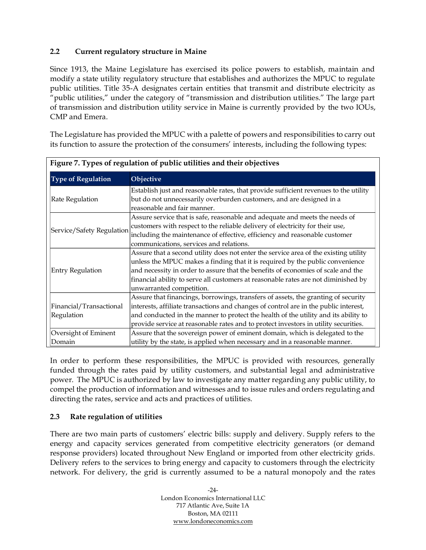#### <span id="page-30-0"></span>**2.2 Current regulatory structure in Maine**

Since 1913, the Maine Legislature has exercised its police powers to establish, maintain and modify a state utility regulatory structure that establishes and authorizes the MPUC to regulate public utilities. Title 35-A designates certain entities that transmit and distribute electricity as "public utilities," under the category of "transmission and distribution utilities." The large part of transmission and distribution utility service in Maine is currently provided by the two IOUs, CMP and Emera.

The Legislature has provided the MPUC with a palette of powers and responsibilities to carry out its function to assure the protection of the consumers' interests, including the following types:

<span id="page-30-2"></span>

| Figure 7. Types of regulation of public utilities and their objectives |                                                                                      |  |  |
|------------------------------------------------------------------------|--------------------------------------------------------------------------------------|--|--|
| <b>Type of Regulation</b>                                              | Objective                                                                            |  |  |
|                                                                        | Establish just and reasonable rates, that provide sufficient revenues to the utility |  |  |
| <b>Rate Regulation</b>                                                 | but do not unnecessarily overburden customers, and are designed in a                 |  |  |
|                                                                        | reasonable and fair manner.                                                          |  |  |
|                                                                        | Assure service that is safe, reasonable and adequate and meets the needs of          |  |  |
|                                                                        | customers with respect to the reliable delivery of electricity for their use,        |  |  |
| Service/Safety Regulation                                              | including the maintenance of effective, efficiency and reasonable customer           |  |  |
|                                                                        | communications, services and relations.                                              |  |  |
|                                                                        | Assure that a second utility does not enter the service area of the existing utility |  |  |
|                                                                        | unless the MPUC makes a finding that it is required by the public convenience        |  |  |
| <b>Entry Regulation</b>                                                | and necessity in order to assure that the benefits of economies of scale and the     |  |  |
|                                                                        | financial ability to serve all customers at reasonable rates are not diminished by   |  |  |
|                                                                        | unwarranted competition.                                                             |  |  |
|                                                                        | Assure that financings, borrowings, transfers of assets, the granting of security    |  |  |
| Financial/Transactional                                                | interests, affiliate transactions and changes of control are in the public interest, |  |  |
| Regulation                                                             | and conducted in the manner to protect the health of the utility and its ability to  |  |  |
|                                                                        | provide service at reasonable rates and to protect investors in utility securities.  |  |  |
| Oversight of Eminent                                                   | Assure that the sovereign power of eminent domain, which is delegated to the         |  |  |
| Domain                                                                 | utility by the state, is applied when necessary and in a reasonable manner.          |  |  |

In order to perform these responsibilities, the MPUC is provided with resources, generally funded through the rates paid by utility customers, and substantial legal and administrative power. The MPUC is authorized by law to investigate any matter regarding any public utility, to compel the production of information and witnesses and to issue rules and orders regulating and directing the rates, service and acts and practices of utilities.

#### <span id="page-30-1"></span>**2.3 Rate regulation of utilities**

There are two main parts of customers' electric bills: supply and delivery. Supply refers to the energy and capacity services generated from competitive electricity generators (or demand response providers) located throughout New England or imported from other electricity grids. Delivery refers to the services to bring energy and capacity to customers through the electricity network. For delivery, the grid is currently assumed to be a natural monopoly and the rates

> $-24-$ London Economics International LLC 717 Atlantic Ave, Suite 1A Boston, MA 02111 [www.londoneconomics.com](http://www.londoneconomics.com/)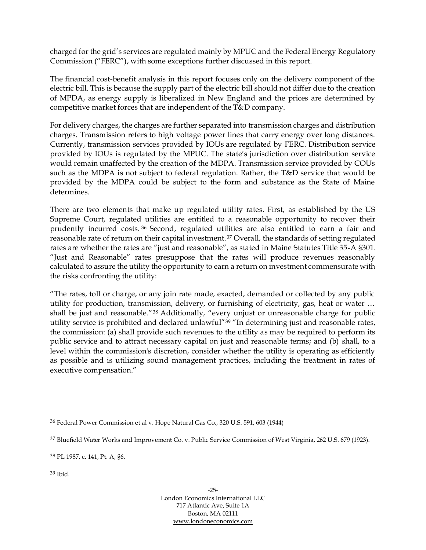charged for the grid's services are regulated mainly by MPUC and the Federal Energy Regulatory Commission ("FERC"), with some exceptions further discussed in this report.

The financial cost-benefit analysis in this report focuses only on the delivery component of the electric bill. This is because the supply part of the electric bill should not differ due to the creation of MPDA, as energy supply is liberalized in New England and the prices are determined by competitive market forces that are independent of the T&D company.

For delivery charges, the charges are further separated into transmission charges and distribution charges. Transmission refers to high voltage power lines that carry energy over long distances. Currently, transmission services provided by IOUs are regulated by FERC. Distribution service provided by IOUs is regulated by the MPUC. The state's jurisdiction over distribution service would remain unaffected by the creation of the MDPA. Transmission service provided by COUs such as the MDPA is not subject to federal regulation. Rather, the T&D service that would be provided by the MDPA could be subject to the form and substance as the State of Maine determines.

There are two elements that make up regulated utility rates. First, as established by the US Supreme Court, regulated utilities are entitled to a reasonable opportunity to recover their prudently incurred costs. <sup>36</sup> Second, regulated utilities are also entitled to earn a fair and reasonable rate of return on their capital investment.<sup>37</sup> Overall, the standards of setting regulated rates are whether the rates are "just and reasonable", as stated in Maine Statutes Title 35-A §301. "Just and Reasonable" rates presuppose that the rates will produce revenues reasonably calculated to assure the utility the opportunity to earn a return on investment commensurate with the risks confronting the utility:

"The rates, toll or charge, or any join rate made, exacted, demanded or collected by any public utility for production, transmission, delivery, or furnishing of electricity, gas, heat or water … shall be just and reasonable."<sup>38</sup> Additionally, "every unjust or unreasonable charge for public utility service is prohibited and declared unlawful"<sup>39</sup> "In determining just and reasonable rates, the commission: (a) shall provide such revenues to the utility as may be required to perform its public service and to attract necessary capital on just and reasonable terms; and (b) shall, to a level within the commission's discretion, consider whether the utility is operating as efficiently as possible and is utilizing sound management practices, including the treatment in rates of executive compensation."

<sup>39</sup> Ibid.

<sup>36</sup> Federal Power Commission et al v. Hope Natural Gas Co., 320 U.S. 591, 603 (1944)

<sup>37</sup> Bluefield Water Works and Improvement Co. v. Public Service Commission of West Virginia, 262 U.S. 679 (1923).

<sup>38</sup> PL 1987, c. 141, Pt. A, §6.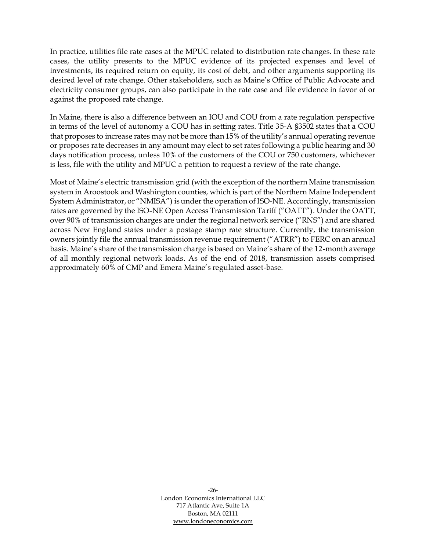In practice, utilities file rate cases at the MPUC related to distribution rate changes. In these rate cases, the utility presents to the MPUC evidence of its projected expenses and level of investments, its required return on equity, its cost of debt, and other arguments supporting its desired level of rate change. Other stakeholders, such as Maine's Office of Public Advocate and electricity consumer groups, can also participate in the rate case and file evidence in favor of or against the proposed rate change.

In Maine, there is also a difference between an IOU and COU from a rate regulation perspective in terms of the level of autonomy a COU has in setting rates. Title 35-A §3502 states that a COU that proposes to increase rates may not be more than 15% of the utility's annual operating revenue or proposes rate decreases in any amount may elect to set rates following a public hearing and 30 days notification process, unless 10% of the customers of the COU or 750 customers, whichever is less, file with the utility and MPUC a petition to request a review of the rate change.

Most of Maine's electric transmission grid (with the exception of the northern Maine transmission system in Aroostook and Washington counties, which is part of the Northern Maine Independent System Administrator, or "NMISA") is under the operation of ISO-NE. Accordingly, transmission rates are governed by the ISO-NE Open Access Transmission Tariff ("OATT"). Under the OATT, over 90% of transmission charges are under the regional network service ("RNS") and are shared across New England states under a postage stamp rate structure. Currently, the transmission owners jointly file the annual transmission revenue requirement ("ATRR") to FERC on an annual basis. Maine's share of the transmission charge is based on Maine's share of the 12-month average of all monthly regional network loads. As of the end of 2018, transmission assets comprised approximately 60% of CMP and Emera Maine's regulated asset-base.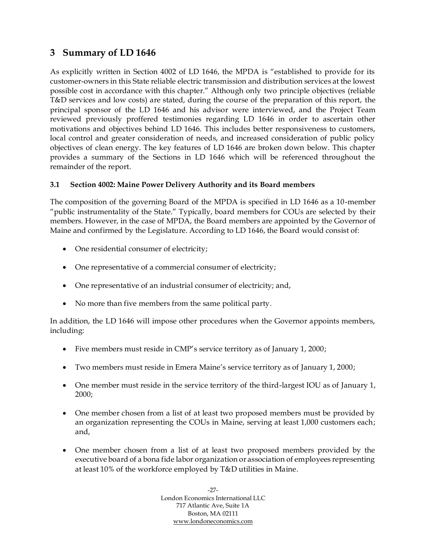### <span id="page-33-0"></span>**3 Summary of LD 1646**

As explicitly written in Section 4002 of LD 1646, the MPDA is "established to provide for its customer-owners in this State reliable electric transmission and distribution services at the lowest possible cost in accordance with this chapter." Although only two principle objectives (reliable T&D services and low costs) are stated, during the course of the preparation of this report, the principal sponsor of the LD 1646 and his advisor were interviewed, and the Project Team reviewed previously proffered testimonies regarding LD 1646 in order to ascertain other motivations and objectives behind LD 1646. This includes better responsiveness to customers, local control and greater consideration of needs, and increased consideration of public policy objectives of clean energy. The key features of LD 1646 are broken down below. This chapter provides a summary of the Sections in LD 1646 which will be referenced throughout the remainder of the report.

#### <span id="page-33-1"></span>**3.1 Section 4002: Maine Power Delivery Authority and its Board members**

The composition of the governing Board of the MPDA is specified in LD 1646 as a 10-member "public instrumentality of the State." Typically, board members for COUs are selected by their members. However, in the case of MPDA, the Board members are appointed by the Governor of Maine and confirmed by the Legislature. According to LD 1646, the Board would consist of:

- One residential consumer of electricity;
- One representative of a commercial consumer of electricity;
- One representative of an industrial consumer of electricity; and,
- No more than five members from the same political party.

In addition, the LD 1646 will impose other procedures when the Governor appoints members, including:

- Five members must reside in CMP's service territory as of January 1, 2000;
- Two members must reside in Emera Maine's service territory as of January 1, 2000;
- One member must reside in the service territory of the third-largest IOU as of January 1, 2000;
- One member chosen from a list of at least two proposed members must be provided by an organization representing the COUs in Maine, serving at least 1,000 customers each; and,
- One member chosen from a list of at least two proposed members provided by the executive board of a bona fide labor organization or association of employees representing at least 10% of the workforce employed by T&D utilities in Maine.

-27- London Economics International LLC 717 Atlantic Ave, Suite 1A Boston, MA 02111 [www.londoneconomics.com](http://www.londoneconomics.com/)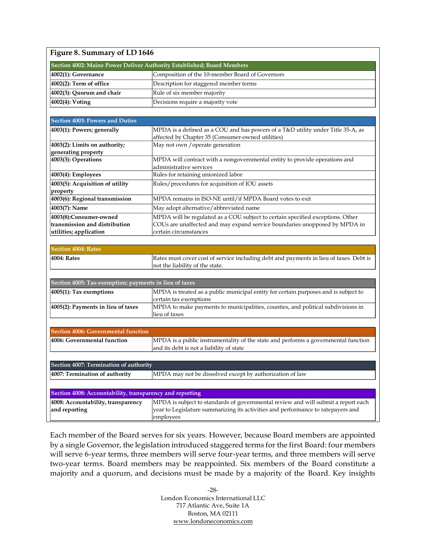<span id="page-34-0"></span>

| Figure 8. Summary of LD 1646                                           |                                                                                                                           |  |  |  |  |
|------------------------------------------------------------------------|---------------------------------------------------------------------------------------------------------------------------|--|--|--|--|
| Section 4002: Maine Power Deliver Authority Established; Board Members |                                                                                                                           |  |  |  |  |
| 4002(1): Governance                                                    | Composition of the 10-member Board of Governors                                                                           |  |  |  |  |
| 4002(2): Term of office                                                | Description for staggered member terms                                                                                    |  |  |  |  |
| 4002(3): Quorum and chair                                              | Rule of six member majority                                                                                               |  |  |  |  |
| 4002(4): Voting                                                        | Decisions require a majority vote                                                                                         |  |  |  |  |
|                                                                        |                                                                                                                           |  |  |  |  |
| <b>Section 4003: Powers and Duties</b>                                 |                                                                                                                           |  |  |  |  |
| 4003(1): Powers; generally                                             | MPDA is a defined as a COU and has powers of a T&D utility under Title 35-A, as                                           |  |  |  |  |
|                                                                        | affected by Chapter 35 (Consumer-owned utilities)                                                                         |  |  |  |  |
| 4003(2): Limits on authority;                                          | May not own / operate generation                                                                                          |  |  |  |  |
| generating property<br>4003(3): Operations                             | MPDA will contract with a nongovernmental entity to provide operations and                                                |  |  |  |  |
|                                                                        | administrative services                                                                                                   |  |  |  |  |
| 4003(4): Employees                                                     | Rules for retaining unionized labor                                                                                       |  |  |  |  |
| 4003(5): Acquisition of utility                                        | Rules/procedures for acquisition of IOU assets                                                                            |  |  |  |  |
| property                                                               |                                                                                                                           |  |  |  |  |
| 4003(6): Regional transmission                                         | MPDA remains in ISO-NE until/if MPDA Board votes to exit                                                                  |  |  |  |  |
| 4003(7): Name                                                          | May adopt alternative/abbreviated name                                                                                    |  |  |  |  |
| 4003(8):Consumer-owned                                                 | MPDA will be regulated as a COU subject to certain specified exceptions. Other                                            |  |  |  |  |
| transmission and distribution                                          | COUs are unaffected and may expand service boundaries unopposed by MPDA in                                                |  |  |  |  |
| utilities; application                                                 | certain circumstances                                                                                                     |  |  |  |  |
|                                                                        |                                                                                                                           |  |  |  |  |
| <b>Section 4004: Rates</b>                                             |                                                                                                                           |  |  |  |  |
| 4004: Rates                                                            | Rates must cover cost of service including debt and payments in lieu of taxes. Debt is<br>not the liability of the state. |  |  |  |  |
|                                                                        |                                                                                                                           |  |  |  |  |
| Section 4005: Tax-exemption; payments in lieu of taxes                 |                                                                                                                           |  |  |  |  |
| 4005(1): Tax exemptions                                                | MPDA is treated as a public municipal entity for certain purposes and is subject to                                       |  |  |  |  |
|                                                                        | certain tax exemptions                                                                                                    |  |  |  |  |
| 4005(2): Payments in lieu of taxes                                     | MPDA to make payments to municipalities, counties, and political subdivisions in                                          |  |  |  |  |
|                                                                        | lieu of taxes                                                                                                             |  |  |  |  |
|                                                                        |                                                                                                                           |  |  |  |  |
| <b>Section 4006: Governmental function</b>                             |                                                                                                                           |  |  |  |  |
| 4006: Governmental function                                            | MPDA is a public instrumentality of the state and performs a governmental function                                        |  |  |  |  |
|                                                                        | and its debt is not a liability of state                                                                                  |  |  |  |  |
|                                                                        |                                                                                                                           |  |  |  |  |
| Section 4007: Termination of authority                                 |                                                                                                                           |  |  |  |  |
| 4007: Termination of authority                                         | MPDA may not be dissolved except by authorization of law                                                                  |  |  |  |  |
|                                                                        |                                                                                                                           |  |  |  |  |
| Section 4008: Accountability, transparency and reporting               |                                                                                                                           |  |  |  |  |
| 4008: Accountability, transparency                                     | MPDA is subject to standards of governmental review and will submit a report each                                         |  |  |  |  |
| and reporting                                                          | year to Legislature summarizing its activities and performance to ratepayers and                                          |  |  |  |  |
|                                                                        | employees                                                                                                                 |  |  |  |  |

Each member of the Board serves for six years. However, because Board members are appointed by a single Governor, the legislation introduced staggered terms for the first Board: four members will serve 6-year terms, three members will serve four-year terms, and three members will serve two-year terms. Board members may be reappointed. Six members of the Board constitute a majority and a quorum, and decisions must be made by a majority of the Board. Key insights

> -28- London Economics International LLC 717 Atlantic Ave, Suite 1A Boston, MA 02111 [www.londoneconomics.com](http://www.londoneconomics.com/)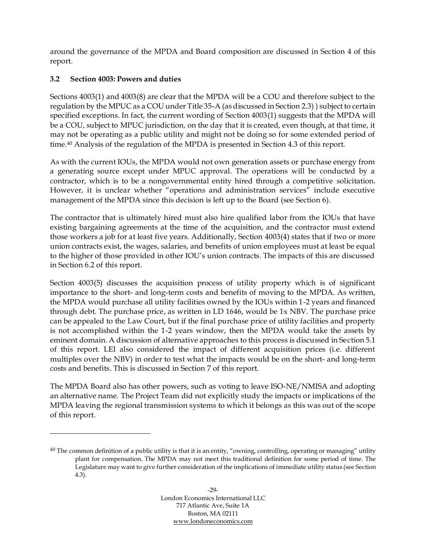around the governance of the MPDA and Board composition are discussed in Section [4](#page-37-0) of this report.

#### <span id="page-35-0"></span>**3.2 Section 4003: Powers and duties**

Sections 4003(1) and 4003(8) are clear that the MPDA will be a COU and therefore subject to the regulation by the MPUC as a COU under Title 35-A (as discussed in Section [2.3\)](#page-30-1) ) subject to certain specified exceptions. In fact, the current wording of Section 4003(1) suggests that the MPDA will be a COU, subject to MPUC jurisdiction, on the day that it is created, even though, at that time, it may not be operating as a public utility and might not be doing so for some extended period of time.<sup>40</sup> Analysis of the regulation of the MPDA is presented in Section [4.3](#page-40-0) of this report.

As with the current IOUs, the MPDA would not own generation assets or purchase energy from a generating source except under MPUC approval. The operations will be conducted by a contractor, which is to be a nongovernmental entity hired through a competitive solicitation. However, it is unclear whether "operations and administration services" include executive management of the MPDA since this decision is left up to the Board (see Section [6\)](#page-51-0).

The contractor that is ultimately hired must also hire qualified labor from the IOUs that have existing bargaining agreements at the time of the acquisition, and the contractor must extend those workers a job for at least five years. Additionally, Section 4003(4) states that if two or more union contracts exist, the wages, salaries, and benefits of union employees must at least be equal to the higher of those provided in other IOU's union contracts. The impacts of this are discussed in Section [6.2](#page-53-0) of this report.

Section 4003(5) discusses the acquisition process of utility property which is of significant importance to the short- and long-term costs and benefits of moving to the MPDA. As written, the MPDA would purchase all utility facilities owned by the IOUs within 1-2 years and financed through debt. The purchase price, as written in LD 1646, would be 1x NBV. The purchase price can be appealed to the Law Court, but if the final purchase price of utility facilities and property is not accomplished within the 1-2 years window, then the MPDA would take the assets by eminent domain. A discussion of alternative approaches to this process is discussed in Section [5.1](#page-43-0) of this report. LEI also considered the impact of different acquisition prices (i.e. different multiples over the NBV) in order to test what the impacts would be on the short- and long-term costs and benefits. This is discussed in Section [7](#page-57-0) of this report.

The MPDA Board also has other powers, such as voting to leave ISO-NE/NMISA and adopting an alternative name. The Project Team did not explicitly study the impacts or implications of the MPDA leaving the regional transmission systems to which it belongs as this was out of the scope of this report.

 $40$  The common definition of a public utility is that it is an entity, "owning, controlling, operating or managing" utility plant for compensation. The MPDA may not meet this traditional definition for some period of time. The Legislature may want to give further consideration of the implications of immediate utility status (see Section [4.3\)](#page-40-0).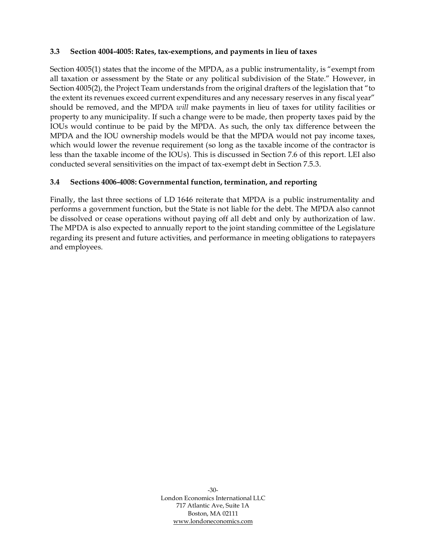#### **3.3 Section 4004-4005: Rates, tax-exemptions, and payments in lieu of taxes**

Section 4005(1) states that the income of the MPDA, as a public instrumentality, is "exempt from all taxation or assessment by the State or any political subdivision of the State." However, in Section 4005(2), the Project Team understands from the original drafters of the legislation that "to the extent its revenues exceed current expenditures and any necessary reserves in any fiscal year" should be removed, and the MPDA *will* make payments in lieu of taxes for utility facilities or property to any municipality. If such a change were to be made, then property taxes paid by the IOUs would continue to be paid by the MPDA. As such, the only tax difference between the MPDA and the IOU ownership models would be that the MPDA would not pay income taxes, which would lower the revenue requirement (so long as the taxable income of the contractor is less than the taxable income of the IOUs). This is discussed in Section [7.6](#page-85-0) of this report. LEI also conducted several sensitivities on the impact of tax-exempt debt in Section [7.5.3.](#page-76-0)

# **3.4 Sections 4006-4008: Governmental function, termination, and reporting**

Finally, the last three sections of LD 1646 reiterate that MPDA is a public instrumentality and performs a government function, but the State is not liable for the debt. The MPDA also cannot be dissolved or cease operations without paying off all debt and only by authorization of law. The MPDA is also expected to annually report to the joint standing committee of the Legislature regarding its present and future activities, and performance in meeting obligations to ratepayers and employees.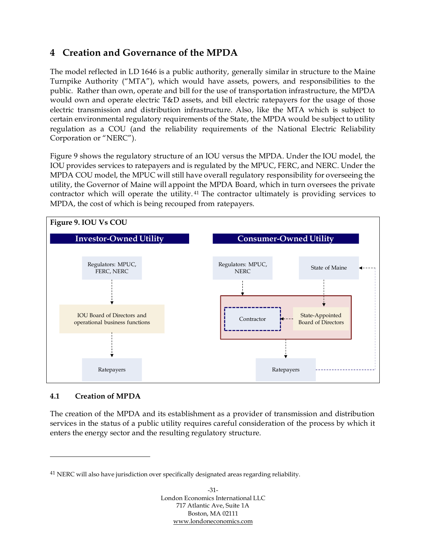# <span id="page-37-1"></span>**4 Creation and Governance of the MPDA**

The model reflected in LD 1646 is a public authority, generally similar in structure to the Maine Turnpike Authority ("MTA"), which would have assets, powers, and responsibilities to the public. Rather than own, operate and bill for the use of transportation infrastructure, the MPDA would own and operate electric T&D assets, and bill electric ratepayers for the usage of those electric transmission and distribution infrastructure. Also, like the MTA which is subject to certain environmental regulatory requirements of the State, the MPDA would be subject to utility regulation as a COU (and the reliability requirements of the National Electric Reliability Corporation or "NERC").

[Figure 9](#page-37-0) shows the regulatory structure of an IOU versus the MPDA. Under the IOU model, the IOU provides services to ratepayers and is regulated by the MPUC, FERC, and NERC. Under the MPDA COU model, the MPUC will still have overall regulatory responsibility for overseeing the utility, the Governor of Maine will appoint the MPDA Board, which in turn oversees the private contractor which will operate the utility. <sup>41</sup> The contractor ultimately is providing services to MPDA, the cost of which is being recouped from ratepayers.

<span id="page-37-0"></span>

#### **4.1 Creation of MPDA**

The creation of the MPDA and its establishment as a provider of transmission and distribution services in the status of a public utility requires careful consideration of the process by which it enters the energy sector and the resulting regulatory structure.

<sup>&</sup>lt;sup>41</sup> NERC will also have jurisdiction over specifically designated areas regarding reliability.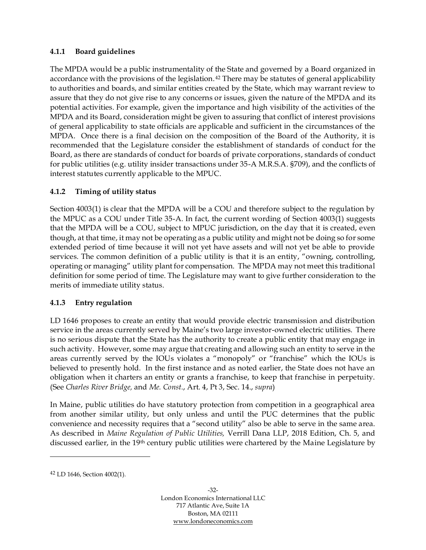## **4.1.1 Board guidelines**

The MPDA would be a public instrumentality of the State and governed by a Board organized in accordance with the provisions of the legislation.<sup>42</sup> There may be statutes of general applicability to authorities and boards, and similar entities created by the State, which may warrant review to assure that they do not give rise to any concerns or issues, given the nature of the MPDA and its potential activities. For example, given the importance and high visibility of the activities of the MPDA and its Board, consideration might be given to assuring that conflict of interest provisions of general applicability to state officials are applicable and sufficient in the circumstances of the MPDA. Once there is a final decision on the composition of the Board of the Authority, it is recommended that the Legislature consider the establishment of standards of conduct for the Board, as there are standards of conduct for boards of private corporations, standards of conduct for public utilities (e.g. utility insider transactions under 35-A M.R.S.A. §709), and the conflicts of interest statutes currently applicable to the MPUC.

# **4.1.2 Timing of utility status**

Section 4003(1) is clear that the MPDA will be a COU and therefore subject to the regulation by the MPUC as a COU under Title 35-A. In fact, the current wording of Section 4003(1) suggests that the MPDA will be a COU, subject to MPUC jurisdiction, on the day that it is created, even though, at that time, it may not be operating as a public utility and might not be doing so for some extended period of time because it will not yet have assets and will not yet be able to provide services. The common definition of a public utility is that it is an entity, "owning, controlling, operating or managing" utility plant for compensation. The MPDA may not meet this traditional definition for some period of time. The Legislature may want to give further consideration to the merits of immediate utility status.

#### **4.1.3 Entry regulation**

LD 1646 proposes to create an entity that would provide electric transmission and distribution service in the areas currently served by Maine's two large investor-owned electric utilities. There is no serious dispute that the State has the authority to create a public entity that may engage in such activity. However, some may argue that creating and allowing such an entity to serve in the areas currently served by the IOUs violates a "monopoly" or "franchise" which the IOUs is believed to presently hold. In the first instance and as noted earlier, the State does not have an obligation when it charters an entity or grants a franchise, to keep that franchise in perpetuity. (See *Charles River Bridge,* and *Me. Const.*, Art. 4, Pt 3, Sec. 14., *supra*)

In Maine, public utilities do have statutory protection from competition in a geographical area from another similar utility, but only unless and until the PUC determines that the public convenience and necessity requires that a "second utility" also be able to serve in the same area. As described in *Maine Regulation of Public Utilities,* Verrill Dana LLP, 2018 Edition, Ch. 5, and discussed earlier, in the 19th century public utilities were chartered by the Maine Legislature by

<sup>42</sup> LD 1646, Section 4002(1).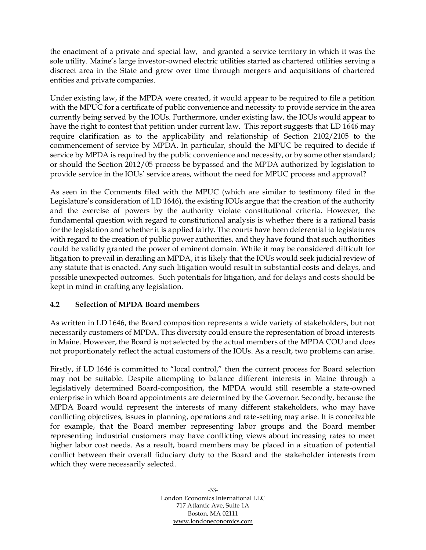the enactment of a private and special law, and granted a service territory in which it was the sole utility. Maine's large investor-owned electric utilities started as chartered utilities serving a discreet area in the State and grew over time through mergers and acquisitions of chartered entities and private companies.

Under existing law, if the MPDA were created, it would appear to be required to file a petition with the MPUC for a certificate of public convenience and necessity to provide service in the area currently being served by the IOUs. Furthermore, under existing law, the IOUs would appear to have the right to contest that petition under current law. This report suggests that LD 1646 may require clarification as to the applicability and relationship of Section 2102/2105 to the commencement of service by MPDA. In particular, should the MPUC be required to decide if service by MPDA is required by the public convenience and necessity, or by some other standard; or should the Section 2012/05 process be bypassed and the MPDA authorized by legislation to provide service in the IOUs' service areas, without the need for MPUC process and approval?

As seen in the Comments filed with the MPUC (which are similar to testimony filed in the Legislature's consideration of LD 1646), the existing IOUs argue that the creation of the authority and the exercise of powers by the authority violate constitutional criteria. However, the fundamental question with regard to constitutional analysis is whether there is a rational basis for the legislation and whether it is applied fairly. The courts have been deferential to legislatures with regard to the creation of public power authorities, and they have found that such authorities could be validly granted the power of eminent domain. While it may be considered difficult for litigation to prevail in derailing an MPDA, it is likely that the IOUs would seek judicial review of any statute that is enacted. Any such litigation would result in substantial costs and delays, and possible unexpected outcomes. Such potentials for litigation, and for delays and costs should be kept in mind in crafting any legislation.

# **4.2 Selection of MPDA Board members**

As written in LD 1646, the Board composition represents a wide variety of stakeholders, but not necessarily customers of MPDA. This diversity could ensure the representation of broad interests in Maine. However, the Board is not selected by the actual members of the MPDA COU and does not proportionately reflect the actual customers of the IOUs. As a result, two problems can arise.

Firstly, if LD 1646 is committed to "local control," then the current process for Board selection may not be suitable. Despite attempting to balance different interests in Maine through a legislatively determined Board-composition, the MPDA would still resemble a state-owned enterprise in which Board appointments are determined by the Governor. Secondly, because the MPDA Board would represent the interests of many different stakeholders, who may have conflicting objectives, issues in planning, operations and rate-setting may arise. It is conceivable for example, that the Board member representing labor groups and the Board member representing industrial customers may have conflicting views about increasing rates to meet higher labor cost needs. As a result, board members may be placed in a situation of potential conflict between their overall fiduciary duty to the Board and the stakeholder interests from which they were necessarily selected.

> -33- London Economics International LLC 717 Atlantic Ave, Suite 1A Boston, MA 02111 [www.londoneconomics.com](http://www.londoneconomics.com/)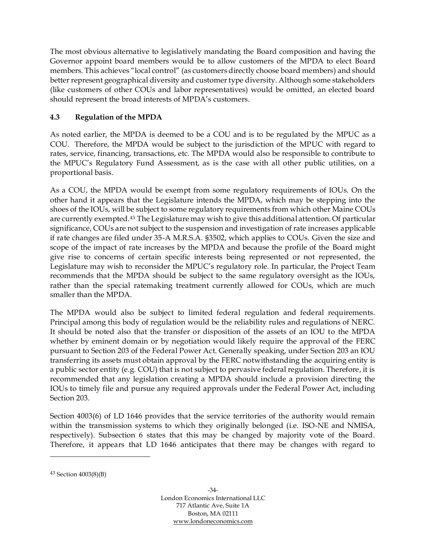The most obvious alternative to legislatively mandating the Board composition and having the Governor appoint board members would be to allow customers of the MPDA to elect Board members. This achieves "local control" (as customers directly choose board members) and should better represent geographical diversity and customer type diversity. Although some stakeholders (like customers of other COUs and labor representatives) would be omitted, an elected board should represent the broad interests of MPDA's customers.

# **4.3 Regulation of the MPDA**

As noted earlier, the MPDA is deemed to be a COU and is to be regulated by the MPUC as a COU. Therefore, the MPDA would be subject to the jurisdiction of the MPUC with regard to rates, service, financing, transactions, etc. The MPDA would also be responsible to contribute to the MPUC's Regulatory Fund Assessment, as is the case with all other public utilities, on a proportional basis.

As a COU, the MPDA would be exempt from some regulatory requirements of IOUs. On the other hand it appears that the Legislature intends the MPDA, which may be stepping into the shoes of the IOUs, will be subject to some regulatory requirements from which other Maine COUs are currently exempted.<sup>43</sup> The Legislature may wish to give this additional attention. Of particular significance, COUs are not subject to the suspension and investigation of rate increases applicable if rate changes are filed under 35-A M.R.S.A. §3502, which applies to COUs. Given the size and scope of the impact of rate increases by the MPDA and because the profile of the Board might give rise to concerns of certain specific interests being represented or not represented, the Legislature may wish to reconsider the MPUC's regulatory role. In particular, the Project Team recommends that the MPDA should be subject to the same regulatory oversight as the IOUs, rather than the special ratemaking treatment currently allowed for COUs, which are much smaller than the MPDA.

The MPDA would also be subject to limited federal regulation and federal requirements. Principal among this body of regulation would be the reliability rules and regulations of NERC. It should be noted also that the transfer or disposition of the assets of an IOU to the MPDA whether by eminent domain or by negotiation would likely require the approval of the FERC pursuant to Section 203 of the Federal Power Act. Generally speaking, under Section 203 an IOU transferring its assets must obtain approval by the FERC notwithstanding the acquiring entity is a public sector entity (e.g. COU) that is not subject to pervasive federal regulation. Therefore, it is recommended that any legislation creating a MPDA should include a provision directing the IOUs to timely file and pursue any required approvals under the Federal Power Act, including Section 203.

Section 4003(6) of LD 1646 provides that the service territories of the authority would remain within the transmission systems to which they originally belonged (i.e. ISO-NE and NMISA, respectively). Subsection 6 states that this may be changed by majority vote of the Board. Therefore, it appears that LD 1646 anticipates that there may be changes with regard to

<sup>43</sup> Section 4003(8)(B)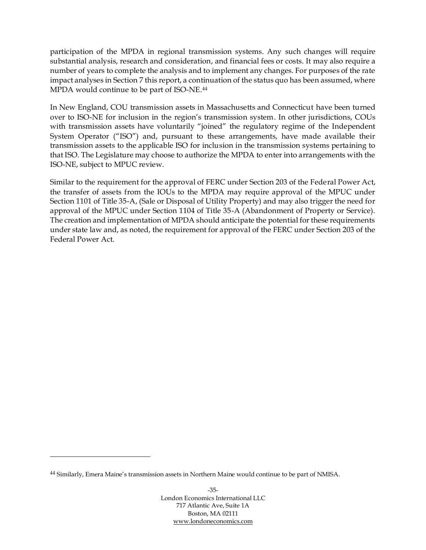participation of the MPDA in regional transmission systems. Any such changes will require substantial analysis, research and consideration, and financial fees or costs. It may also require a number of years to complete the analysis and to implement any changes. For purposes of the rate impact analyses in Section [7](#page-57-0) this report, a continuation of the status quo has been assumed, where MPDA would continue to be part of ISO-NE.<sup>44</sup>

In New England, COU transmission assets in Massachusetts and Connecticut have been turned over to ISO-NE for inclusion in the region's transmission system. In other jurisdictions, COUs with transmission assets have voluntarily "joined" the regulatory regime of the Independent System Operator ("ISO") and, pursuant to these arrangements, have made available their transmission assets to the applicable ISO for inclusion in the transmission systems pertaining to that ISO. The Legislature may choose to authorize the MPDA to enter into arrangements with the ISO-NE, subject to MPUC review.

Similar to the requirement for the approval of FERC under Section 203 of the Federal Power Act, the transfer of assets from the IOUs to the MPDA may require approval of the MPUC under Section 1101 of Title 35-A, (Sale or Disposal of Utility Property) and may also trigger the need for approval of the MPUC under Section 1104 of Title 35-A (Abandonment of Property or Service). The creation and implementation of MPDA should anticipate the potential for these requirements under state law and, as noted, the requirement for approval of the FERC under Section 203 of the Federal Power Act.

<sup>44</sup> Similarly, Emera Maine's transmission assets in Northern Maine would continue to be part of NMISA.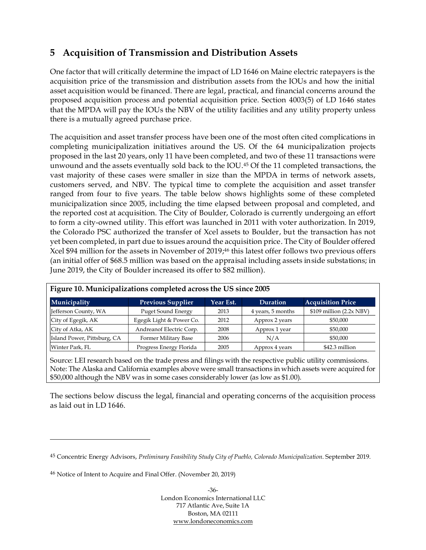# **5 Acquisition of Transmission and Distribution Assets**

One factor that will critically determine the impact of LD 1646 on Maine electric ratepayers is the acquisition price of the transmission and distribution assets from the IOUs and how the initial asset acquisition would be financed. There are legal, practical, and financial concerns around the proposed acquisition process and potential acquisition price. Section 4003(5) of LD 1646 states that the MPDA will pay the IOUs the NBV of the utility facilities and any utility property unless there is a mutually agreed purchase price.

The acquisition and asset transfer process have been one of the most often cited complications in completing municipalization initiatives around the US. Of the 64 municipalization projects proposed in the last 20 years, only 11 have been completed, and two of these 11 transactions were unwound and the assets eventually sold back to the IOU. <sup>45</sup> Of the 11 completed transactions, the vast majority of these cases were smaller in size than the MPDA in terms of network assets, customers served, and NBV. The typical time to complete the acquisition and asset transfer ranged from four to five years. The table below shows highlights some of these completed municipalization since 2005, including the time elapsed between proposal and completed, and the reported cost at acquisition. The City of Boulder, Colorado is currently undergoing an effort to form a city-owned utility. This effort was launched in 2011 with voter authorization. In 2019, the Colorado PSC authorized the transfer of Xcel assets to Boulder, but the transaction has not yet been completed, in part due to issues around the acquisition price. The City of Boulder offered Xcel \$94 million for the assets in November of 2019; <sup>46</sup> this latest offer follows two previous offers (an initial offer of \$68.5 million was based on the appraisal including assets inside substations; in June 2019, the City of Boulder increased its offer to \$82 million).

| Figure 10. Municipalizations completed across the US since 2005 |                           |           |                   |                             |  |  |  |  |  |
|-----------------------------------------------------------------|---------------------------|-----------|-------------------|-----------------------------|--|--|--|--|--|
| Municipality                                                    | <b>Previous Supplier</b>  | Year Est. | <b>Duration</b>   | <b>Acquisition Price</b>    |  |  |  |  |  |
| Jefferson County, WA                                            | <b>Puget Sound Energy</b> | 2013      | 4 years, 5 months | $$109$ million $(2.2x$ NBV) |  |  |  |  |  |
| City of Egegik, AK                                              | Egegik Light & Power Co.  | 2012      | Approx 2 years    | \$50,000                    |  |  |  |  |  |
| City of Atka, AK                                                | Andreanof Electric Corp.  | 2008      | Approx 1 year     | \$50,000                    |  |  |  |  |  |
| Island Power, Pittsburg, CA                                     | Former Military Base      | 2006      | N/A               | \$50,000                    |  |  |  |  |  |
| Winter Park, FL                                                 | Progress Energy Florida   | 2005      | Approx 4 years    | \$42.3 million              |  |  |  |  |  |

| Figure 10. Municipalizations completed across the US since 2005 |
|-----------------------------------------------------------------|
|-----------------------------------------------------------------|

Source: LEI research based on the trade press and filings with the respective public utility commissions. Note: The Alaska and California examples above were small transactions in which assets were acquired for \$50,000 although the NBV was in some cases considerably lower (as low as \$1.00).

The sections below discuss the legal, financial and operating concerns of the acquisition process as laid out in LD 1646.

<sup>45</sup> Concentric Energy Advisors, *Preliminary Feasibility Study City of Pueblo, Colorado Municipalization*. September 2019.

<sup>46</sup> Notice of Intent to Acquire and Final Offer. (November 20, 2019)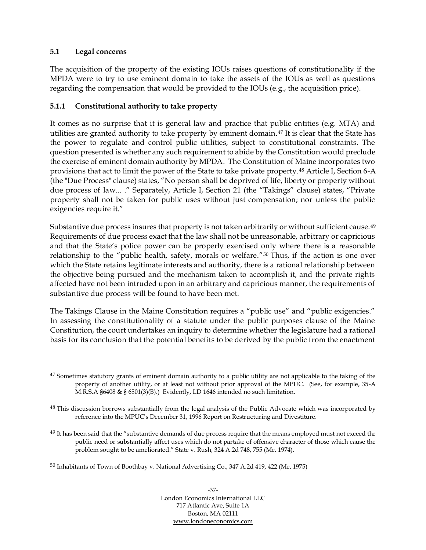## <span id="page-43-0"></span>**5.1 Legal concerns**

The acquisition of the property of the existing IOUs raises questions of constitutionality if the MPDA were to try to use eminent domain to take the assets of the IOUs as well as questions regarding the compensation that would be provided to the IOUs (e.g., the acquisition price).

#### **5.1.1 Constitutional authority to take property**

It comes as no surprise that it is general law and practice that public entities (e.g. MTA) and utilities are granted authority to take property by eminent domain.<sup>47</sup> It is clear that the State has the power to regulate and control public utilities, subject to constitutional constraints. The question presented is whether any such requirement to abide by the Constitution would preclude the exercise of eminent domain authority by MPDA. The Constitution of Maine incorporates two provisions that act to limit the power of the State to take private property. <sup>48</sup> Article I, Section 6-A (the "Due Process" clause) states, "No person shall be deprived of life, liberty or property without due process of law... ." Separately, Article I, Section 21 (the "Takings" clause) states, "Private property shall not be taken for public uses without just compensation; nor unless the public exigencies require it."

Substantive due process insures that property is not taken arbitrarily or without sufficient cause.<sup>49</sup> Requirements of due process exact that the law shall not be unreasonable, arbitrary or capricious and that the State's police power can be properly exercised only where there is a reasonable relationship to the "public health, safety, morals or welfare."<sup>50</sup> Thus, if the action is one over which the State retains legitimate interests and authority, there is a rational relationship between the objective being pursued and the mechanism taken to accomplish it, and the private rights affected have not been intruded upon in an arbitrary and capricious manner, the requirements of substantive due process will be found to have been met.

The Takings Clause in the Maine Constitution requires a "public use" and "public exigencies." In assessing the constitutionality of a statute under the public purposes clause of the Maine Constitution, the court undertakes an inquiry to determine whether the legislature had a rational basis for its conclusion that the potential benefits to be derived by the public from the enactment

 $47$  Sometimes statutory grants of eminent domain authority to a public utility are not applicable to the taking of the property of another utility, or at least not without prior approval of the MPUC. (See, for example, 35-A M.R.S.A  $\S6408 \& \S 6501(3)(B)$ .) Evidently, LD 1646 intended no such limitation.

<sup>&</sup>lt;sup>48</sup> This discussion borrows substantially from the legal analysis of the Public Advocate which was incorporated by reference into the MPUC's December 31, 1996 Report on Restructuring and Divestiture.

<sup>&</sup>lt;sup>49</sup> It has been said that the "substantive demands of due process require that the means employed must not exceed the public need or substantially affect uses which do not partake of offensive character of those which cause the problem sought to be ameliorated." State v. Rush, 324 A.2d 748, 755 (Me. 1974).

<sup>50</sup> Inhabitants of Town of Boothbay v. National Advertising Co., 347 A.2d 419, 422 (Me. 1975)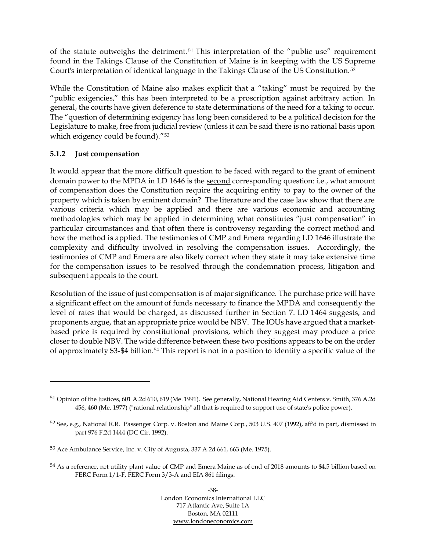of the statute outweighs the detriment. <sup>51</sup> This interpretation of the "public use" requirement found in the Takings Clause of the Constitution of Maine is in keeping with the US Supreme Court's interpretation of identical language in the Takings Clause of the US Constitution. <sup>52</sup>

While the Constitution of Maine also makes explicit that a "taking" must be required by the "public exigencies," this has been interpreted to be a proscription against arbitrary action. In general, the courts have given deference to state determinations of the need for a taking to occur. The "question of determining exigency has long been considered to be a political decision for the Legislature to make, free from judicial review (unless it can be said there is no rational basis upon which exigency could be found)."<sup>53</sup>

## **5.1.2 Just compensation**

It would appear that the more difficult question to be faced with regard to the grant of eminent domain power to the MPDA in LD 1646 is the second corresponding question: i.e., what amount of compensation does the Constitution require the acquiring entity to pay to the owner of the property which is taken by eminent domain? The literature and the case law show that there are various criteria which may be applied and there are various economic and accounting methodologies which may be applied in determining what constitutes "just compensation" in particular circumstances and that often there is controversy regarding the correct method and how the method is applied. The testimonies of CMP and Emera regarding LD 1646 illustrate the complexity and difficulty involved in resolving the compensation issues. Accordingly, the testimonies of CMP and Emera are also likely correct when they state it may take extensive time for the compensation issues to be resolved through the condemnation process, litigation and subsequent appeals to the court.

Resolution of the issue of just compensation is of major significance. The purchase price will have a significant effect on the amount of funds necessary to finance the MPDA and consequently the level of rates that would be charged, as discussed further in Section [7.](#page-57-0) LD 1464 suggests, and proponents argue, that an appropriate price would be NBV. The IOUs have argued that a marketbased price is required by constitutional provisions, which they suggest may produce a price closer to double NBV. The wide difference between these two positions appears to be on the order of approximately \$3-\$4 billion. <sup>54</sup> This report is not in a position to identify a specific value of the

<sup>51</sup> Opinion of the Justices, 601 A.2d 610, 619 (Me. 1991). See generally, National Hearing Aid Centers v. Smith, 376 A.2d 456, 460 (Me. 1977) ("rational relationship" all that is required to support use of state's police power).

<sup>52</sup> See, e.g., National R.R. Passenger Corp. v. Boston and Maine Corp., 503 U.S. 407 (1992), aff'd in part, dismissed in part 976 F.2d 1444 (DC Cir. 1992).

<sup>53</sup> Ace Ambulance Service, Inc. v. City of Augusta, 337 A.2d 661, 663 (Me. 1975).

<sup>54</sup> As a reference, net utility plant value of CMP and Emera Maine as of end of 2018 amounts to \$4.5 billion based on FERC Form 1/1-F, FERC Form 3/3-A and EIA 861 filings.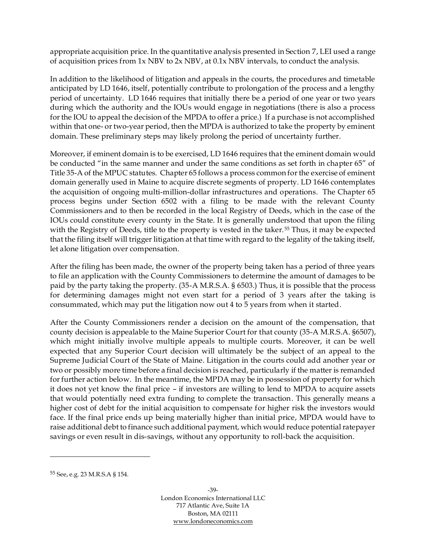appropriate acquisition price. In the quantitative analysis presented in Section [7,](#page-57-0) LEI used a range of acquisition prices from 1x NBV to 2x NBV, at 0.1x NBV intervals, to conduct the analysis.

In addition to the likelihood of litigation and appeals in the courts, the procedures and timetable anticipated by LD 1646, itself, potentially contribute to prolongation of the process and a lengthy period of uncertainty. LD 1646 requires that initially there be a period of one year or two years during which the authority and the IOUs would engage in negotiations (there is also a process for the IOU to appeal the decision of the MPDA to offer a price.) If a purchase is not accomplished within that one- or two-year period, then the MPDA is authorized to take the property by eminent domain. These preliminary steps may likely prolong the period of uncertainty further.

Moreover, if eminent domain is to be exercised, LD 1646 requires that the eminent domain would be conducted "in the same manner and under the same conditions as set forth in chapter 65" of Title 35-A of the MPUC statutes. Chapter 65 follows a process common for the exercise of eminent domain generally used in Maine to acquire discrete segments of property. LD 1646 contemplates the acquisition of ongoing multi-million-dollar infrastructures and operations. The Chapter 65 process begins under Section 6502 with a filing to be made with the relevant County Commissioners and to then be recorded in the local Registry of Deeds, which in the case of the IOUs could constitute every county in the State. It is generally understood that upon the filing with the Registry of Deeds, title to the property is vested in the taker.<sup>55</sup> Thus, it may be expected that the filing itself will trigger litigation at that time with regard to the legality of the taking itself, let alone litigation over compensation.

After the filing has been made, the owner of the property being taken has a period of three years to file an application with the County Commissioners to determine the amount of damages to be paid by the party taking the property. (35-A M.R.S.A. § 6503.) Thus, it is possible that the process for determining damages might not even start for a period of 3 years after the taking is consummated, which may put the litigation now out 4 to 5 years from when it started.

After the County Commissioners render a decision on the amount of the compensation, that county decision is appealable to the Maine Superior Court for that county (35-A M.R.S.A. §6507), which might initially involve multiple appeals to multiple courts. Moreover, it can be well expected that any Superior Court decision will ultimately be the subject of an appeal to the Supreme Judicial Court of the State of Maine. Litigation in the courts could add another year or two or possibly more time before a final decision is reached, particularly if the matter is remanded for further action below. In the meantime, the MPDA may be in possession of property for which it does not yet know the final price – if investors are willing to lend to MPDA to acquire assets that would potentially need extra funding to complete the transaction. This generally means a higher cost of debt for the initial acquisition to compensate for higher risk the investors would face. If the final price ends up being materially higher than initial price, MPDA would have to raise additional debt to finance such additional payment, which would reduce potential ratepayer savings or even result in dis-savings, without any opportunity to roll-back the acquisition.

<sup>55</sup> See, e.g. 23 M.R.S.A § 154.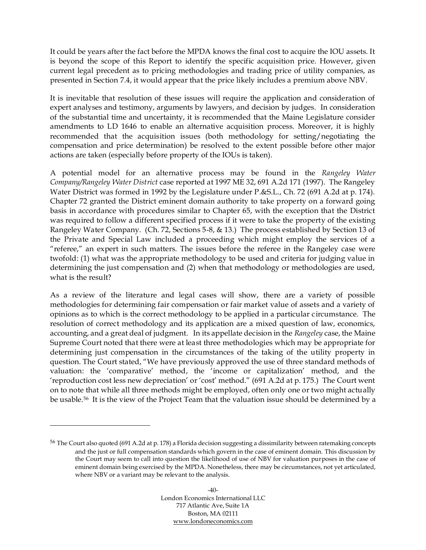It could be years after the fact before the MPDA knows the final cost to acquire the IOU assets. It is beyond the scope of this Report to identify the specific acquisition price. However, given current legal precedent as to pricing methodologies and trading price of utility companies, as presented in Section [7.4,](#page-71-0) it would appear that the price likely includes a premium above NBV.

It is inevitable that resolution of these issues will require the application and consideration of expert analyses and testimony, arguments by lawyers, and decision by judges. In consideration of the substantial time and uncertainty, it is recommended that the Maine Legislature consider amendments to LD 1646 to enable an alternative acquisition process. Moreover, it is highly recommended that the acquisition issues (both methodology for setting/negotiating the compensation and price determination) be resolved to the extent possible before other major actions are taken (especially before property of the IOUs is taken).

A potential model for an alternative process may be found in the *Rangeley Water Company/Rangeley Water District* case reported at 1997 ME 32, 691 A.2d 171 (1997). The Rangeley Water District was formed in 1992 by the Legislature under P.&S.L., Ch. 72 (691 A.2d at p. 174). Chapter 72 granted the District eminent domain authority to take property on a forward going basis in accordance with procedures similar to Chapter 65, with the exception that the District was required to follow a different specified process if it were to take the property of the existing Rangeley Water Company. (Ch. 72, Sections 5-8, & 13.) The process established by Section 13 of the Private and Special Law included a proceeding which might employ the services of a "referee," an expert in such matters. The issues before the referee in the Rangeley case were twofold: (1) what was the appropriate methodology to be used and criteria for judging value in determining the just compensation and (2) when that methodology or methodologies are used, what is the result?

As a review of the literature and legal cases will show, there are a variety of possible methodologies for determining fair compensation or fair market value of assets and a variety of opinions as to which is the correct methodology to be applied in a particular circumstance. The resolution of correct methodology and its application are a mixed question of law, economics, accounting, and a great deal of judgment. In its appellate decision in the *Rangeley* case, the Maine Supreme Court noted that there were at least three methodologies which may be appropriate for determining just compensation in the circumstances of the taking of the utility property in question. The Court stated, "We have previously approved the use of three standard methods of valuation: the 'comparative' method, the 'income or capitalization' method, and the 'reproduction cost less new depreciation' or 'cost' method." (691 A.2d at p. 175.) The Court went on to note that while all three methods might be employed, often only one or two might actually be usable.56 It is the view of the Project Team that the valuation issue should be determined by a

<sup>56</sup> The Court also quoted (691 A.2d at p. 178) a Florida decision suggesting a dissimilarity between ratemaking concepts and the just or full compensation standards which govern in the case of eminent domain. This discussion by the Court may seem to call into question the likelihood of use of NBV for valuation purposes in the case of eminent domain being exercised by the MPDA. Nonetheless, there may be circumstances, not yet articulated, where NBV or a variant may be relevant to the analysis.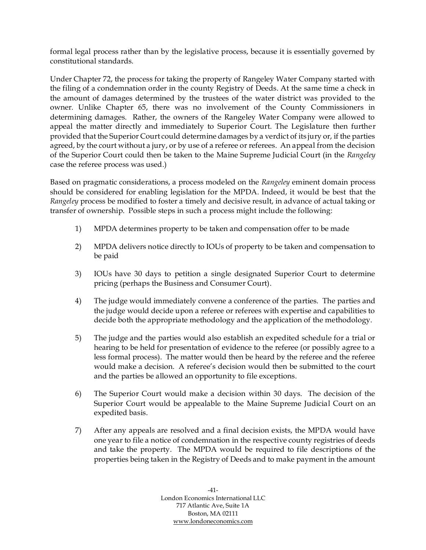formal legal process rather than by the legislative process, because it is essentially governed by constitutional standards.

Under Chapter 72, the process for taking the property of Rangeley Water Company started with the filing of a condemnation order in the county Registry of Deeds. At the same time a check in the amount of damages determined by the trustees of the water district was provided to the owner. Unlike Chapter 65, there was no involvement of the County Commissioners in determining damages. Rather, the owners of the Rangeley Water Company were allowed to appeal the matter directly and immediately to Superior Court. The Legislature then further provided that the Superior Court could determine damages by a verdict of its jury or, if the parties agreed, by the court without a jury, or by use of a referee or referees. An appeal from the decision of the Superior Court could then be taken to the Maine Supreme Judicial Court (in the *Rangeley* case the referee process was used.)

Based on pragmatic considerations, a process modeled on the *Rangeley* eminent domain process should be considered for enabling legislation for the MPDA. Indeed, it would be best that the *Rangeley* process be modified to foster a timely and decisive result, in advance of actual taking or transfer of ownership. Possible steps in such a process might include the following:

- 1) MPDA determines property to be taken and compensation offer to be made
- 2) MPDA delivers notice directly to IOUs of property to be taken and compensation to be paid
- 3) IOUs have 30 days to petition a single designated Superior Court to determine pricing (perhaps the Business and Consumer Court).
- 4) The judge would immediately convene a conference of the parties. The parties and the judge would decide upon a referee or referees with expertise and capabilities to decide both the appropriate methodology and the application of the methodology.
- 5) The judge and the parties would also establish an expedited schedule for a trial or hearing to be held for presentation of evidence to the referee (or possibly agree to a less formal process). The matter would then be heard by the referee and the referee would make a decision. A referee's decision would then be submitted to the court and the parties be allowed an opportunity to file exceptions.
- 6) The Superior Court would make a decision within 30 days. The decision of the Superior Court would be appealable to the Maine Supreme Judicial Court on an expedited basis.
- 7) After any appeals are resolved and a final decision exists, the MPDA would have one year to file a notice of condemnation in the respective county registries of deeds and take the property. The MPDA would be required to file descriptions of the properties being taken in the Registry of Deeds and to make payment in the amount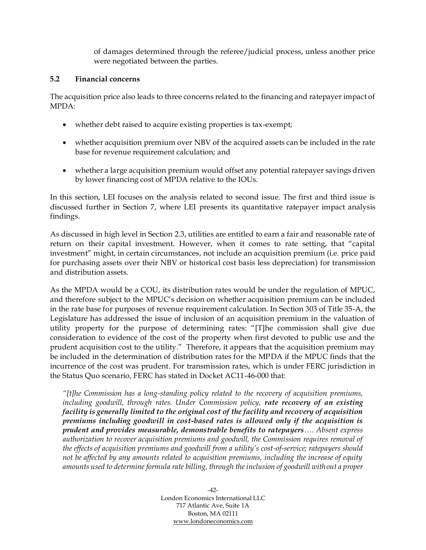of damages determined through the referee/judicial process, unless another price were negotiated between the parties.

#### <span id="page-48-0"></span>**5.2 Financial concerns**

The acquisition price also leads to three concerns related to the financing and ratepayer impact of MPDA:

- whether debt raised to acquire existing properties is tax-exempt;
- whether acquisition premium over NBV of the acquired assets can be included in the rate base for revenue requirement calculation; and
- whether a large acquisition premium would offset any potential ratepayer savings driven by lower financing cost of MPDA relative to the IOUs.

In this section, LEI focuses on the analysis related to second issue. The first and third issue is discussed further in Section [7,](#page-57-0) where LEI presents its quantitative ratepayer impact analysis findings.

As discussed in high level in Section [2.3,](#page-30-0) utilities are entitled to earn a fair and reasonable rate of return on their capital investment. However, when it comes to rate setting, that "capital investment" might, in certain circumstances, not include an acquisition premium (i.e. price paid for purchasing assets over their NBV or historical cost basis less depreciation) for transmission and distribution assets.

As the MPDA would be a COU, its distribution rates would be under the regulation of MPUC, and therefore subject to the MPUC's decision on whether acquisition premium can be included in the rate base for purposes of revenue requirement calculation. In Section 303 of Title 35-A, the Legislature has addressed the issue of inclusion of an acquisition premium in the valuation of utility property for the purpose of determining rates: "[T]he commission shall give due consideration to evidence of the cost of the property when first devoted to public use and the prudent acquisition cost to the utility." Therefore, it appears that the acquisition premium may be included in the determination of distribution rates for the MPDA if the MPUC finds that the incurrence of the cost was prudent. For transmission rates, which is under FERC jurisdiction in the Status Quo scenario, FERC has stated in Docket AC11-46-000 that:

*"[t]he Commission has a long-standing policy related to the recovery of acquisition premiums, including goodwill, through rates. Under Commission policy, rate recovery of an existing facility is generally limited to the original cost of the facility and recovery of acquisition premiums including goodwill in cost-based rates is allowed only if the acquisition is prudent and provides measurable, demonstrable benefits to ratepayers…. Absent express authorization to recover acquisition premiums and goodwill, the Commission requires removal of the effects of acquisition premiums and goodwill from a utility's cost-of-service; ratepayers should not be affected by any amounts related to acquisition premiums, including the increase of equity amounts used to determine formula rate billing, through the inclusion of goodwill without a proper*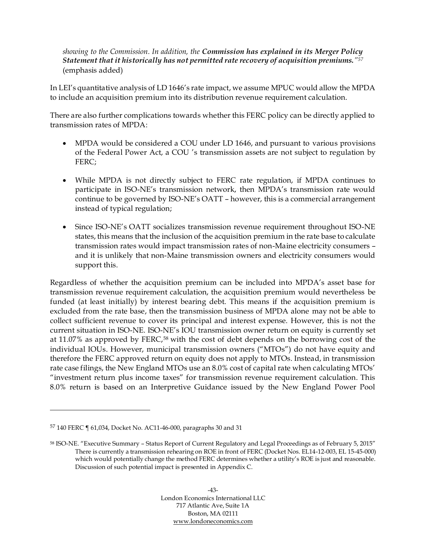#### *showing to the Commission. In addition, the Commission has explained in its Merger Policy Statement that it historically has not permitted rate recovery of acquisition premiums."<sup>57</sup>* (emphasis added)

In LEI's quantitative analysis of LD 1646's rate impact, we assume MPUC would allow the MPDA to include an acquisition premium into its distribution revenue requirement calculation.

There are also further complications towards whether this FERC policy can be directly applied to transmission rates of MPDA:

- MPDA would be considered a COU under LD 1646, and pursuant to various provisions of the Federal Power Act, a COU 's transmission assets are not subject to regulation by FERC;
- While MPDA is not directly subject to FERC rate regulation, if MPDA continues to participate in ISO-NE's transmission network, then MPDA's transmission rate would continue to be governed by ISO-NE's OATT – however, this is a commercial arrangement instead of typical regulation;
- Since ISO-NE's OATT socializes transmission revenue requirement throughout ISO-NE states, this means that the inclusion of the acquisition premium in the rate base to calculate transmission rates would impact transmission rates of non-Maine electricity consumers – and it is unlikely that non-Maine transmission owners and electricity consumers would support this.

Regardless of whether the acquisition premium can be included into MPDA's asset base for transmission revenue requirement calculation, the acquisition premium would nevertheless be funded (at least initially) by interest bearing debt. This means if the acquisition premium is excluded from the rate base, then the transmission business of MPDA alone may not be able to collect sufficient revenue to cover its principal and interest expense. However, this is not the current situation in ISO-NE. ISO-NE's IOU transmission owner return on equity is currently set at 11.07% as approved by FERC,<sup>58</sup> with the cost of debt depends on the borrowing cost of the individual IOUs. However, municipal transmission owners ("MTOs") do not have equity and therefore the FERC approved return on equity does not apply to MTOs. Instead, in transmission rate case filings, the New England MTOs use an 8.0% cost of capital rate when calculating MTOs' "investment return plus income taxes" for transmission revenue requirement calculation. This 8.0% return is based on an Interpretive Guidance issued by the New England Power Pool

<sup>57</sup> 140 FERC ¶ 61,034, Docket No. AC11-46-000, paragraphs 30 and 31

<sup>58</sup> ISO-NE. "Executive Summary – Status Report of Current Regulatory and Legal Proceedings as of February 5, 2015" There is currently a transmission rehearing on ROE in front of FERC (Docket Nos. EL14-12-003, EL 15-45-000) which would potentially change the method FERC determines whether a utility's ROE is just and reasonable. Discussion of such potential impact is presented in Appendix C.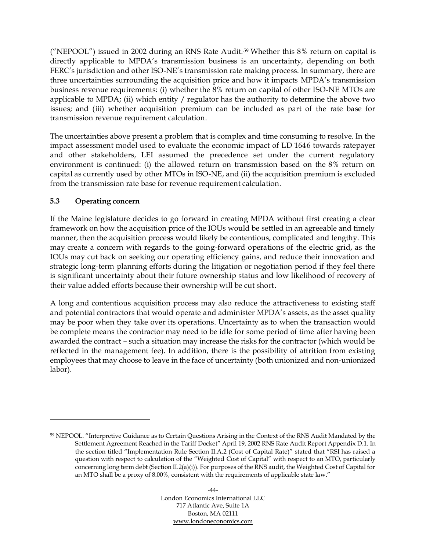("NEPOOL") issued in 2002 during an RNS Rate Audit.<sup>59</sup> Whether this 8% return on capital is directly applicable to MPDA's transmission business is an uncertainty, depending on both FERC's jurisdiction and other ISO-NE's transmission rate making process. In summary, there are three uncertainties surrounding the acquisition price and how it impacts MPDA's transmission business revenue requirements: (i) whether the 8% return on capital of other ISO-NE MTOs are applicable to MPDA; (ii) which entity / regulator has the authority to determine the above two issues; and (iii) whether acquisition premium can be included as part of the rate base for transmission revenue requirement calculation.

The uncertainties above present a problem that is complex and time consuming to resolve. In the impact assessment model used to evaluate the economic impact of LD 1646 towards ratepayer and other stakeholders, LEI assumed the precedence set under the current regulatory environment is continued: (i) the allowed return on transmission based on the 8% return on capital as currently used by other MTOs in ISO-NE, and (ii) the acquisition premium is excluded from the transmission rate base for revenue requirement calculation.

## **5.3 Operating concern**

If the Maine legislature decides to go forward in creating MPDA without first creating a clear framework on how the acquisition price of the IOUs would be settled in an agreeable and timely manner, then the acquisition process would likely be contentious, complicated and lengthy. This may create a concern with regards to the going-forward operations of the electric grid, as the IOUs may cut back on seeking our operating efficiency gains, and reduce their innovation and strategic long-term planning efforts during the litigation or negotiation period if they feel there is significant uncertainty about their future ownership status and low likelihood of recovery of their value added efforts because their ownership will be cut short.

A long and contentious acquisition process may also reduce the attractiveness to existing staff and potential contractors that would operate and administer MPDA's assets, as the asset quality may be poor when they take over its operations. Uncertainty as to when the transaction would be complete means the contractor may need to be idle for some period of time after having been awarded the contract – such a situation may increase the risks for the contractor (which would be reflected in the management fee). In addition, there is the possibility of attrition from existing employees that may choose to leave in the face of uncertainty (both unionized and non-unionized labor).

<sup>59</sup> NEPOOL. "Interpretive Guidance as to Certain Questions Arising in the Context of the RNS Audit Mandated by the Settlement Agreement Reached in the Tariff Docket" April 19, 2002 RNS Rate Audit Report Appendix D.1. In the section titled "Implementation Rule Section II.A.2 (Cost of Capital Rate)" stated that "RSI has raised a question with respect to calculation of the "Weighted Cost of Capital" with respect to an MTO, particularly concerning long term debt (Section II.2(a)(i)). For purposes of the RNS audit, the Weighted Cost of Capital for an MTO shall be a proxy of 8.00%, consistent with the requirements of applicable state law."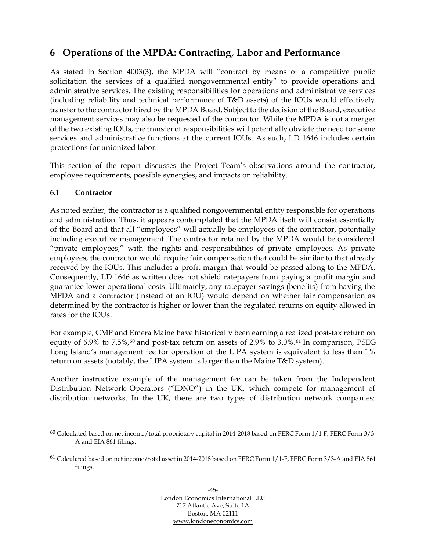# **6 Operations of the MPDA: Contracting, Labor and Performance**

As stated in Section 4003(3), the MPDA will "contract by means of a competitive public solicitation the services of a qualified nongovernmental entity" to provide operations and administrative services. The existing responsibilities for operations and administrative services (including reliability and technical performance of T&D assets) of the IOUs would effectively transfer to the contractor hired by the MPDA Board. Subject to the decision of the Board, executive management services may also be requested of the contractor. While the MPDA is not a merger of the two existing IOUs, the transfer of responsibilities will potentially obviate the need for some services and administrative functions at the current IOUs. As such, LD 1646 includes certain protections for unionized labor.

This section of the report discusses the Project Team's observations around the contractor, employee requirements, possible synergies, and impacts on reliability.

#### <span id="page-51-0"></span>**6.1 Contractor**

As noted earlier, the contractor is a qualified nongovernmental entity responsible for operations and administration. Thus, it appears contemplated that the MPDA itself will consist essentially of the Board and that all "employees" will actually be employees of the contractor, potentially including executive management. The contractor retained by the MPDA would be considered "private employees," with the rights and responsibilities of private employees. As private employees, the contractor would require fair compensation that could be similar to that already received by the IOUs. This includes a profit margin that would be passed along to the MPDA. Consequently, LD 1646 as written does not shield ratepayers from paying a profit margin and guarantee lower operational costs. Ultimately, any ratepayer savings (benefits) from having the MPDA and a contractor (instead of an IOU) would depend on whether fair compensation as determined by the contractor is higher or lower than the regulated returns on equity allowed in rates for the IOUs.

For example, CMP and Emera Maine have historically been earning a realized post-tax return on equity of 6.9% to 7.5%,<sup>60</sup> and post-tax return on assets of 2.9% to 3.0%.<sup>61</sup> In comparison, PSEG Long Island's management fee for operation of the LIPA system is equivalent to less than 1% return on assets (notably, the LIPA system is larger than the Maine T&D system).

Another instructive example of the management fee can be taken from the Independent Distribution Network Operators ("IDNO") in the UK, which compete for management of distribution networks. In the UK, there are two types of distribution network companies:

<sup>60</sup> Calculated based on net income/total proprietary capital in 2014-2018 based on FERC Form 1/1-F, FERC Form 3/3- A and EIA 861 filings.

<sup>61</sup> Calculated based on net income/total asset in 2014-2018 based on FERC Form 1/1-F, FERC Form 3/3-A and EIA 861 filings.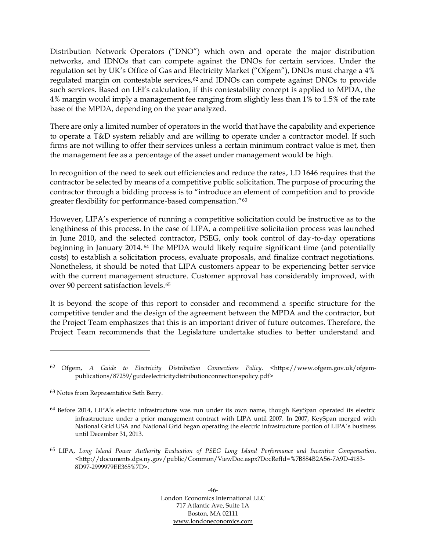Distribution Network Operators ("DNO") which own and operate the major distribution networks, and IDNOs that can compete against the DNOs for certain services. Under the regulation set by UK's Office of Gas and Electricity Market ("Ofgem"), DNOs must charge a 4% regulated margin on contestable services,<sup>62</sup> and IDNOs can compete against DNOs to provide such services. Based on LEI's calculation, if this contestability concept is applied to MPDA, the 4% margin would imply a management fee ranging from slightly less than 1% to 1.5% of the rate base of the MPDA, depending on the year analyzed.

There are only a limited number of operators in the world that have the capability and experience to operate a T&D system reliably and are willing to operate under a contractor model. If such firms are not willing to offer their services unless a certain minimum contract value is met, then the management fee as a percentage of the asset under management would be high.

In recognition of the need to seek out efficiencies and reduce the rates, LD 1646 requires that the contractor be selected by means of a competitive public solicitation. The purpose of procuring the contractor through a bidding process is to "introduce an element of competition and to provide greater flexibility for performance-based compensation."<sup>63</sup>

However, LIPA's experience of running a competitive solicitation could be instructive as to the lengthiness of this process. In the case of LIPA, a competitive solicitation process was launched in June 2010, and the selected contractor, PSEG, only took control of day-to-day operations beginning in January 2014. <sup>64</sup> The MPDA would likely require significant time (and potentially costs) to establish a solicitation process, evaluate proposals, and finalize contract negotiations. Nonetheless, it should be noted that LIPA customers appear to be experiencing better service with the current management structure. Customer approval has considerably improved, with over 90 percent satisfaction levels.<sup>65</sup>

It is beyond the scope of this report to consider and recommend a specific structure for the competitive tender and the design of the agreement between the MPDA and the contractor, but the Project Team emphasizes that this is an important driver of future outcomes. Therefore, the Project Team recommends that the Legislature undertake studies to better understand and

<sup>62</sup> Ofgem, *A Guide to Electricity Distribution Connections Policy*. <https://www.ofgem.gov.uk/ofgempublications/87259/guideelectricitydistributionconnectionspolicy.pdf>

<sup>63</sup> Notes from Representative Seth Berry.

<sup>64</sup> Before 2014, LIPA's electric infrastructure was run under its own name, though KeySpan operated its electric infrastructure under a prior management contract with LIPA until 2007. In 2007, KeySpan merged with National Grid USA and National Grid began operating the electric infrastructure portion of LIPA's business until December 31, 2013.

<sup>65</sup> LIPA, *Long Island Power Authority Evaluation of PSEG Long Island Performance and Incentive Compensation*. <http://documents.dps.ny.gov/public/Common/ViewDoc.aspx?DocRefId=%7B884B2A56-7A9D-4183- 8D97-2999979EE365%7D>.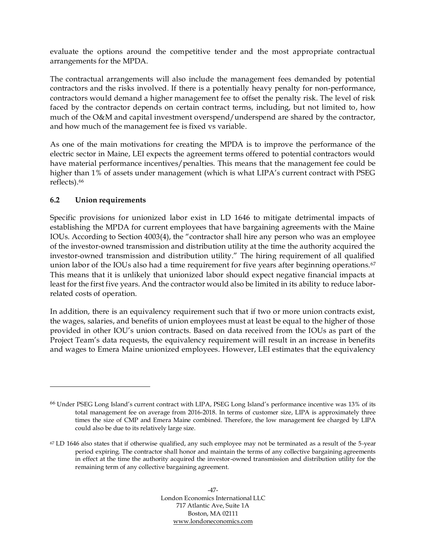evaluate the options around the competitive tender and the most appropriate contractual arrangements for the MPDA.

The contractual arrangements will also include the management fees demanded by potential contractors and the risks involved. If there is a potentially heavy penalty for non-performance, contractors would demand a higher management fee to offset the penalty risk. The level of risk faced by the contractor depends on certain contract terms, including, but not limited to, how much of the O&M and capital investment overspend/underspend are shared by the contractor, and how much of the management fee is fixed vs variable.

As one of the main motivations for creating the MPDA is to improve the performance of the electric sector in Maine, LEI expects the agreement terms offered to potential contractors would have material performance incentives/penalties. This means that the management fee could be higher than 1% of assets under management (which is what LIPA's current contract with PSEG reflects). 66

## **6.2 Union requirements**

Specific provisions for unionized labor exist in LD 1646 to mitigate detrimental impacts of establishing the MPDA for current employees that have bargaining agreements with the Maine IOUs. According to Section 4003(4), the "contractor shall hire any person who was an employee of the investor-owned transmission and distribution utility at the time the authority acquired the investor-owned transmission and distribution utility." The hiring requirement of all qualified union labor of the IOUs also had a time requirement for five years after beginning operations.<sup>67</sup> This means that it is unlikely that unionized labor should expect negative financial impacts at least for the first five years. And the contractor would also be limited in its ability to reduce laborrelated costs of operation.

In addition, there is an equivalency requirement such that if two or more union contracts exist, the wages, salaries, and benefits of union employees must at least be equal to the higher of those provided in other IOU's union contracts. Based on data received from the IOUs as part of the Project Team's data requests, the equivalency requirement will result in an increase in benefits and wages to Emera Maine unionized employees. However, LEI estimates that the equivalency

<sup>66</sup> Under PSEG Long Island's current contract with LIPA, PSEG Long Island's performance incentive was 13% of its total management fee on average from 2016-2018. In terms of customer size, LIPA is approximately three times the size of CMP and Emera Maine combined. Therefore, the low management fee charged by LIPA could also be due to its relatively large size.

<sup>67</sup> LD 1646 also states that if otherwise qualified, any such employee may not be terminated as a result of the 5-year period expiring. The contractor shall honor and maintain the terms of any collective bargaining agreements in effect at the time the authority acquired the investor-owned transmission and distribution utility for the remaining term of any collective bargaining agreement.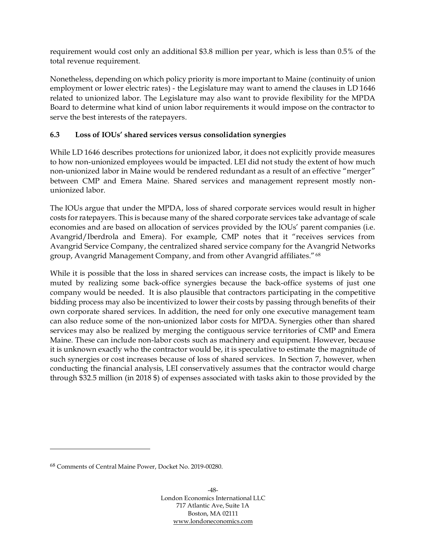requirement would cost only an additional \$3.8 million per year, which is less than 0.5% of the total revenue requirement.

Nonetheless, depending on which policy priority is more important to Maine (continuity of union employment or lower electric rates) - the Legislature may want to amend the clauses in LD 1646 related to unionized labor. The Legislature may also want to provide flexibility for the MPDA Board to determine what kind of union labor requirements it would impose on the contractor to serve the best interests of the ratepayers.

## **6.3 Loss of IOUs' shared services versus consolidation synergies**

While LD 1646 describes protections for unionized labor, it does not explicitly provide measures to how non-unionized employees would be impacted. LEI did not study the extent of how much non-unionized labor in Maine would be rendered redundant as a result of an effective "merger" between CMP and Emera Maine. Shared services and management represent mostly nonunionized labor.

The IOUs argue that under the MPDA, loss of shared corporate services would result in higher costs for ratepayers. This is because many of the shared corporate services take advantage of scale economies and are based on allocation of services provided by the IOUs' parent companies (i.e. Avangrid/Iberdrola and Emera). For example, CMP notes that it "receives services from Avangrid Service Company, the centralized shared service company for the Avangrid Networks group, Avangrid Management Company, and from other Avangrid affiliates."<sup>68</sup>

While it is possible that the loss in shared services can increase costs, the impact is likely to be muted by realizing some back-office synergies because the back-office systems of just one company would be needed. It is also plausible that contractors participating in the competitive bidding process may also be incentivized to lower their costs by passing through benefits of their own corporate shared services. In addition, the need for only one executive management team can also reduce some of the non-unionized labor costs for MPDA. Synergies other than shared services may also be realized by merging the contiguous service territories of CMP and Emera Maine. These can include non-labor costs such as machinery and equipment. However, because it is unknown exactly who the contractor would be, it is speculative to estimate the magnitude of such synergies or cost increases because of loss of shared services. In Section [7,](#page-57-0) however, when conducting the financial analysis, LEI conservatively assumes that the contractor would charge through \$32.5 million (in 2018 \$) of expenses associated with tasks akin to those provided by the

<sup>68</sup> Comments of Central Maine Power, Docket No. 2019-00280.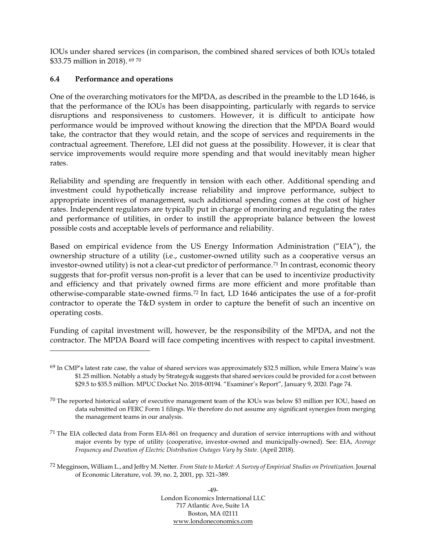IOUs under shared services (in comparison, the combined shared services of both IOUs totaled \$33.75 million in 2018). <sup>69</sup> <sup>70</sup>

## **6.4 Performance and operations**

One of the overarching motivators for the MPDA, as described in the preamble to the LD 1646, is that the performance of the IOUs has been disappointing, particularly with regards to service disruptions and responsiveness to customers. However, it is difficult to anticipate how performance would be improved without knowing the direction that the MPDA Board would take, the contractor that they would retain, and the scope of services and requirements in the contractual agreement. Therefore, LEI did not guess at the possibility. However, it is clear that service improvements would require more spending and that would inevitably mean higher rates.

Reliability and spending are frequently in tension with each other. Additional spending and investment could hypothetically increase reliability and improve performance, subject to appropriate incentives of management, such additional spending comes at the cost of higher rates. Independent regulators are typically put in charge of monitoring and regulating the rates and performance of utilities, in order to instill the appropriate balance between the lowest possible costs and acceptable levels of performance and reliability.

Based on empirical evidence from the US Energy Information Administration ("EIA"), the ownership structure of a utility (i.e., customer-owned utility such as a cooperative versus an investor-owned utility) is not a clear-cut predictor of performance. <sup>71</sup> In contrast, economic theory suggests that for-profit versus non-profit is a lever that can be used to incentivize productivity and efficiency and that privately owned firms are more efficient and more profitable than otherwise-comparable state-owned firms. <sup>72</sup> In fact, LD 1646 anticipates the use of a for-profit contractor to operate the T&D system in order to capture the benefit of such an incentive on operating costs.

Funding of capital investment will, however, be the responsibility of the MPDA, and not the contractor. The MPDA Board will face competing incentives with respect to capital investment.

 $69$  In CMP's latest rate case, the value of shared services was approximately \$32.5 million, while Emera Maine's was \$1.25 million. Notably a study by Strategy& suggests that shared services could be provided for a cost between \$29.5 to \$35.5 million. MPUC Docket No. 2018-00194. "Examiner's Report", January 9, 2020. Page 74.

<sup>70</sup> The reported historical salary of executive management team of the IOUs was below \$3 million per IOU, based on data submitted on FERC Form 1 filings. We therefore do not assume any significant synergies from merging the management teams in our analysis.

<sup>&</sup>lt;sup>71</sup> The EIA collected data from Form EIA-861 on frequency and duration of service interruptions with and without major events by type of utility (cooperative, investor-owned and municipally-owned). See: EIA, *Average Frequency and Duration of Electric Distribution Outages Vary by State*. (April 2018).

<sup>72</sup> Megginson, William L., and Jeffry M. Netter. *From State to Market: A Survey of Empirical Studies on Privatization*. Journal of Economic Literature, vol. 39, no. 2, 2001, pp. 321–389.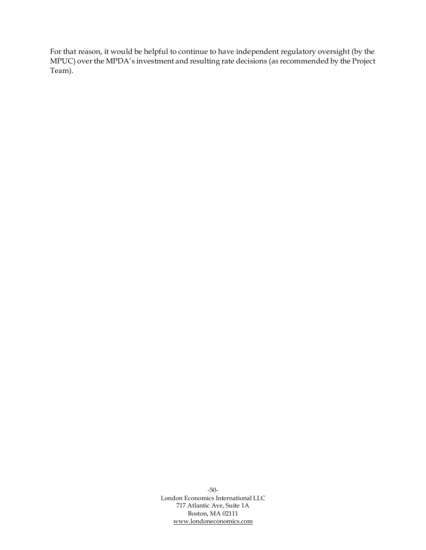For that reason, it would be helpful to continue to have independent regulatory oversight (by the MPUC) over the MPDA's investment and resulting rate decisions (as recommended by the Project Team).

> -50- London Economics International LLC 717 Atlantic Ave, Suite 1A Boston, MA 02111 [www.londoneconomics.com](http://www.londoneconomics.com/)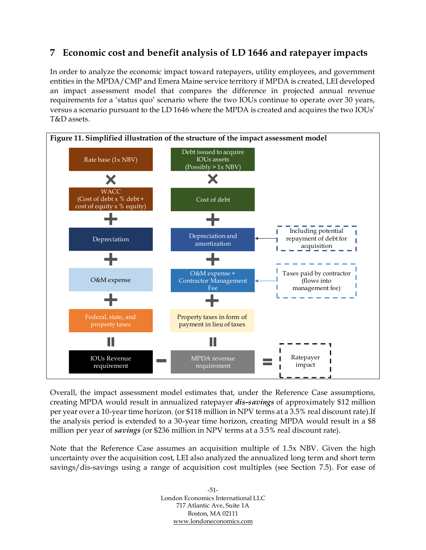# <span id="page-57-0"></span>**7 Economic cost and benefit analysis of LD 1646 and ratepayer impacts**

In order to analyze the economic impact toward ratepayers, utility employees, and government entities in the MPDA/CMP and Emera Maine service territory if MPDA is created, LEI developed an impact assessment model that compares the difference in projected annual revenue requirements for a 'status quo' scenario where the two IOUs continue to operate over 30 years, versus a scenario pursuant to the LD 1646 where the MPDA is created and acquires the two IOUs' T&D assets.



Overall, the impact assessment model estimates that, under the Reference Case assumptions, creating MPDA would result in annualized ratepayer *dis-savings* of approximately \$12 million per year over a 10-year time horizon. (or \$118 million in NPV terms at a 3.5% real discount rate).If the analysis period is extended to a 30-year time horizon, creating MPDA would result in a \$8 million per year of *savings* (or \$236 million in NPV terms at a 3.5% real discount rate).

Note that the Reference Case assumes an acquisition multiple of 1.5x NBV. Given the high uncertainty over the acquisition cost, LEI also analyzed the annualized long term and short term savings/dis-savings using a range of acquisition cost multiples (see Section [7.5\)](#page-72-0). For ease of

> -51- London Economics International LLC 717 Atlantic Ave, Suite 1A Boston, MA 02111 [www.londoneconomics.com](http://www.londoneconomics.com/)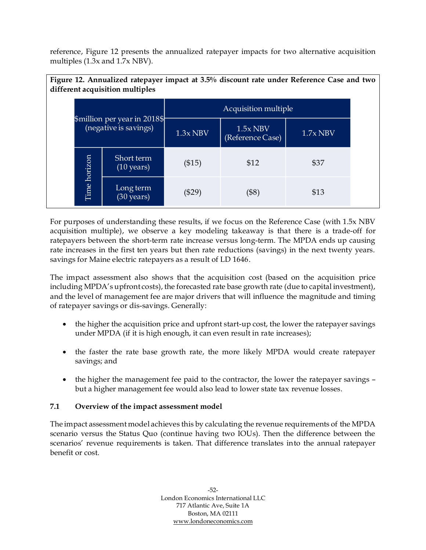reference, [Figure 12](#page-58-0) presents the annualized ratepayer impacts for two alternative acquisition multiples (1.3x and 1.7x NBV).

<span id="page-58-0"></span>

| Figure 12. Annualized ratepayer impact at 3.5% discount rate under Reference Case and two<br>different acquisition multiples |                                                       |                                    |                      |                                |            |  |  |  |
|------------------------------------------------------------------------------------------------------------------------------|-------------------------------------------------------|------------------------------------|----------------------|--------------------------------|------------|--|--|--|
|                                                                                                                              |                                                       |                                    | Acquisition multiple |                                |            |  |  |  |
|                                                                                                                              | \$million per year in 2018\$<br>(negative is savings) |                                    | $1.3x$ NBV           | $1.5x$ NBV<br>(Reference Case) | $1.7x$ NBV |  |  |  |
|                                                                                                                              |                                                       | Short term<br>$(10 \text{ years})$ | (\$15)               | \$12                           | \$37       |  |  |  |
|                                                                                                                              | Time horizon                                          | Long term<br>$(30 \text{ years})$  | $(\$29)$             | $(\$8)$                        | \$13       |  |  |  |

For purposes of understanding these results, if we focus on the Reference Case (with 1.5x NBV acquisition multiple), we observe a key modeling takeaway is that there is a trade-off for ratepayers between the short-term rate increase versus long-term. The MPDA ends up causing rate increases in the first ten years but then rate reductions (savings) in the next twenty years. savings for Maine electric ratepayers as a result of LD 1646.

The impact assessment also shows that the acquisition cost (based on the acquisition price including MPDA's upfront costs), the forecasted rate base growth rate (due to capital investment), and the level of management fee are major drivers that will influence the magnitude and timing of ratepayer savings or dis-savings. Generally:

- the higher the acquisition price and upfront start-up cost, the lower the ratepayer savings under MPDA (if it is high enough, it can even result in rate increases);
- the faster the rate base growth rate, the more likely MPDA would create ratepayer savings; and
- the higher the management fee paid to the contractor, the lower the ratepayer savings but a higher management fee would also lead to lower state tax revenue losses.

# **7.1 Overview of the impact assessment model**

The impact assessment model achieves this by calculating the revenue requirements of the MPDA scenario versus the Status Quo (continue having two IOUs). Then the difference between the scenarios' revenue requirements is taken. That difference translates into the annual ratepayer benefit or cost.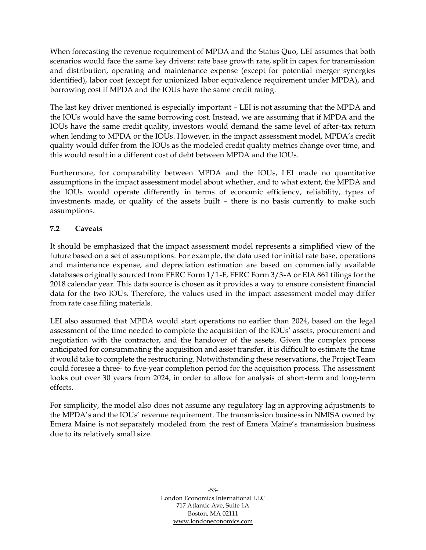When forecasting the revenue requirement of MPDA and the Status Quo, LEI assumes that both scenarios would face the same key drivers: rate base growth rate, split in capex for transmission and distribution, operating and maintenance expense (except for potential merger synergies identified), labor cost (except for unionized labor equivalence requirement under MPDA), and borrowing cost if MPDA and the IOUs have the same credit rating.

The last key driver mentioned is especially important – LEI is not assuming that the MPDA and the IOUs would have the same borrowing cost. Instead, we are assuming that if MPDA and the IOUs have the same credit quality, investors would demand the same level of after-tax return when lending to MPDA or the IOUs. However, in the impact assessment model, MPDA's credit quality would differ from the IOUs as the modeled credit quality metrics change over time, and this would result in a different cost of debt between MPDA and the IOUs.

Furthermore, for comparability between MPDA and the IOUs, LEI made no quantitative assumptions in the impact assessment model about whether, and to what extent, the MPDA and the IOUs would operate differently in terms of economic efficiency, reliability, types of investments made, or quality of the assets built – there is no basis currently to make such assumptions.

# <span id="page-59-0"></span>**7.2 Caveats**

It should be emphasized that the impact assessment model represents a simplified view of the future based on a set of assumptions. For example, the data used for initial rate base, operations and maintenance expense, and depreciation estimation are based on commercially available databases originally sourced from FERC Form 1/1-F, FERC Form 3/3-A or EIA 861 filings for the 2018 calendar year. This data source is chosen as it provides a way to ensure consistent financial data for the two IOUs. Therefore, the values used in the impact assessment model may differ from rate case filing materials.

LEI also assumed that MPDA would start operations no earlier than 2024, based on the legal assessment of the time needed to complete the acquisition of the IOUs' assets, procurement and negotiation with the contractor, and the handover of the assets. Given the complex process anticipated for consummating the acquisition and asset transfer, it is difficult to estimate the time it would take to complete the restructuring. Notwithstanding these reservations, the Project Team could foresee a three- to five-year completion period for the acquisition process. The assessment looks out over 30 years from 2024, in order to allow for analysis of short-term and long-term effects.

For simplicity, the model also does not assume any regulatory lag in approving adjustments to the MPDA's and the IOUs' revenue requirement. The transmission business in NMISA owned by Emera Maine is not separately modeled from the rest of Emera Maine's transmission business due to its relatively small size.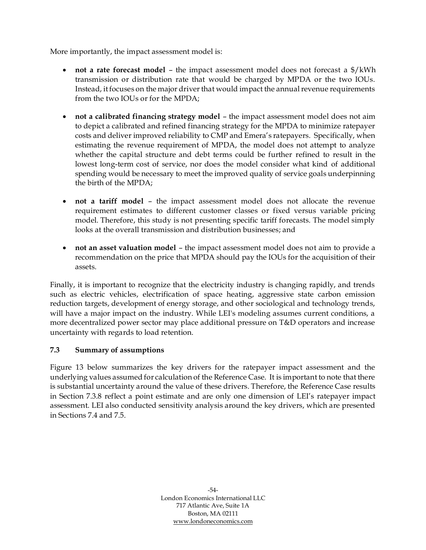More importantly, the impact assessment model is:

- **not a rate forecast model** the impact assessment model does not forecast a \$/kWh transmission or distribution rate that would be charged by MPDA or the two IOUs. Instead, it focuses on the major driver that would impact the annual revenue requirements from the two IOUs or for the MPDA;
- **not a calibrated financing strategy model** the impact assessment model does not aim to depict a calibrated and refined financing strategy for the MPDA to minimize ratepayer costs and deliver improved reliability to CMP and Emera's ratepayers. Specifically, when estimating the revenue requirement of MPDA, the model does not attempt to analyze whether the capital structure and debt terms could be further refined to result in the lowest long-term cost of service, nor does the model consider what kind of additional spending would be necessary to meet the improved quality of service goals underpinning the birth of the MPDA;
- **not a tariff model**  the impact assessment model does not allocate the revenue requirement estimates to different customer classes or fixed versus variable pricing model. Therefore, this study is not presenting specific tariff forecasts. The model simply looks at the overall transmission and distribution businesses; and
- **not an asset valuation model**  the impact assessment model does not aim to provide a recommendation on the price that MPDA should pay the IOUs for the acquisition of their assets.

Finally, it is important to recognize that the electricity industry is changing rapidly, and trends such as electric vehicles, electrification of space heating, aggressive state carbon emission reduction targets, development of energy storage, and other sociological and technology trends, will have a major impact on the industry. While LEI's modeling assumes current conditions, a more decentralized power sector may place additional pressure on T&D operators and increase uncertainty with regards to load retention.

# **7.3 Summary of assumptions**

[Figure 13](#page-61-0) below summarizes the key drivers for the ratepayer impact assessment and the underlying values assumed for calculation of the Reference Case. It is important to note that there is substantial uncertainty around the value of these drivers. Therefore, the Reference Case results in Section [7.3.8](#page-69-0) reflect a point estimate and are only one dimension of LEI's ratepayer impact assessment. LEI also conducted sensitivity analysis around the key drivers, which are presented in Sections [7.4](#page-71-0) and [7.5.](#page-72-0)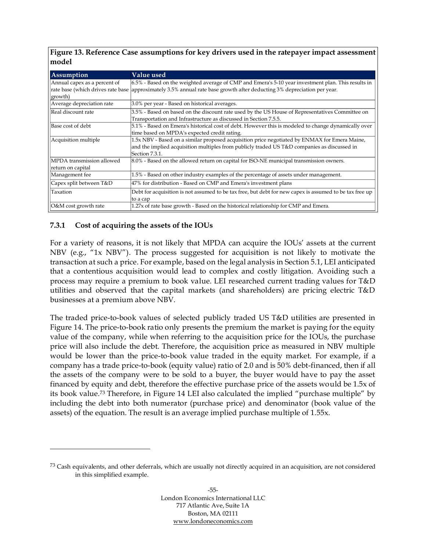<span id="page-61-0"></span>**Figure 13. Reference Case assumptions for key drivers used in the ratepayer impact assessment model**

| <b>Assumption</b>            | Value used                                                                                                             |
|------------------------------|------------------------------------------------------------------------------------------------------------------------|
| Annual capex as a percent of | 6.5% - Based on the weighted average of CMP and Emera's 5-10 year investment plan. This results in                     |
| growth)                      | rate base (which drives rate base approximately 3.5% annual rate base growth after deducting 3% depreciation per year. |
| Average depreciation rate    | 3.0% per year - Based on historical averages.                                                                          |
| Real discount rate           | 3.5% - Based on based on the discount rate used by the US House of Representatives Committee on                        |
|                              | Transportation and Infrastructure as discussed in Section 7.5.5.                                                       |
| Base cost of debt            | 5.1% - Based on Emera's historical cost of debt. However this is modeled to change dynamically over                    |
|                              | time based on MPDA's expected credit rating.                                                                           |
| Acquisition multiple         | 1.5x NBV - Based on a similar proposed acquisition price negotiated by ENMAX for Emera Maine,                          |
|                              | and the implied acquisition multiples from publicly traded US T&D companies as discussed in                            |
|                              | Section 7.3.1.                                                                                                         |
| MPDA transmission allowed    | 8.0% - Based on the allowed return on capital for ISO-NE municipal transmission owners.                                |
| return on capital            |                                                                                                                        |
| Management fee               | 1.5% - Based on other industry examples of the percentage of assets under management.                                  |
| Capex split between T&D      | 47% for distribution - Based on CMP and Emera's investment plans                                                       |
| Taxation                     | Debt for acquisition is not assumed to be tax free, but debt for new capex is assumed to be tax free up                |
|                              | to a cap                                                                                                               |
| O&M cost growth rate         | 1.27x of rate base growth - Based on the historical relationship for CMP and Emera.                                    |

## **7.3.1 Cost of acquiring the assets of the IOUs**

For a variety of reasons, it is not likely that MPDA can acquire the IOUs' assets at the current NBV (e.g., "1x NBV"). The process suggested for acquisition is not likely to motivate the transaction at such a price. For example, based on the legal analysis in Section [5.1,](#page-43-0) LEI anticipated that a contentious acquisition would lead to complex and costly litigation. Avoiding such a process may require a premium to book value. LEI researched current trading values for T&D utilities and observed that the capital markets (and shareholders) are pricing electric T&D businesses at a premium above NBV.

The traded price-to-book values of selected publicly traded US T&D utilities are presented in [Figure 14.](#page-62-0) The price-to-book ratio only presents the premium the market is paying for the equity value of the company, while when referring to the acquisition price for the IOUs, the purchase price will also include the debt. Therefore, the acquisition price as measured in NBV multiple would be lower than the price-to-book value traded in the equity market. For example, if a company has a trade price-to-book (equity value) ratio of 2.0 and is 50% debt-financed, then if all the assets of the company were to be sold to a buyer, the buyer would have to pay the asset financed by equity and debt, therefore the effective purchase price of the assets would be 1.5x of its book value.<sup>73</sup> Therefore, in [Figure 14](#page-62-0) LEI also calculated the implied "purchase multiple" by including the debt into both numerator (purchase price) and denominator (book value of the assets) of the equation. The result is an average implied purchase multiple of 1.55x.

<sup>&</sup>lt;sup>73</sup> Cash equivalents, and other deferrals, which are usually not directly acquired in an acquisition, are not considered in this simplified example.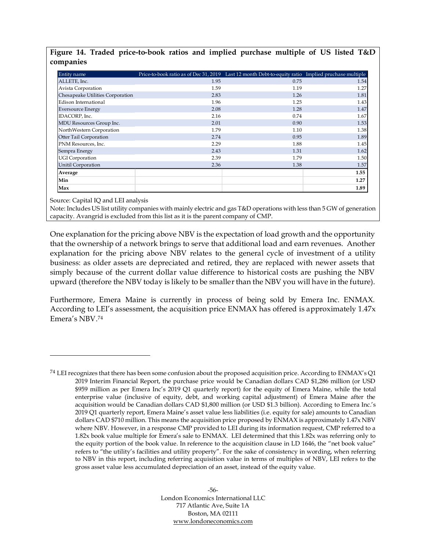<span id="page-62-0"></span>

|           |  | Figure 14. Traded price-to-book ratios and implied purchase multiple of US listed T&D |  |  |  |  |  |
|-----------|--|---------------------------------------------------------------------------------------|--|--|--|--|--|
| companies |  |                                                                                       |  |  |  |  |  |

| Entity name                      | Price-to-book ratio as of Dec 31, 2019 Last 12 month Debt-to-equity ratio Implied pruchase multiple |      |      |
|----------------------------------|-----------------------------------------------------------------------------------------------------|------|------|
| ALLETE, Inc.                     | 1.95                                                                                                | 0.75 | 1.54 |
| Avista Corporation               | 1.59                                                                                                | 1.19 | 1.27 |
| Chesapeake Utilities Corporation | 2.83                                                                                                | 1.26 | 1.81 |
| Edison International             | 1.96                                                                                                | 1.25 | 1.43 |
| <b>Eversource Energy</b>         | 2.08                                                                                                | 1.28 | 1.47 |
| IDACORP, Inc.                    | 2.16                                                                                                | 0.74 | 1.67 |
| MDU Resources Group Inc.         | 2.01                                                                                                | 0.90 | 1.53 |
| NorthWestern Corporation         | 1.79                                                                                                | 1.10 | 1.38 |
| Otter Tail Corporation           | 2.74                                                                                                | 0.95 | 1.89 |
| PNM Resources, Inc.              | 2.29                                                                                                | 1.88 | 1.45 |
| Sempra Energy                    | 2.43                                                                                                | 1.31 | 1.62 |
| UGI Corporation                  | 2.39                                                                                                | 1.79 | 1.50 |
| Unitil Corporation               | 2.36                                                                                                | 1.38 | 1.57 |
| Average                          |                                                                                                     |      | 1.55 |
| Min                              |                                                                                                     |      | 1.27 |
| Max                              |                                                                                                     |      | 1.89 |

Source: Capital IQ and LEI analysis

Note: Includes US list utility companies with mainly electric and gas T&D operations with less than 5 GW of generation capacity. Avangrid is excluded from this list as it is the parent company of CMP.

One explanation for the pricing above NBV is the expectation of load growth and the opportunity that the ownership of a network brings to serve that additional load and earn revenues. Another explanation for the pricing above NBV relates to the general cycle of investment of a utility business: as older assets are depreciated and retired, they are replaced with newer assets that simply because of the current dollar value difference to historical costs are pushing the NBV upward (therefore the NBV today is likely to be smaller than the NBV you will have in the future).

Furthermore, Emera Maine is currently in process of being sold by Emera Inc. ENMAX. According to LEI's assessment, the acquisition price ENMAX has offered is approximately 1.47x Emera's NBV. 74

<sup>&</sup>lt;sup>74</sup> LEI recognizes that there has been some confusion about the proposed acquisition price. According to ENMAX's Q1 2019 Interim Financial Report, the purchase price would be Canadian dollars CAD \$1,286 million (or USD \$959 million as per Emera Inc's 2019 Q1 quarterly report) for the equity of Emera Maine, while the total enterprise value (inclusive of equity, debt, and working capital adjustment) of Emera Maine after the acquisition would be Canadian dollars CAD \$1,800 million (or USD \$1.3 billion). According to Emera Inc.'s 2019 Q1 quarterly report, Emera Maine's asset value less liabilities (i.e. equity for sale) amounts to Canadian dollars CAD \$710 million. This means the acquisition price proposed by ENMAX is approximately 1.47x NBV where NBV. However, in a response CMP provided to LEI during its information request, CMP referred to a 1.82x book value multiple for Emera's sale to ENMAX. LEI determined that this 1.82x was referring only to the equity portion of the book value. In reference to the acquisition clause in LD 1646, the "net book value" refers to "the utility's facilities and utility property". For the sake of consistency in wording, when referring to NBV in this report, including referring acquisition value in terms of multiples of NBV, LEI refers to the gross asset value less accumulated depreciation of an asset, instead of the equity value.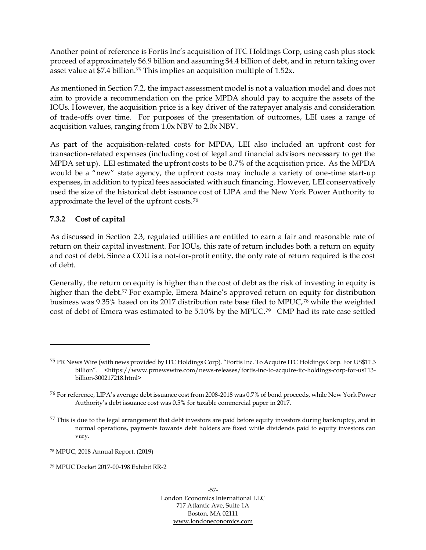Another point of reference is Fortis Inc's acquisition of ITC Holdings Corp, using cash plus stock proceed of approximately \$6.9 billion and assuming \$4.4 billion of debt, and in return taking over asset value at \$7.4 billion.<sup>75</sup> This implies an acquisition multiple of 1.52x.

As mentioned in Section [7.2,](#page-59-0) the impact assessment model is not a valuation model and does not aim to provide a recommendation on the price MPDA should pay to acquire the assets of the IOUs. However, the acquisition price is a key driver of the ratepayer analysis and consideration of trade-offs over time. For purposes of the presentation of outcomes, LEI uses a range of acquisition values, ranging from 1.0x NBV to 2.0x NBV.

As part of the acquisition-related costs for MPDA, LEI also included an upfront cost for transaction-related expenses (including cost of legal and financial advisors necessary to get the MPDA set up). LEI estimated the upfront costs to be 0.7% of the acquisition price. As the MPDA would be a "new" state agency, the upfront costs may include a variety of one-time start-up expenses, in addition to typical fees associated with such financing. However, LEI conservatively used the size of the historical debt issuance cost of LIPA and the New York Power Authority to approximate the level of the upfront costs.<sup>76</sup>

# **7.3.2 Cost of capital**

As discussed in Section [2.3,](#page-30-0) regulated utilities are entitled to earn a fair and reasonable rate of return on their capital investment. For IOUs, this rate of return includes both a return on equity and cost of debt. Since a COU is a not-for-profit entity, the only rate of return required is the cost of debt.

Generally, the return on equity is higher than the cost of debt as the risk of investing in equity is higher than the debt.<sup>77</sup> For example, Emera Maine's approved return on equity for distribution business was 9.35% based on its 2017 distribution rate base filed to MPUC, <sup>78</sup> while the weighted cost of debt of Emera was estimated to be 5.10% by the MPUC. <sup>79</sup> CMP had its rate case settled

<sup>75</sup> PR News Wire (with news provided by ITC Holdings Corp). "Fortis Inc. To Acquire ITC Holdings Corp. For US\$11.3 billion". <https://www.prnewswire.com/news-releases/fortis-inc-to-acquire-itc-holdings-corp-for-us113billion-300217218.html>

<sup>76</sup> For reference, LIPA's average debt issuance cost from 2008-2018 was 0.7% of bond proceeds, while New York Power Authority's debt issuance cost was 0.5% for taxable commercial paper in 2017.

 $77$  This is due to the legal arrangement that debt investors are paid before equity investors during bankruptcy, and in normal operations, payments towards debt holders are fixed while dividends paid to equity investors can vary.

<sup>78</sup> MPUC, 2018 Annual Report. (2019)

<sup>79</sup> MPUC Docket 2017-00-198 Exhibit RR-2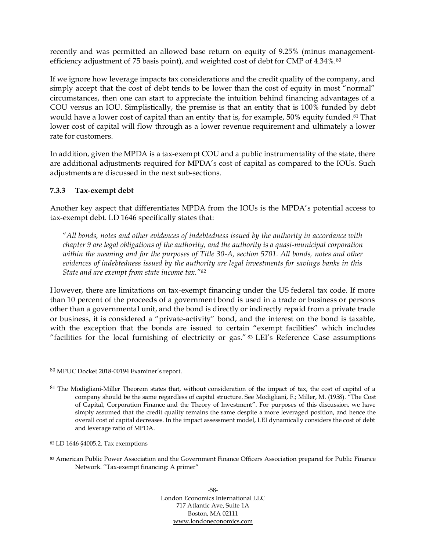recently and was permitted an allowed base return on equity of 9.25% (minus managementefficiency adjustment of 75 basis point), and weighted cost of debt for CMP of 4.34%.<sup>80</sup>

If we ignore how leverage impacts tax considerations and the credit quality of the company, and simply accept that the cost of debt tends to be lower than the cost of equity in most "normal" circumstances, then one can start to appreciate the intuition behind financing advantages of a COU versus an IOU. Simplistically, the premise is that an entity that is 100% funded by debt would have a lower cost of capital than an entity that is, for example, 50% equity funded. <sup>81</sup> That lower cost of capital will flow through as a lower revenue requirement and ultimately a lower rate for customers.

In addition, given the MPDA is a tax-exempt COU and a public instrumentality of the state, there are additional adjustments required for MPDA's cost of capital as compared to the IOUs. Such adjustments are discussed in the next sub-sections.

## **7.3.3 Tax-exempt debt**

Another key aspect that differentiates MPDA from the IOUs is the MPDA's potential access to tax-exempt debt. LD 1646 specifically states that:

"*All bonds, notes and other evidences of indebtedness issued by the authority in accordance with chapter 9 are legal obligations of the authority, and the authority is a quasi-municipal corporation within the meaning and for the purposes of Title 30-A, section 5701. All bonds, notes and other evidences of indebtedness issued by the authority are legal investments for savings banks in this State and are exempt from state income tax."<sup>82</sup>*

However, there are limitations on tax-exempt financing under the US federal tax code. If more than 10 percent of the proceeds of a government bond is used in a trade or business or persons other than a governmental unit, and the bond is directly or indirectly repaid from a private trade or business, it is considered a "private-activity" bond, and the interest on the bond is taxable, with the exception that the bonds are issued to certain "exempt facilities" which includes "facilities for the local furnishing of electricity or gas." <sup>83</sup> LEI's Reference Case assumptions

-58- London Economics International LLC 717 Atlantic Ave, Suite 1A Boston, MA 02111 [www.londoneconomics.com](http://www.londoneconomics.com/)

<sup>80</sup> MPUC Docket 2018-00194 Examiner's report.

<sup>&</sup>lt;sup>81</sup> The Modigliani-Miller Theorem states that, without consideration of the impact of tax, the cost of capital of a company should be the same regardless of capital structure. See Modigliani, F.; Miller, M. (1958). "The Cost of Capital, Corporation Finance and the Theory of Investment". For purposes of this discussion, we have simply assumed that the credit quality remains the same despite a more leveraged position, and hence the overall cost of capital decreases. In the impact assessment model, LEI dynamically considers the cost of debt and leverage ratio of MPDA.

<sup>82</sup> LD 1646 §4005.2. Tax exemptions

<sup>83</sup> American Public Power Association and the Government Finance Officers Association prepared for Public Finance Network. "Tax-exempt financing: A primer"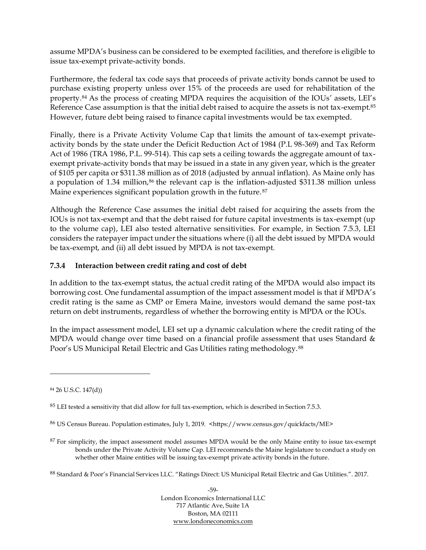assume MPDA's business can be considered to be exempted facilities, and therefore is eligible to issue tax-exempt private-activity bonds.

Furthermore, the federal tax code says that proceeds of private activity bonds cannot be used to purchase existing property unless over 15% of the proceeds are used for rehabilitation of the property.<sup>84</sup> As the process of creating MPDA requires the acquisition of the IOUs' assets, LEI's Reference Case assumption is that the initial debt raised to acquire the assets is not tax-exempt.<sup>85</sup> However, future debt being raised to finance capital investments would be tax exempted.

Finally, there is a Private Activity Volume Cap that limits the amount of tax-exempt privateactivity bonds by the state under the Deficit Reduction Act of 1984 (P.L 98-369) and Tax Reform Act of 1986 (TRA 1986, P.L. 99-514). This cap sets a ceiling towards the aggregate amount of taxexempt private-activity bonds that may be issued in a state in any given year, which is the greater of \$105 per capita or \$311.38 million as of 2018 (adjusted by annual inflation). As Maine only has a population of 1.34 million,<sup>86</sup> the relevant cap is the inflation-adjusted \$311.38 million unless Maine experiences significant population growth in the future.<sup>87</sup>

Although the Reference Case assumes the initial debt raised for acquiring the assets from the IOUs is not tax-exempt and that the debt raised for future capital investments is tax-exempt (up to the volume cap), LEI also tested alternative sensitivities. For example, in Section [7.5.3,](#page-76-0) LEI considers the ratepayer impact under the situations where (i) all the debt issued by MPDA would be tax-exempt, and (ii) all debt issued by MPDA is not tax-exempt.

## **7.3.4 Interaction between credit rating and cost of debt**

In addition to the tax-exempt status, the actual credit rating of the MPDA would also impact its borrowing cost. One fundamental assumption of the impact assessment model is that if MPDA's credit rating is the same as CMP or Emera Maine, investors would demand the same post-tax return on debt instruments, regardless of whether the borrowing entity is MPDA or the IOUs.

In the impact assessment model, LEI set up a dynamic calculation where the credit rating of the MPDA would change over time based on a financial profile assessment that uses Standard & Poor's US Municipal Retail Electric and Gas Utilities rating methodology. <sup>88</sup>

<sup>88</sup> Standard & Poor's Financial Services LLC. "Ratings Direct: US Municipal Retail Electric and Gas Utilities.". 2017.

-59- London Economics International LLC 717 Atlantic Ave, Suite 1A Boston, MA 02111 [www.londoneconomics.com](http://www.londoneconomics.com/)

<sup>84</sup> 26 U.S.C. 147(d))

 $85$  LEI tested a sensitivity that did allow for full tax-exemption, which is described in Sectio[n 7.5.3.](#page-76-0)

<sup>86</sup> US Census Bureau. Population estimates, July 1, 2019. <https://www.census.gov/quickfacts/ME>

<sup>&</sup>lt;sup>87</sup> For simplicity, the impact assessment model assumes MPDA would be the only Maine entity to issue tax-exempt bonds under the Private Activity Volume Cap. LEI recommends the Maine legislature to conduct a study on whether other Maine entities will be issuing tax-exempt private activity bonds in the future.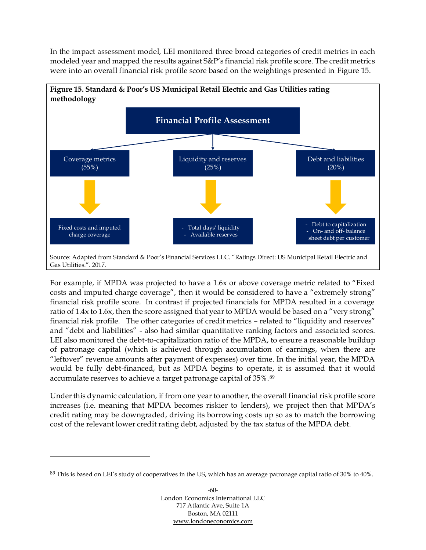In the impact assessment model, LEI monitored three broad categories of credit metrics in each modeled year and mapped the results against S&P's financial risk profile score. The credit metrics were into an overall financial risk profile score based on the weightings presented in [Figure 15.](#page-66-0)

<span id="page-66-0"></span>

For example, if MPDA was projected to have a 1.6x or above coverage metric related to "Fixed costs and imputed charge coverage", then it would be considered to have a "extremely strong" financial risk profile score. In contrast if projected financials for MPDA resulted in a coverage ratio of 1.4x to 1.6x, then the score assigned that year to MPDA would be based on a "very strong" financial risk profile. The other categories of credit metrics – related to "liquidity and reserves" and "debt and liabilities" - also had similar quantitative ranking factors and associated scores. LEI also monitored the debt-to-capitalization ratio of the MPDA, to ensure a reasonable buildup of patronage capital (which is achieved through accumulation of earnings, when there are "leftover" revenue amounts after payment of expenses) over time. In the initial year, the MPDA would be fully debt-financed, but as MPDA begins to operate, it is assumed that it would accumulate reserves to achieve a target patronage capital of 35%.<sup>89</sup>

Under this dynamic calculation, if from one year to another, the overall financial risk profile score increases (i.e. meaning that MPDA becomes riskier to lenders), we project then that MPDA's credit rating may be downgraded, driving its borrowing costs up so as to match the borrowing cost of the relevant lower credit rating debt, adjusted by the tax status of the MPDA debt.

 $89$  This is based on LEI's study of cooperatives in the US, which has an average patronage capital ratio of 30% to 40%.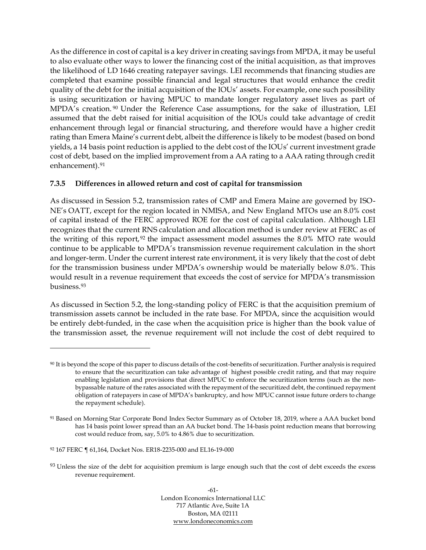As the difference in cost of capital is a key driver in creating savings from MPDA, it may be useful to also evaluate other ways to lower the financing cost of the initial acquisition, as that improves the likelihood of LD 1646 creating ratepayer savings. LEI recommends that financing studies are completed that examine possible financial and legal structures that would enhance the credit quality of the debt for the initial acquisition of the IOUs' assets. For example, one such possibility is using securitization or having MPUC to mandate longer regulatory asset lives as part of MPDA's creation. <sup>90</sup> Under the Reference Case assumptions, for the sake of illustration, LEI assumed that the debt raised for initial acquisition of the IOUs could take advantage of credit enhancement through legal or financial structuring, and therefore would have a higher credit rating than Emera Maine's current debt, albeit the difference is likely to be modest (based on bond yields, a 14 basis point reduction is applied to the debt cost of the IOUs' current investment grade cost of debt, based on the implied improvement from a AA rating to a AAA rating through credit enhancement). 91

## **7.3.5 Differences in allowed return and cost of capital for transmission**

As discussed in Session [5.2,](#page-48-0) transmission rates of CMP and Emera Maine are governed by ISO-NE's OATT, except for the region located in NMISA, and New England MTOs use an 8.0% cost of capital instead of the FERC approved ROE for the cost of capital calculation. Although LEI recognizes that the current RNS calculation and allocation method is under review at FERC as of the writing of this report, <sup>92</sup> the impact assessment model assumes the 8.0% MTO rate would continue to be applicable to MPDA's transmission revenue requirement calculation in the short and longer-term. Under the current interest rate environment, it is very likely that the cost of debt for the transmission business under MPDA's ownership would be materially below 8.0%. This would result in a revenue requirement that exceeds the cost of service for MPDA's transmission business. 93

As discussed in Section [5.2,](#page-48-0) the long-standing policy of FERC is that the acquisition premium of transmission assets cannot be included in the rate base. For MPDA, since the acquisition would be entirely debt-funded, in the case when the acquisition price is higher than the book value of the transmission asset, the revenue requirement will not include the cost of debt required to

<sup>90</sup> It is beyond the scope of this paper to discuss details of the cost-benefits of securitization. Further analysis is required to ensure that the securitization can take advantage of highest possible credit rating, and that may require enabling legislation and provisions that direct MPUC to enforce the securitization terms (such as the nonbypassable nature of the rates associated with the repayment of the securitized debt, the continued repayment obligation of ratepayers in case of MPDA's bankruptcy, and how MPUC cannot issue future orders to change the repayment schedule).

<sup>91</sup> Based on Morning Star Corporate Bond Index Sector Summary as of October 18, 2019, where a AAA bucket bond has 14 basis point lower spread than an AA bucket bond. The 14-basis point reduction means that borrowing cost would reduce from, say, 5.0% to 4.86% due to securitization.

<sup>92</sup> 167 FERC ¶ 61,164, Docket Nos. ER18-2235-000 and EL16-19-000

<sup>93</sup> Unless the size of the debt for acquisition premium is large enough such that the cost of debt exceeds the excess revenue requirement.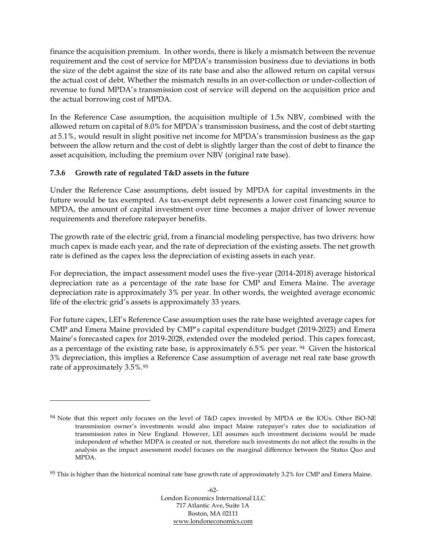finance the acquisition premium. In other words, there is likely a mismatch between the revenue requirement and the cost of service for MPDA's transmission business due to deviations in both the size of the debt against the size of its rate base and also the allowed return on capital versus the actual cost of debt. Whether the mismatch results in an over-collection or under-collection of revenue to fund MPDA's transmission cost of service will depend on the acquisition price and the actual borrowing cost of MPDA.

In the Reference Case assumption, the acquisition multiple of 1.5x NBV, combined with the allowed return on capital of 8.0% for MPDA's transmission business, and the cost of debt starting at 5.1%, would result in slight positive net income for MPDA's transmission business as the gap between the allow return and the cost of debt is slightly larger than the cost of debt to finance the asset acquisition, including the premium over NBV (original rate base).

# **7.3.6 Growth rate of regulated T&D assets in the future**

Under the Reference Case assumptions, debt issued by MPDA for capital investments in the future would be tax exempted. As tax-exempt debt represents a lower cost financing source to MPDA, the amount of capital investment over time becomes a major driver of lower revenue requirements and therefore ratepayer benefits.

The growth rate of the electric grid, from a financial modeling perspective, has two drivers: how much capex is made each year, and the rate of depreciation of the existing assets. The net growth rate is defined as the capex less the depreciation of existing assets in each year.

For depreciation, the impact assessment model uses the five-year (2014-2018) average historical depreciation rate as a percentage of the rate base for CMP and Emera Maine. The average depreciation rate is approximately 3% per year. In other words, the weighted average economic life of the electric grid's assets is approximately 33 years.

For future capex, LEI's Reference Case assumption uses the rate base weighted average capex for CMP and Emera Maine provided by CMP's capital expenditure budget (2019-2023) and Emera Maine's forecasted capex for 2019-2028, extended over the modeled period. This capex forecast, as a percentage of the existing rate base, is approximately 6.5% per year. <sup>94</sup> Given the historical 3% depreciation, this implies a Reference Case assumption of average net real rate base growth rate of approximately 3.5%.<sup>95</sup>

<sup>94</sup> Note that this report only focuses on the level of T&D capex invested by MPDA or the IOUs. Other ISO-NE transmission owner's investments would also impact Maine ratepayer's rates due to socialization of transmission rates in New England. However, LEI assumes such investment decisions would be made independent of whether MDPA is created or not, therefore such investments do not affect the results in the analysis as the impact assessment model focuses on the marginal difference between the Status Quo and MPDA.

 $95$  This is higher than the historical nominal rate base growth rate of approximately 3.2% for CMP and Emera Maine.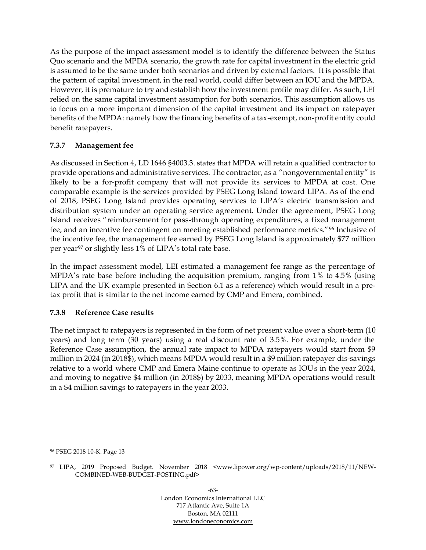As the purpose of the impact assessment model is to identify the difference between the Status Quo scenario and the MPDA scenario, the growth rate for capital investment in the electric grid is assumed to be the same under both scenarios and driven by external factors. It is possible that the pattern of capital investment, in the real world, could differ between an IOU and the MPDA. However, it is premature to try and establish how the investment profile may differ. As such, LEI relied on the same capital investment assumption for both scenarios. This assumption allows us to focus on a more important dimension of the capital investment and its impact on ratepayer benefits of the MPDA: namely how the financing benefits of a tax-exempt, non-profit entity could benefit ratepayers.

# **7.3.7 Management fee**

As discussed in Section [4,](#page-37-1) LD 1646 §4003.3. states that MPDA will retain a qualified contractor to provide operations and administrative services. The contractor, as a "nongovernmental entity" is likely to be a for-profit company that will not provide its services to MPDA at cost. One comparable example is the services provided by PSEG Long Island toward LIPA. As of the end of 2018, PSEG Long Island provides operating services to LIPA's electric transmission and distribution system under an operating service agreement. Under the agreement, PSEG Long Island receives "reimbursement for pass-through operating expenditures, a fixed management fee, and an incentive fee contingent on meeting established performance metrics."<sup>96</sup> Inclusive of the incentive fee, the management fee earned by PSEG Long Island is approximately \$77 million per year<sup>97</sup> or slightly less 1% of LIPA's total rate base.

In the impact assessment model, LEI estimated a management fee range as the percentage of MPDA's rate base before including the acquisition premium, ranging from 1% to 4.5% (using LIPA and the UK example presented in Section [6.1](#page-51-0) as a reference) which would result in a pretax profit that is similar to the net income earned by CMP and Emera, combined.

#### <span id="page-69-0"></span>**7.3.8 Reference Case results**

The net impact to ratepayers is represented in the form of net present value over a short-term (10 years) and long term (30 years) using a real discount rate of 3.5%. For example, under the Reference Case assumption, the annual rate impact to MPDA ratepayers would start from \$9 million in 2024 (in 2018\$), which means MPDA would result in a \$9 million ratepayer dis-savings relative to a world where CMP and Emera Maine continue to operate as IOUs in the year 2024, and moving to negative \$4 million (in 2018\$) by 2033, meaning MPDA operations would result in a \$4 million savings to ratepayers in the year 2033.

<sup>96</sup> PSEG 2018 10-K. Page 13

<sup>97</sup> LIPA, 2019 Proposed Budget. November 2018 <www.lipower.org/wp-content/uploads/2018/11/NEW-COMBINED-WEB-BUDGET-POSTING.pdf>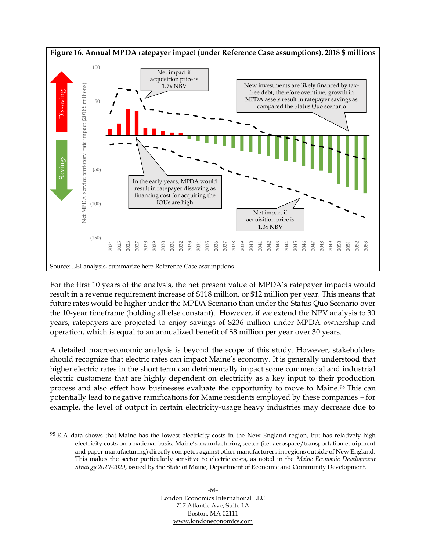

For the first 10 years of the analysis, the net present value of MPDA's ratepayer impacts would result in a revenue requirement increase of \$118 million, or \$12 million per year. This means that future rates would be higher under the MPDA Scenario than under the Status Quo Scenario over the 10-year timeframe (holding all else constant). However, if we extend the NPV analysis to 30 years, ratepayers are projected to enjoy savings of \$236 million under MPDA ownership and operation, which is equal to an annualized benefit of \$8 million per year over 30 years.

A detailed macroeconomic analysis is beyond the scope of this study. However, stakeholders should recognize that electric rates can impact Maine's economy. It is generally understood that higher electric rates in the short term can detrimentally impact some commercial and industrial electric customers that are highly dependent on electricity as a key input to their production process and also effect how businesses evaluate the opportunity to move to Maine. <sup>98</sup> This can potentially lead to negative ramifications for Maine residents employed by these companies – for example, the level of output in certain electricity-usage heavy industries may decrease due to

<sup>98</sup> EIA data shows that Maine has the lowest electricity costs in the New England region, but has relatively high electricity costs on a national basis. Maine's manufacturing sector (i.e. aerospace/transportation equipment and paper manufacturing) directly competes against other manufacturers in regions outside of New England. This makes the sector particularly sensitive to electric costs, as noted in the *Maine Economic Development Strategy 2020-2029*, issued by the State of Maine, Department of Economic and Community Development.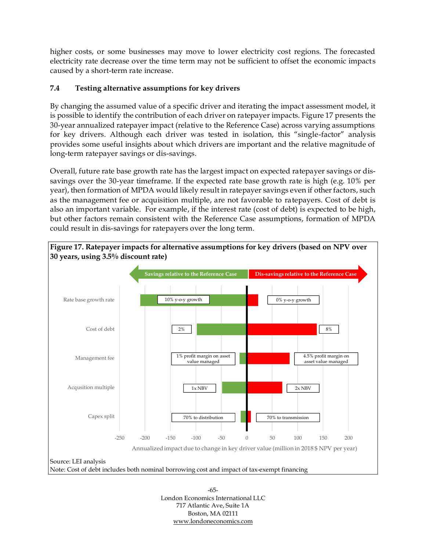higher costs, or some businesses may move to lower electricity cost regions. The forecasted electricity rate decrease over the time term may not be sufficient to offset the economic impacts caused by a short-term rate increase.

# <span id="page-71-0"></span>**7.4 Testing alternative assumptions for key drivers**

By changing the assumed value of a specific driver and iterating the impact assessment model, it is possible to identify the contribution of each driver on ratepayer impacts. [Figure 17](#page-71-1) presents the 30-year annualized ratepayer impact (relative to the Reference Case) across varying assumptions for key drivers. Although each driver was tested in isolation, this "single-factor" analysis provides some useful insights about which drivers are important and the relative magnitude of long-term ratepayer savings or dis-savings.

Overall, future rate base growth rate has the largest impact on expected ratepayer savings or dissavings over the 30-year timeframe. If the expected rate base growth rate is high (e.g. 10% per year), then formation of MPDA would likely result in ratepayer savings even if other factors, such as the management fee or acquisition multiple, are not favorable to ratepayers. Cost of debt is also an important variable. For example, if the interest rate (cost of debt) is expected to be high, but other factors remain consistent with the Reference Case assumptions, formation of MPDA could result in dis-savings for ratepayers over the long term.

<span id="page-71-1"></span>

-65- London Economics International LLC 717 Atlantic Ave, Suite 1A Boston, MA 02111 [www.londoneconomics.com](http://www.londoneconomics.com/)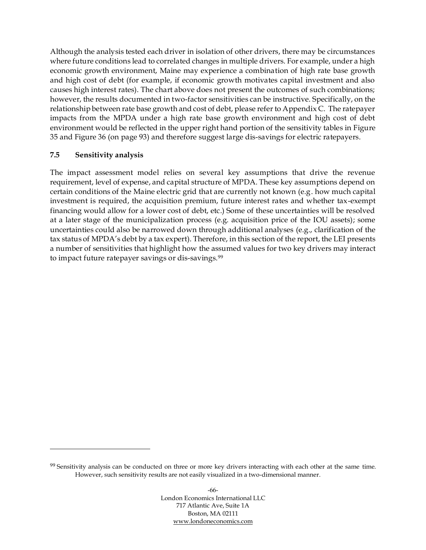Although the analysis tested each driver in isolation of other drivers, there may be circumstances where future conditions lead to correlated changes in multiple drivers. For example, under a high economic growth environment, Maine may experience a combination of high rate base growth and high cost of debt (for example, if economic growth motivates capital investment and also causes high interest rates). The chart above does not present the outcomes of such combinations; however, the results documented in two-factor sensitivities can be instructive. Specifically, on the relationship between rate base growth and cost of debt, please refer to Appendix C. The ratepayer impacts from the MPDA under a high rate base growth environment and high cost of debt environment would be reflected in the upper right hand portion of the sensitivity tables in [Figure](#page-99-0)  [35](#page-99-0) and [Figure 36](#page-99-1) (on page [93\)](#page-99-0) and therefore suggest large dis-savings for electric ratepayers.

#### <span id="page-72-0"></span>**7.5 Sensitivity analysis**

The impact assessment model relies on several key assumptions that drive the revenue requirement, level of expense, and capital structure of MPDA. These key assumptions depend on certain conditions of the Maine electric grid that are currently not known (e.g. how much capital investment is required, the acquisition premium, future interest rates and whether tax-exempt financing would allow for a lower cost of debt, etc.) Some of these uncertainties will be resolved at a later stage of the municipalization process (e.g. acquisition price of the IOU assets); some uncertainties could also be narrowed down through additional analyses (e.g., clarification of the tax status of MPDA's debt by a tax expert). Therefore, in this section of the report, the LEI presents a number of sensitivities that highlight how the assumed values for two key drivers may interact to impact future ratepayer savings or dis-savings. 99

<sup>&</sup>lt;sup>99</sup> Sensitivity analysis can be conducted on three or more key drivers interacting with each other at the same time. However, such sensitivity results are not easily visualized in a two-dimensional manner.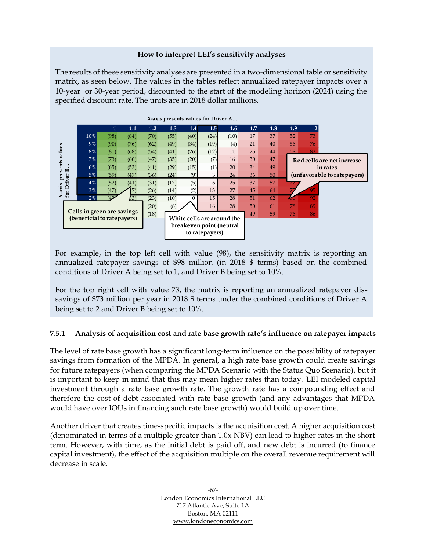#### **How to interpret LEI's sensitivity analyses**

The results of these sensitivity analyses are presented in a two-dimensional table or sensitivity matrix, as seen below. The values in the tables reflect annualized ratepayer impacts over a 10-year or 30-year period, discounted to the start of the modeling horizon (2024) using the specified discount rate. The units are in 2018 dollar millions.



For example, in the top left cell with value (98), the sensitivity matrix is reporting an annualized ratepayer savings of \$98 million (in 2018 \$ terms) based on the combined conditions of Driver A being set to 1, and Driver B being set to 10%.

For the top right cell with value 73, the matrix is reporting an annualized ratepayer dissavings of \$73 million per year in 2018 \$ terms under the combined conditions of Driver A being set to 2 and Driver B being set to 10%.

## **7.5.1 Analysis of acquisition cost and rate base growth rate's influence on ratepayer impacts**

The level of rate base growth has a significant long-term influence on the possibility of ratepayer savings from formation of the MPDA. In general, a high rate base growth could create savings for future ratepayers (when comparing the MPDA Scenario with the Status Quo Scenario), but it is important to keep in mind that this may mean higher rates than today. LEI modeled capital investment through a rate base growth rate. The growth rate has a compounding effect and therefore the cost of debt associated with rate base growth (and any advantages that MPDA would have over IOUs in financing such rate base growth) would build up over time.

Another driver that creates time-specific impacts is the acquisition cost. A higher acquisition cost (denominated in terms of a multiple greater than 1.0x NBV) can lead to higher rates in the short term. However, with time, as the initial debt is paid off, and new debt is incurred (to finance capital investment), the effect of the acquisition multiple on the overall revenue requirement will decrease in scale.

> -67- London Economics International LLC 717 Atlantic Ave, Suite 1A Boston, MA 02111 [www.londoneconomics.com](http://www.londoneconomics.com/)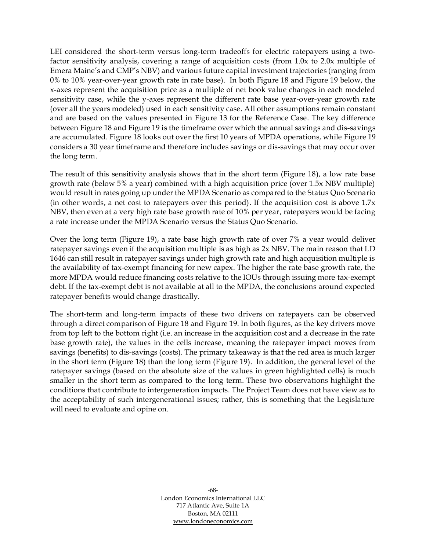LEI considered the short-term versus long-term tradeoffs for electric ratepayers using a twofactor sensitivity analysis, covering a range of acquisition costs (from 1.0x to 2.0x multiple of Emera Maine's and CMP's NBV) and various future capital investment trajectories (ranging from 0% to 10% year-over-year growth rate in rate base). In both [Figure 18](#page-75-0) and [Figure 19](#page-75-1) below, the x-axes represent the acquisition price as a multiple of net book value changes in each modeled sensitivity case, while the y-axes represent the different rate base year-over-year growth rate (over all the years modeled) used in each sensitivity case. All other assumptions remain constant and are based on the values presented in [Figure 13](#page-61-0) for the Reference Case. The key difference between [Figure 18](#page-75-0) and [Figure 19](#page-75-1) is the timeframe over which the annual savings and dis-savings are accumulated. [Figure 18](#page-75-0) looks out over the first 10 years of MPDA operations, while [Figure 19](#page-75-1) considers a 30 year timeframe and therefore includes savings or dis-savings that may occur over the long term.

The result of this sensitivity analysis shows that in the short term [\(Figure 18\)](#page-75-0), a low rate base growth rate (below 5% a year) combined with a high acquisition price (over 1.5x NBV multiple) would result in rates going up under the MPDA Scenario as compared to the Status Quo Scenario (in other words, a net cost to ratepayers over this period). If the acquisition cost is above 1.7x NBV, then even at a very high rate base growth rate of 10% per year, ratepayers would be facing a rate increase under the MPDA Scenario versus the Status Quo Scenario.

Over the long term [\(Figure 19\)](#page-75-1), a rate base high growth rate of over 7% a year would deliver ratepayer savings even if the acquisition multiple is as high as 2x NBV. The main reason that LD 1646 can still result in ratepayer savings under high growth rate and high acquisition multiple is the availability of tax-exempt financing for new capex. The higher the rate base growth rate, the more MPDA would reduce financing costs relative to the IOUs through issuing more tax-exempt debt. If the tax-exempt debt is not available at all to the MPDA, the conclusions around expected ratepayer benefits would change drastically.

The short-term and long-term impacts of these two drivers on ratepayers can be observed through a direct comparison of [Figure 18](#page-75-0) and [Figure 19.](#page-75-1) In both figures, as the key drivers move from top left to the bottom right (i.e. an increase in the acquisition cost and a decrease in the rate base growth rate), the values in the cells increase, meaning the ratepayer impact moves from savings (benefits) to dis-savings (costs). The primary takeaway is that the red area is much larger in the short term [\(Figure 18\)](#page-75-0) than the long term [\(Figure 19\)](#page-75-1). In addition, the general level of the ratepayer savings (based on the absolute size of the values in green highlighted cells) is much smaller in the short term as compared to the long term. These two observations highlight the conditions that contribute to intergeneration impacts. The Project Team does not have view as to the acceptability of such intergenerational issues; rather, this is something that the Legislature will need to evaluate and opine on.

> -68- London Economics International LLC 717 Atlantic Ave, Suite 1A Boston, MA 02111 [www.londoneconomics.com](http://www.londoneconomics.com/)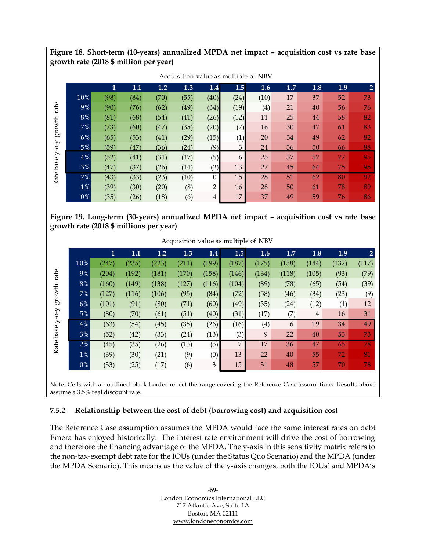<span id="page-75-0"></span>**Figure 18. Short-term (10-years) annualized MPDA net impact – acquisition cost vs rate base growth rate (2018 \$ million per year)**

| growth | 10%<br>9%<br>$8\,\%$ | 1<br>(98)<br>(90)<br>(81) | 1.1<br>(84)<br>(76) | 1.2<br>(70)<br>(62) | 1.3<br>(55) | 1.4<br>(40)    | 1.5            | 1.6  | 1.7 | 1.8 | 1.9 | $\overline{2}$ |
|--------|----------------------|---------------------------|---------------------|---------------------|-------------|----------------|----------------|------|-----|-----|-----|----------------|
|        |                      |                           |                     |                     |             |                |                |      |     |     |     |                |
|        |                      |                           |                     |                     |             |                | (24)           | (10) | 17  | 37  | 52  | 73             |
|        |                      |                           |                     |                     | (49)        | (34)           | (19)           | (4)  | 21  | 40  | 56  | 76             |
|        |                      |                           | (68)                | (54)                | (41)        | (26)           | (12)           | 11   | 25  | 44  | 58  | 82             |
|        | 7%                   | (73)                      | (60)                | (47)                | (35)        | (20)           | (7)            | 16   | 30  | 47  | 61  | 83             |
|        | 6%                   | (65)                      | (53)                | (41)                | (29)        | (15)           | (1)            | 20   | 34  | 49  | 62  | 82             |
|        | 5%                   | (59)                      | (47)                | (36)                | (24)        | (9)            | $\overline{3}$ | 24   | 36  | 50  | 66  | 88             |
|        | $4\%$                | (52)                      | (41)                | (31)                | (17)        | (5)            | 6              | 25   | 37  | 57  | 77  | 95             |
|        | 3%                   | (47)                      | (37)                | (26)                | (14)        | (2)            | 13             | 27   | 45  | 64  | 75  | 95             |
|        | 2%                   | (43)                      | (33)                | (23)                | (10)        | $\theta$       | 15             | 28   | 51  | 62  | 80  | 92             |
|        | $1\%$                | (39)                      | (30)                | (20)                | (8)         | $\overline{2}$ | 16             | 28   | 50  | 61  | 78  | 89             |
|        | $0\%$                | (35)                      | (26)                | (18)                | (6)         | 4              | 17             | 37   | 49  | 59  | 76  | 86             |

**Figure 19. Long-term (30-years) annualized MPDA net impact – acquisition cost vs rate base** 

<span id="page-75-1"></span>**growth rate (2018 \$ millions per year)**

|                                                                                           |       |              |       |       |       |       |       | Acquisition value as multiple of NBV |       |       |       |                |
|-------------------------------------------------------------------------------------------|-------|--------------|-------|-------|-------|-------|-------|--------------------------------------|-------|-------|-------|----------------|
|                                                                                           |       | $\mathbf{1}$ | 1.1   | 1.2   | 1.3   | 1.4   | 1.5   | 1.6                                  | 1.7   | 1.8   | 1.9   | $\overline{2}$ |
|                                                                                           | 10%   | (247)        | (235) | (223) | (211) | (199) | (187) | (175)                                | (158) | (144) | (132) | (117)          |
| rate                                                                                      | 9%    | (204)        | (192) | (181) | (170) | (158) | (146) | (134)                                | (118) | (105) | (93)  | (79)           |
|                                                                                           | 8%    | (160)        | (149) | (138) | (127) | (116) | (104) | (89)                                 | (78)  | (65)  | (54)  | (39)           |
| $\operatorname*{growth}% \left( \mathcal{M}\right) \equiv\operatorname*{grad}\mathcal{M}$ | 7%    | (127)        | (116) | (106) | (95)  | (84)  | (72)  | (58)                                 | (46)  | (34)  | (23)  | (9)            |
|                                                                                           | 6%    | (101)        | (91)  | (80)  | (71)  | (60)  | (49)  | (35)                                 | (24)  | (12)  | (1)   | 12             |
| $Y$ -O- $Y$                                                                               | 5%    | (80)         | (70)  | (61)  | (51)  | (40)  | (31)  | (17)                                 | (7)   | 4     | 16    | 31             |
|                                                                                           | 4%    | (63)         | (54)  | (45)  | (35)  | (26)  | (16)  | (4)                                  | 6     | 19    | 34    | 49             |
| base                                                                                      | 3%    | (52)         | (42)  | (33)  | (24)  | (13)  | (3)   | 9                                    | 22    | 40    | 53    | 73             |
| Rate                                                                                      | 2%    | (45)         | (35)  | (26)  | (13)  | (5)   | 7     | 17                                   | 36    | 47    | 65    | 78             |
|                                                                                           | 1%    | (39)         | (30)  | (21)  | (9)   | (0)   | 13    | 22                                   | 40    | 55    | 72    | 81             |
|                                                                                           | $0\%$ | (33)         | (25)  | (17)  | (6)   | 3     | 15    | 31                                   | 48    | 57    | 70    | 78             |
|                                                                                           |       |              |       |       |       |       |       |                                      |       |       |       |                |

Acquisition value as multiple of NBV

Note: Cells with an outlined black border reflect the range covering the Reference Case assumptions. Results above assume a 3.5% real discount rate.

## **7.5.2 Relationship between the cost of debt (borrowing cost) and acquisition cost**

The Reference Case assumption assumes the MPDA would face the same interest rates on debt Emera has enjoyed historically. The interest rate environment will drive the cost of borrowing and therefore the financing advantage of the MPDA. The y-axis in this sensitivity matrix refers to the non-tax-exempt debt rate for the IOUs (under the Status Quo Scenario) and the MPDA (under the MPDA Scenario). This means as the value of the y-axis changes, both the IOUs' and MPDA's

> -69- London Economics International LLC 717 Atlantic Ave, Suite 1A Boston, MA 02111 [www.londoneconomics.com](http://www.londoneconomics.com/)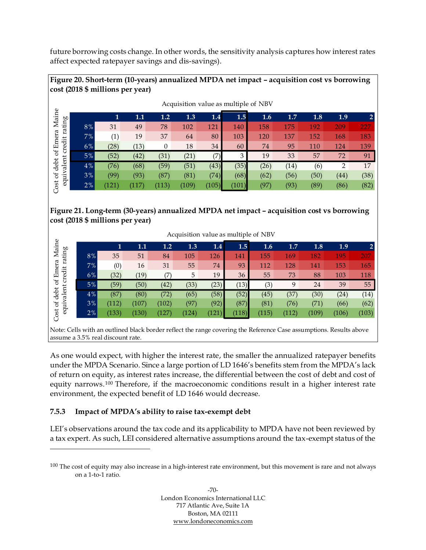future borrowing costs change. In other words, the sensitivity analysis captures how interest rates affect expected ratepayer savings and dis-savings).

## **Figure 20. Short-term (10-years) annualized MPDA net impact – acquisition cost vs borrowing cost (2018 \$ millions per year)**

|       |       |       |              |       |       |       | Acquisition value as multiple of NBV |      |      |      |      |
|-------|-------|-------|--------------|-------|-------|-------|--------------------------------------|------|------|------|------|
|       | 1     | 1.1   | 1.2          | 1.3   | 1.4   | 1.5   | 1.6                                  | 1.7  | 1.8  | 1.9  |      |
| 8%    | 31    | 49    | 78           | 102   | 121   | 140   | 158                                  | 175  | 192  | 209  | 227  |
| 7%    | (1)   | 19    | 37           | 64    | 80    | 103   | 120                                  | 137  | 152  | 168  | 183  |
| 6%    | (28)  | (13)  | $\mathbf{0}$ | 18    | 34    | 60    | 74                                   | 95   | 110  | 124  | 139  |
| 5%    | (52)  | (42)  | (31)         | (21)  | (7)   | 3     | 19                                   | 33   | 57   | 72   | 91   |
| 4%    | (76)  | (68)  | (59)         | (51)  | (43)  | (35)  | (26)                                 | (14) | (6)  | 2    | 17   |
| 3%    | (99)  | (93)  | (87)         | (81)  | (74)  | (68)  | (62)                                 | (56) | (50) | (44) | (38) |
| $2\%$ | (121) | (117) | (113)        | (109) | (105) | (101) | (97)                                 | (93) | (89) | (86) | (82) |
|       |       |       |              |       |       |       |                                      |      |      |      |      |

## **Figure 21. Long-term (30-years) annualized MPDA net impact – acquisition cost vs borrowing cost (2018 \$ millions per year)**

|    |       |         |       |       |         |       | Acquisition value as multiple of NBV |       |       |       |       |
|----|-------|---------|-------|-------|---------|-------|--------------------------------------|-------|-------|-------|-------|
|    | 1     | $1.1\,$ | 1.2   | 1.3   | $1.4\,$ | 1.5   | 1.6                                  | 1.7   | 1.8   | 1.9   |       |
| 8% | 35    | 51      | 84    | 105   | 126     | 141   | 155                                  | 169   | 182   | 195   | 207   |
| 7% | (0)   | 16      | 31    | 55    | 74      | 93    | 112                                  | 128   | 141   | 153   | 165   |
| 6% | (32)  | (19)    | (7)   | 5     | 19      | 36    | 55                                   | 73    | 88    | 103   | 118   |
| 5% | (59)  | (50)    | (42)  | (33)  | (23)    | (13)  | (3)                                  | 9     | 24    | 39    | 55    |
| 4% | (87)  | (80)    | (72)  | (65)  | (58)    | (52)  | (45)                                 | (37)  | (30)  | (24)  | (14)  |
| 3% | (112) | (107)   | (102) | (97)  | (92)    | (87)  | (81)                                 | (76)  | (71)  | (66)  | (62)  |
| 2% | (133) | (130)   | (127) | (124) | (121)   | (118) | (115)                                | (112) | (109) | (106) | (103) |

Note: Cells with an outlined black border reflect the range covering the Reference Case assumptions. Results above assume a 3.5% real discount rate.

As one would expect, with higher the interest rate, the smaller the annualized ratepayer benefits under the MPDA Scenario. Since a large portion of LD 1646's benefits stem from the MPDA's lack of return on equity, as interest rates increase, the differential between the cost of debt and cost of equity narrows.<sup>100</sup> Therefore, if the macroeconomic conditions result in a higher interest rate environment, the expected benefit of LD 1646 would decrease.

## **7.5.3 Impact of MPDA's ability to raise tax-exempt debt**

LEI's observations around the tax code and its applicability to MPDA have not been reviewed by a tax expert. As such, LEI considered alternative assumptions around the tax-exempt status of the

<sup>&</sup>lt;sup>100</sup> The cost of equity may also increase in a high-interest rate environment, but this movement is rare and not always on a 1-to-1 ratio.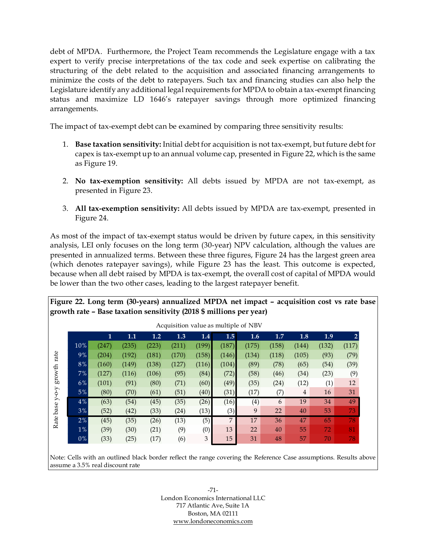debt of MPDA. Furthermore, the Project Team recommends the Legislature engage with a tax expert to verify precise interpretations of the tax code and seek expertise on calibrating the structuring of the debt related to the acquisition and associated financing arrangements to minimize the costs of the debt to ratepayers. Such tax and financing studies can also help the Legislature identify any additional legal requirements for MPDA to obtain a tax-exempt financing status and maximize LD 1646's ratepayer savings through more optimized financing arrangements.

The impact of tax-exempt debt can be examined by comparing three sensitivity results:

- 1. **Base taxation sensitivity:** Initial debt for acquisition is not tax-exempt, but future debt for capex is tax-exempt up to an annual volume cap, presented in [Figure 22,](#page-77-0) which is the same as [Figure 19.](#page-75-1)
- 2. **No tax-exemption sensitivity:** All debts issued by MPDA are not tax-exempt, as presented in [Figure 23.](#page-78-0)
- 3. **All tax-exemption sensitivity:** All debts issued by MPDA are tax-exempt, presented in [Figure 24.](#page-78-1)

As most of the impact of tax-exempt status would be driven by future capex, in this sensitivity analysis, LEI only focuses on the long term (30-year) NPV calculation, although the values are presented in annualized terms. Between these three figures, [Figure 24](#page-78-1) has the largest green area (which denotes ratepayer savings), while [Figure 23](#page-78-0) has the least. This outcome is expected, because when all debt raised by MPDA is tax-exempt, the overall cost of capital of MPDA would be lower than the two other cases, leading to the largest ratepayer benefit.

<span id="page-77-0"></span>**Figure 22. Long term (30-years) annualized MPDA net impact – acquisition cost vs rate base growth rate – Base taxation sensitivity (2018 \$ millions per year)**

|       | 1     | 1.1   | 1.2   | 1.3   | 1.4            | 1.5   | 1.6   | 1.7   | 1.8   | 1.9   | $\overline{2}$ |
|-------|-------|-------|-------|-------|----------------|-------|-------|-------|-------|-------|----------------|
| 10%   | (247) | (235) | (223) | (211) | (199)          | (187) | (175) | (158) | (144) | (132) | (117)          |
| 9%    | (204) | (192) | (181) | (170) | (158)          | (146) | (134) | (118) | (105) | (93)  | (79)           |
| 8%    | (160) | (149) | (138) | (127) | (116)          | (104) | (89)  | (78)  | (65)  | (54)  | (39)           |
| 7%    | (127) | (116) | (106) | (95)  | (84)           | (72)  | (58)  | (46)  | (34)  | (23)  | (9)            |
| 6%    | (101) | (91)  | (80)  | (71)  | (60)           | (49)  | (35)  | (24)  | (12)  | (1)   | 12             |
| 5%    | (80)  | (70)  | (61)  | (51)  | (40)           | (31)  | (17)  | (7)   | 4     | 16    | 31             |
| 4%    | (63)  | (54)  | (45)  | (35)  | (26)           | (16)  | (4)   | 6     | 19    | 34    | 49             |
| 3%    | (52)  | (42)  | (33)  | (24)  | (13)           | (3)   | 9     | 22    | 40    | 53    | 73             |
| 2%    | (45)  | (35)  | (26)  | (13)  | (5)            | 7     | 17    | 36    | 47    | 65    | 78             |
| $1\%$ | (39)  | (30)  | (21)  | (9)   | (0)            | 13    | 22    | 40    | 55    | 72    | 81             |
| 0%    | (33)  | (25)  | (17)  | (6)   | $\mathfrak{Z}$ | 15    | 31    | 48    | 57    | 70    | 78             |

Note: Cells with an outlined black border reflect the range covering the Reference Case assumptions. Results above assume a 3.5% real discount rate

> -71- London Economics International LLC 717 Atlantic Ave, Suite 1A Boston, MA 02111 [www.londoneconomics.com](http://www.londoneconomics.com/)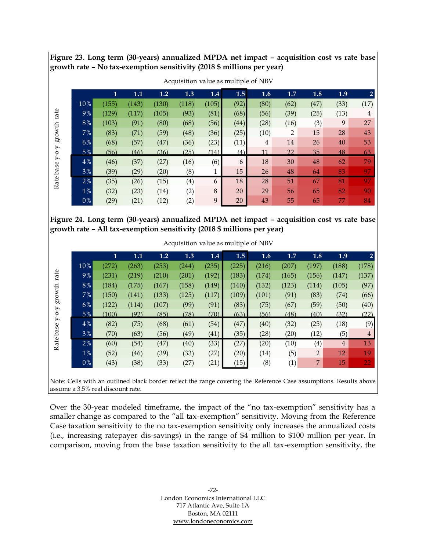<span id="page-78-0"></span>**Figure 23. Long term (30-years) annualized MPDA net impact – acquisition cost vs rate base growth rate – No tax-exemption sensitivity (2018 \$ millions per year)**

|             |       |       |       |       |       |       |      | Acquisition value as multiple of NBV |                |      |      |                |
|-------------|-------|-------|-------|-------|-------|-------|------|--------------------------------------|----------------|------|------|----------------|
|             |       | 1     | 1.1   | 1.2   | 1.3   | 1.4   | 1.5  | 1.6                                  | 1.7            | 1.8  | 1.9  | $\overline{2}$ |
|             | 10%   | (155) | (143) | (130) | (118) | (105) | (92) | (80)                                 | (62)           | (47) | (33) | (17)           |
| rate        | 9%    | (129) | (117) | (105) | (93)  | (81)  | (68) | (56)                                 | (39)           | (25) | (13) | 4              |
|             | 8%    | (103) | (91)  | (80)  | (68)  | (56)  | (44) | (28)                                 | (16)           | (3)  | 9    | 27             |
| growth      | 7%    | (83)  | (71)  | (59)  | (48)  | (36)  | (25) | (10)                                 | $\overline{2}$ | 15   | 28   | 43             |
|             | 6%    | (68)  | (57)  | (47)  | (36)  | (23)  | (11) | 4                                    | 14             | 26   | 40   | 53             |
| $Y$ -O- $Y$ | $5\%$ | (56)  | (46)  | (36)  | (25)  | (14)  | (4)  | 11                                   | 22             | 35   | 48   | 63             |
|             | 4%    | (46)  | (37)  | (27)  | (16)  | (6)   | 6    | 18                                   | 30             | 48   | 62   | 79             |
| Rate base   | 3%    | (39)  | (29)  | (20)  | (8)   | 1     | 15   | 26                                   | 48             | 64   | 83   | 97             |
|             | 2%    | (35)  | (26)  | (15)  | (4)   | 6     | 18   | 28                                   | 51             | 67   | 81   | 97             |
|             | 1%    | (32)  | (23)  | (14)  | (2)   | 8     | 20   | 29                                   | 56             | 65   | 82   | 90             |
|             | $0\%$ | (29)  | (21)  | (12)  | (2)   | 9     | 20   | 43                                   | 55             | 65   | 77   | 84             |
|             |       |       |       |       |       |       |      |                                      |                |      |      |                |

Acquisition value as multiple of NBV

<span id="page-78-1"></span>**Figure 24. Long term (30-years) annualized MPDA net impact – acquisition cost vs rate base growth rate – All tax-exemption sensitivity (2018 \$ millions per year)**

|                                                                                           |       |       |       |       |       |       | Acquisition value as multiple of NBV |       |       |                |                |                |
|-------------------------------------------------------------------------------------------|-------|-------|-------|-------|-------|-------|--------------------------------------|-------|-------|----------------|----------------|----------------|
|                                                                                           |       | 1     | 1.1   | 1.2   | 1.3   | 1.4   | 1.5                                  | 1.6   | 1.7   | 1.8            | 1.9            |                |
|                                                                                           | 10%   | (272) | (263) | (253) | (244) | (235) | (225)                                | (216) | (207) | (197)          | (188)          | (178)          |
| rate                                                                                      | 9%    | (231) | (219) | (210) | (201) | (192) | (183)                                | (174) | (165) | (156)          | (147)          | (137)          |
|                                                                                           | 8%    | (184) | (175) | (167) | (158) | (149) | (140)                                | (132) | (123) | (114)          | (105)          | (97)           |
| $\operatorname*{growth}% \left( \mathcal{M}\right) \equiv\operatorname*{grad}\mathcal{M}$ | 7%    | (150) | (141) | (133) | (125) | (117) | (109)                                | (101) | (91)  | (83)           | (74)           | (66)           |
|                                                                                           | $6\%$ | (122) | (114) | (107) | (99)  | (91)  | (83)                                 | (75)  | (67)  | (59)           | (50)           | (40)           |
| $Y$ -O- $Y$                                                                               | $5\%$ | (100) | (92)  | (85)  | (78)  | (70)  | (63)                                 | (56)  | (48)  | (40)           | (32)           | (22)           |
|                                                                                           | 4%    | (82)  | (75)  | (68)  | (61)  | (54)  | (47)                                 | (40)  | (32)  | (25)           | (18)           | (9)            |
| Rate base                                                                                 | 3%    | (70)  | (63)  | (56)  | (49)  | (41)  | (35)                                 | (28)  | (20)  | (12)           | (5)            | $\overline{4}$ |
|                                                                                           | 2%    | (60)  | (54)  | (47)  | (40)  | (33)  | (27)                                 | (20)  | (10)  | (4)            | $\overline{4}$ | 13             |
|                                                                                           | $1\%$ | (52)  | (46)  | (39)  | (33)  | (27)  | (20)                                 | (14)  | (5)   | $\overline{2}$ | 12             | 19             |
|                                                                                           | $0\%$ | (43)  | (38)  | (33)  | (27)  | (21)  | (15)                                 | (8)   | (1)   | 7              | 15             | 22             |
|                                                                                           |       |       |       |       |       |       |                                      |       |       |                |                |                |

Acquisition value as multiple of NBV

Note: Cells with an outlined black border reflect the range covering the Reference Case assumptions. Results above assume a 3.5% real discount rate.

Over the 30-year modeled timeframe, the impact of the "no tax-exemption" sensitivity has a smaller change as compared to the "all tax-exemption" sensitivity. Moving from the Reference Case taxation sensitivity to the no tax-exemption sensitivity only increases the annualized costs (i.e., increasing ratepayer dis-savings) in the range of \$4 million to \$100 million per year. In comparison, moving from the base taxation sensitivity to the all tax-exemption sensitivity, the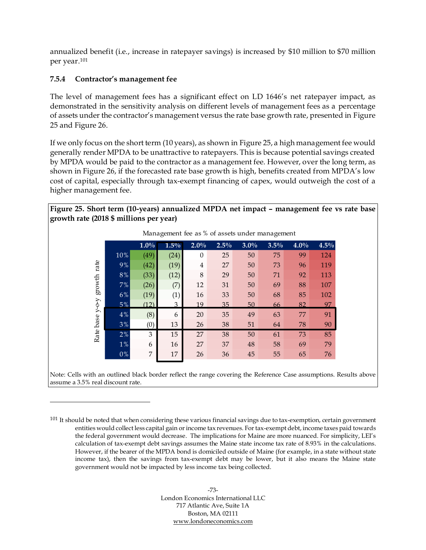annualized benefit (i.e., increase in ratepayer savings) is increased by \$10 million to \$70 million per year. 101

## <span id="page-79-1"></span>**7.5.4 Contractor's management fee**

The level of management fees has a significant effect on LD 1646's net ratepayer impact, as demonstrated in the sensitivity analysis on different levels of management fees as a percentage of assets under the contractor's management versus the rate base growth rate, presented in [Figure](#page-79-0)  [25](#page-79-0) and [Figure 26.](#page-80-0)

If we only focus on the short term (10 years), as shown in [Figure 25,](#page-79-0) a high management fee would generally render MPDA to be unattractive to ratepayers. This is because potential savings created by MPDA would be paid to the contractor as a management fee. However, over the long term, as shown in [Figure 26](#page-80-0), if the forecasted rate base growth is high, benefits created from MPDA's low cost of capital, especially through tax-exempt financing of capex, would outweigh the cost of a higher management fee.

#### <span id="page-79-0"></span>**Figure 25. Short term (10-years) annualized MPDA net impact – management fee vs rate base growth rate (2018 \$ millions per year)**

|                 |       |         |         |                |      |         | Management fee as % of assets under management |      |      |
|-----------------|-------|---------|---------|----------------|------|---------|------------------------------------------------|------|------|
|                 |       | $1.0\%$ | $1.5\%$ | $2.0\%$        | 2.5% | $3.0\%$ | 3.5%                                           | 4.0% | 4.5% |
|                 | 10%   | (49)    | (24)    | $\theta$       | 25   | 50      | 75                                             | 99   | 124  |
| rate            | 9%    | (42)    | (19)    | $\overline{4}$ | 27   | 50      | 73                                             | 96   | 119  |
|                 | 8%    | (33)    | (12)    | $\,8\,$        | 29   | 50      | 71                                             | 92   | 113  |
| growth          | 7%    | (26)    | (7)     | 12             | 31   | 50      | 69                                             | 88   | 107  |
|                 | 6%    | (19)    | (1)     | 16             | 33   | 50      | 68                                             | 85   | 102  |
|                 | $5\%$ | (12)    | 3       | 19             | 35   | 50      | 66                                             | 82   | 97   |
|                 | 4%    | (8)     | 6       | 20             | 35   | 49      | 63                                             | 77   | 91   |
|                 | 3%    | (0)     | 13      | 26             | 38   | 51      | 64                                             | 78   | 90   |
| Rate base y-o-y | 2%    | 3       | 15      | 27             | 38   | 50      | 61                                             | 73   | 85   |
|                 | 1%    | 6       | 16      | 27             | 37   | 48      | 58                                             | 69   | 79   |
|                 | $0\%$ | 7       | 17      | 26             | 36   | 45      | 55                                             | 65   | 76   |

Note: Cells with an outlined black border reflect the range covering the Reference Case assumptions. Results above assume a 3.5% real discount rate.

 $101$  It should be noted that when considering these various financial savings due to tax-exemption, certain government entities would collect less capital gain or income tax revenues. For tax-exempt debt, income taxes paid towards the federal government would decrease. The implications for Maine are more nuanced. For simplicity, LEI's calculation of tax-exempt debt savings assumes the Maine state income tax rate of 8.93% in the calculations. However, if the bearer of the MPDA bond is domiciled outside of Maine (for example, in a state without state income tax), then the savings from tax-exempt debt may be lower, but it also means the Maine state government would not be impacted by less income tax being collected.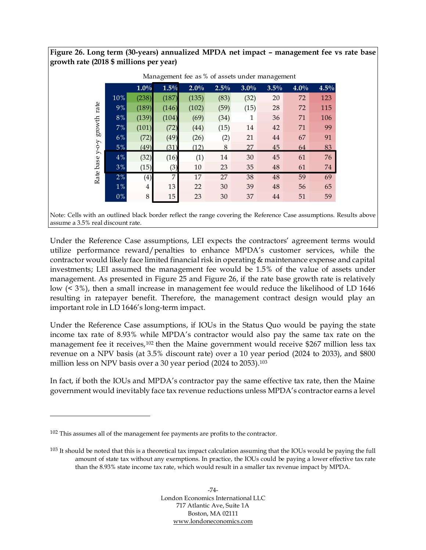<span id="page-80-0"></span>**Figure 26. Long term (30-years) annualized MPDA net impact – management fee vs rate base growth rate (2018 \$ millions per year)**

|       |                |       | Management lee as % of assets under management |      |         |      |      |      |
|-------|----------------|-------|------------------------------------------------|------|---------|------|------|------|
|       | 1.0%           | 1.5%  | $2.0\%$                                        | 2.5% | $3.0\%$ | 3.5% | 4.0% | 4.5% |
| 10%   | (238)          | (187) | (135)                                          | (83) | (32)    | 20   | 72   | 123  |
| 9%    | (189)          | (146) | (102)                                          | (59) | (15)    | 28   | 72   | 115  |
| $8\%$ | (139)          | (104) | (69)                                           | (34) | 1       | 36   | 71   | 106  |
| 7%    | (101)          | (72)  | (44)                                           | (15) | 14      | 42   | 71   | 99   |
| 6%    | (72)           | (49)  | (26)                                           | (2)  | 21      | 44   | 67   | 91   |
| 5%    | (49)           | (31)  | (12)                                           | 8    | 27      | 45   | 64   | 83   |
| 4%    | (32)           | (16)  | (1)                                            | 14   | 30      | 45   | 61   | 76   |
| 3%    | (15)           | (3)   | 10                                             | 23   | 35      | 48   | 61   | 74   |
| 2%    | (4)            | 7     | 17                                             | 27   | 38      | 48   | 59   | 69   |
| $1\%$ | $\overline{4}$ | 13    | 22                                             | 30   | 39      | 48   | 56   | 65   |
| $0\%$ | 8              | 15    | 23                                             | 30   | 37      | 44   | 51   | 59   |

Management fee as % of assets under management

Note: Cells with an outlined black border reflect the range covering the Reference Case assumptions. Results above assume a 3.5% real discount rate.

Under the Reference Case assumptions, LEI expects the contractors' agreement terms would utilize performance reward/penalties to enhance MPDA's customer services, while the contractor would likely face limited financial risk in operating & maintenance expense and capital investments; LEI assumed the management fee would be 1.5% of the value of assets under management. As presented in [Figure 25](#page-79-0) and [Figure 26,](#page-80-0) if the rate base growth rate is relatively low (< 3%), then a small increase in management fee would reduce the likelihood of LD 1646 resulting in ratepayer benefit. Therefore, the management contract design would play an important role in LD 1646's long-term impact.

Under the Reference Case assumptions, if IOUs in the Status Quo would be paying the state income tax rate of 8.93% while MPDA's contractor would also pay the same tax rate on the management fee it receives,<sup>102</sup> then the Maine government would receive \$267 million less tax revenue on a NPV basis (at 3.5% discount rate) over a 10 year period (2024 to 2033), and \$800 million less on NPV basis over a 30 year period (2024 to 2053).<sup>103</sup>

In fact, if both the IOUs and MPDA's contractor pay the same effective tax rate, then the Maine government would inevitably face tax revenue reductions unless MPDA's contractor earns a level

<sup>102</sup> This assumes all of the management fee payments are profits to the contractor.

 $103$  It should be noted that this is a theoretical tax impact calculation assuming that the IOUs would be paying the full amount of state tax without any exemptions. In practice, the IOUs could be paying a lower effective tax rate than the 8.93% state income tax rate, which would result in a smaller tax revenue impact by MPDA.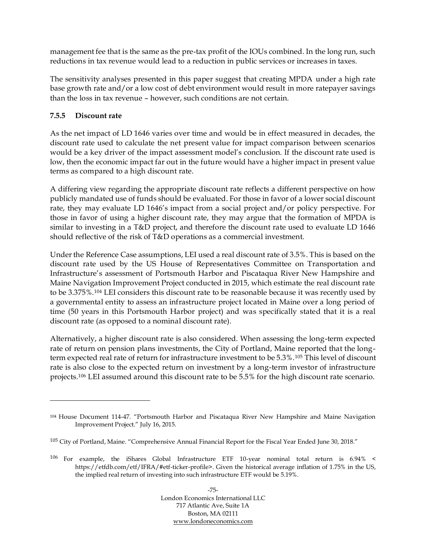management fee that is the same as the pre-tax profit of the IOUs combined. In the long run, such reductions in tax revenue would lead to a reduction in public services or increases in taxes.

The sensitivity analyses presented in this paper suggest that creating MPDA under a high rate base growth rate and/or a low cost of debt environment would result in more ratepayer savings than the loss in tax revenue – however, such conditions are not certain.

## **7.5.5 Discount rate**

As the net impact of LD 1646 varies over time and would be in effect measured in decades, the discount rate used to calculate the net present value for impact comparison between scenarios would be a key driver of the impact assessment model's conclusion. If the discount rate used is low, then the economic impact far out in the future would have a higher impact in present value terms as compared to a high discount rate.

A differing view regarding the appropriate discount rate reflects a different perspective on how publicly mandated use of funds should be evaluated. For those in favor of a lower social discount rate, they may evaluate LD 1646's impact from a social project and/or policy perspective. For those in favor of using a higher discount rate, they may argue that the formation of MPDA is similar to investing in a T&D project, and therefore the discount rate used to evaluate LD 1646 should reflective of the risk of T&D operations as a commercial investment.

Under the Reference Case assumptions, LEI used a real discount rate of 3.5%. This is based on the discount rate used by the US House of Representatives Committee on Transportation and Infrastructure's assessment of Portsmouth Harbor and Piscataqua River New Hampshire and Maine Navigation Improvement Project conducted in 2015, which estimate the real discount rate to be 3.375%.<sup>104</sup> LEI considers this discount rate to be reasonable because it was recently used by a governmental entity to assess an infrastructure project located in Maine over a long period of time (50 years in this Portsmouth Harbor project) and was specifically stated that it is a real discount rate (as opposed to a nominal discount rate).

Alternatively, a higher discount rate is also considered. When assessing the long-term expected rate of return on pension plans investments, the City of Portland, Maine reported that the longterm expected real rate of return for infrastructure investment to be 5.3%.<sup>105</sup> This level of discount rate is also close to the expected return on investment by a long-term investor of infrastructure projects. <sup>106</sup> LEI assumed around this discount rate to be 5.5% for the high discount rate scenario.

<sup>104</sup> House Document 114-47. "Portsmouth Harbor and Piscataqua River New Hampshire and Maine Navigation Improvement Project." July 16, 2015.

<sup>105</sup> City of Portland, Maine. "Comprehensive Annual Financial Report for the Fiscal Year Ended June 30, 2018."

<sup>106</sup> For example, the iShares Global Infrastructure ETF 10-year nominal total return is 6.94% < https://etfdb.com/etf/IFRA/#etf-ticker-profile>. Given the historical average inflation of 1.75% in the US, the implied real return of investing into such infrastructure ETF would be 5.19%.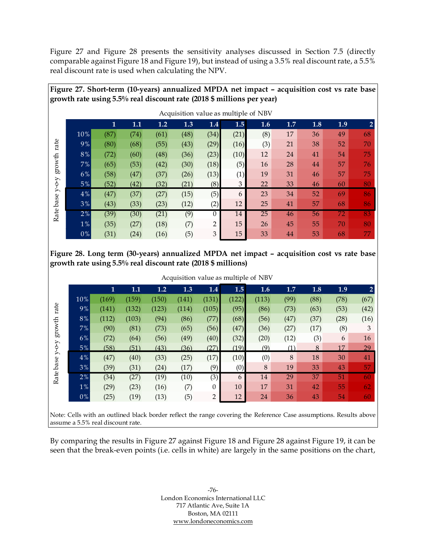[Figure 27](#page-82-0) and [Figure 28](#page-82-1) presents the sensitivity analyses discussed in Section [7.5](#page-72-0) (directly comparable against [Figure 18](#page-75-0) an[d Figure 19\)](#page-75-1), but instead of using a 3.5% real discount rate, a 5.5% real discount rate is used when calculating the NPV.

<span id="page-82-0"></span>**Figure 27. Short-term (10-years) annualized MPDA net impact – acquisition cost vs rate base** 

|             |          |      |      |      |      |                |      | Acquisition value as multiple of NBV |     |     |     |              |
|-------------|----------|------|------|------|------|----------------|------|--------------------------------------|-----|-----|-----|--------------|
|             |          | 1    | 1.1  | 1.2  | 1.3  | 1.4            | 1.5  | 1.6                                  | 1.7 | 1.8 | 1.9 | $\mathbf{2}$ |
|             | 10%      | (87) | (74) | (61) | (48) | (34)           | (21) | (8)                                  | 17  | 36  | 49  | 68           |
| rate        | 9%       | (80) | (68) | (55) | (43) | (29)           | (16) | (3)                                  | 21  | 38  | 52  | 70           |
|             | $8\, \%$ | (72) | (60) | (48) | (36) | (23)           | (10) | 12                                   | 24  | 41  | 54  | 75           |
| growth      | 7%       | (65) | (53) | (42) | (30) | (18)           | (5)  | 16                                   | 28  | 44  | 57  | 76           |
|             | 6%       | (58) | (47) | (37) | (26) | (13)           | (1)  | 19                                   | 31  | 46  | 57  | 75           |
| $Y$ -O- $Y$ | 5%       | (52) | (42) | (32) | (21) | (8)            | 3    | 22                                   | 33  | 46  | 60  | 80           |
|             | $4\%$    | (47) | (37) | (27) | (15) | (5)            | 6    | 23                                   | 34  | 52  | 69  | 86           |
|             | 3%       | (43) | (33) | (23) | (12) | (2)            | 12   | 25                                   | 41  | 57  | 68  | 86           |
| Rate base   | 2%       | (39) | (30) | (21) | (9)  | $\Omega$       | 14   | 25                                   | 46  | 56  | 72  | 83           |
|             | $1\%$    | (35) | (27) | (18) | (7)  | $\overline{2}$ | 15   | 26                                   | 45  | 55  | 70  | 80           |
|             | $0\%$    | (31) | (24) | (16) | (5)  | 3              | 15   | 33                                   | 44  | 53  | 68  | 77           |

<span id="page-82-1"></span>**Figure 28. Long term (30-years) annualized MPDA net impact – acquisition cost vs rate base growth rate using 5.5% real discount rate (2018 \$ millions)**

|                                                                                                                |       |       |       |       |       |                |       | Acquisition value as multiple of NBV |      |      |      |      |
|----------------------------------------------------------------------------------------------------------------|-------|-------|-------|-------|-------|----------------|-------|--------------------------------------|------|------|------|------|
|                                                                                                                |       | 1     | 1.1   | 1.2   | 1.3   | 1.4            | 1.5   | 1.6                                  | 1.7  | 1.8  | 1.9  |      |
|                                                                                                                | 10%   | (169) | (159) | (150) | (141) | (131)          | (122) | (113)                                | (99) | (88) | (78) | (67) |
| rate                                                                                                           | 9%    | (141) | (132) | (123) | (114) | (105)          | (95)  | (86)                                 | (73) | (63) | (53) | (42) |
|                                                                                                                | 8%    | (112) | (103) | (94)  | (86)  | (77)           | (68)  | (56)                                 | (47) | (37) | (28) | (16) |
| $\operatorname*{growth}% \left( X_{0},\mathcal{M}\right) =\operatorname*{grad}\left( X_{0},\mathcal{M}\right)$ | 7%    | (90)  | (81)  | (73)  | (65)  | (56)           | (47)  | (36)                                 | (27) | (17) | (8)  | 3    |
|                                                                                                                | 6%    | (72)  | (64)  | (56)  | (49)  | (40)           | (32)  | (20)                                 | (12) | (3)  | 6    | 16   |
| $\lambda$ -0-                                                                                                  | $5\%$ | (58)  | (51)  | (43)  | (36)  | (27)           | (19)  | (9)                                  | (1)  | 8    | 17   | 29   |
| 入                                                                                                              | 4%    | (47)  | (40)  | (33)  | (25)  | (17)           | (10)  | (0)                                  | 8    | 18   | 30   | 41   |
| Rate base                                                                                                      | 3%    | (39)  | (31)  | (24)  | (17)  | (9)            | (0)   | 8                                    | 19   | 33   | 43   | 57   |
|                                                                                                                | 2%    | (34)  | (27)  | (19)  | (10)  | (3)            | 6     | 14                                   | 29   | 37   | 51   | 60   |
|                                                                                                                | $1\%$ | (29)  | (23)  | (16)  | (7)   | $\theta$       | 10    | 17                                   | 31   | 42   | 55   | 62   |
|                                                                                                                | 0%    | (25)  | (19)  | (13)  | (5)   | $\overline{2}$ | 12    | 24                                   | 36   | 43   | 54   | 60   |
|                                                                                                                |       |       |       |       |       |                |       |                                      |      |      |      |      |

Note: Cells with an outlined black border reflect the range covering the Reference Case assumptions. Results above assume a 5.5% real discount rate.

By comparing the results in [Figure 27](#page-82-0) against [Figure 18](#page-75-0) and [Figure 28](#page-82-1) against [Figure 19,](#page-75-1) it can be seen that the break-even points (i.e. cells in white) are largely in the same positions on the chart,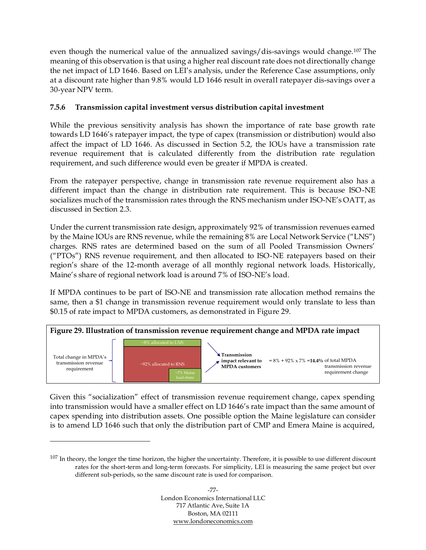even though the numerical value of the annualized savings/dis-savings would change. <sup>107</sup> The meaning of this observation is that using a higher real discount rate does not directionally change the net impact of LD 1646. Based on LEI's analysis, under the Reference Case assumptions, only at a discount rate higher than 9.8% would LD 1646 result in overall ratepayer dis-savings over a 30-year NPV term.

## **7.5.6 Transmission capital investment versus distribution capital investment**

While the previous sensitivity analysis has shown the importance of rate base growth rate towards LD 1646's ratepayer impact, the type of capex (transmission or distribution) would also affect the impact of LD 1646. As discussed in Section [5.2,](#page-48-0) the IOUs have a transmission rate revenue requirement that is calculated differently from the distribution rate regulation requirement, and such difference would even be greater if MPDA is created.

From the ratepayer perspective, change in transmission rate revenue requirement also has a different impact than the change in distribution rate requirement. This is because ISO-NE socializes much of the transmission rates through the RNS mechanism under ISO-NE's OATT, as discussed in Section [2.3.](#page-30-0)

Under the current transmission rate design, approximately 92% of transmission revenues earned by the Maine IOUs are RNS revenue, while the remaining 8% are Local Network Service ("LNS") charges. RNS rates are determined based on the sum of all Pooled Transmission Owners' ("PTOs") RNS revenue requirement, and then allocated to ISO-NE ratepayers based on their region's share of the 12-month average of all monthly regional network loads. Historically, Maine's share of regional network load is around 7% of ISO-NE's load.

If MPDA continues to be part of ISO-NE and transmission rate allocation method remains the same, then a \$1 change in transmission revenue requirement would only translate to less than \$0.15 of rate impact to MPDA customers, as demonstrated in [Figure 29.](#page-83-0)

<span id="page-83-0"></span>

Given this "socialization" effect of transmission revenue requirement change, capex spending into transmission would have a smaller effect on LD 1646's rate impact than the same amount of capex spending into distribution assets. One possible option the Maine legislature can consider is to amend LD 1646 such that only the distribution part of CMP and Emera Maine is acquired,

<sup>107</sup> In theory, the longer the time horizon, the higher the uncertainty. Therefore, it is possible to use different discount rates for the short-term and long-term forecasts. For simplicity, LEI is measuring the same project but over different sub-periods, so the same discount rate is used for comparison.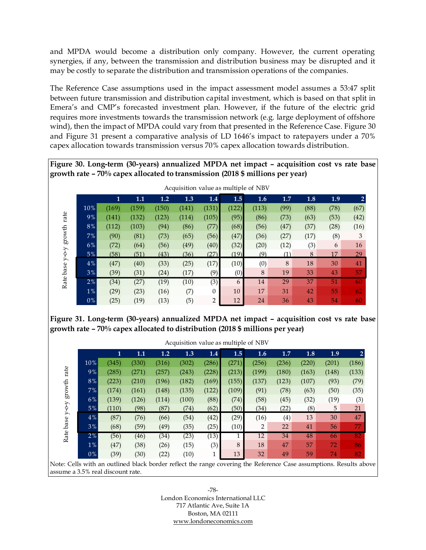and MPDA would become a distribution only company. However, the current operating synergies, if any, between the transmission and distribution business may be disrupted and it may be costly to separate the distribution and transmission operations of the companies.

The Reference Case assumptions used in the impact assessment model assumes a 53:47 split between future transmission and distribution capital investment, which is based on that split in Emera's and CMP's forecasted investment plan. However, if the future of the electric grid requires more investments towards the transmission network (e.g. large deployment of offshore wind), then the impact of MPDA could vary from that presented in the Reference Case. [Figure 30](#page-84-0) and [Figure 31](#page-84-1) present a comparative analysis of LD 1646's impact to ratepayers under a 70% capex allocation towards transmission versus 70% capex allocation towards distribution.

<span id="page-84-0"></span>**Figure 30. Long-term (30-years) annualized MPDA net impact – acquisition cost vs rate base growth rate – 70% capex allocated to transmission (2018 \$ millions per year)**

|                                                                                           |       |       |       |       |       |                |       | Acquisition value as multiple of NBV |      |      |      |                |
|-------------------------------------------------------------------------------------------|-------|-------|-------|-------|-------|----------------|-------|--------------------------------------|------|------|------|----------------|
|                                                                                           |       | 1     | 1.1   | 1.2   | 1.3   | 1.4            | 1.5   | 1.6                                  | 1.7  | 1.8  | 1.9  | $\overline{2}$ |
|                                                                                           | 10%   | (169) | (159) | (150) | (141) | (131)          | (122) | (113)                                | (99) | (88) | (78) | (67)           |
| rate                                                                                      | 9%    | (141) | (132) | (123) | (114) | (105)          | (95)  | (86)                                 | (73) | (63) | (53) | (42)           |
|                                                                                           | 8%    | (112) | (103) | (94)  | (86)  | (77)           | (68)  | (56)                                 | (47) | (37) | (28) | (16)           |
| $\operatorname*{growth}% \left( \mathcal{M}\right) \equiv\operatorname*{grad}\mathcal{M}$ | 7%    | (90)  | (81)  | (73)  | (65)  | (56)           | (47)  | (36)                                 | (27) | (17) | (8)  | 3              |
|                                                                                           | 6%    | (72)  | (64)  | (56)  | (49)  | (40)           | (32)  | (20)                                 | (12) | (3)  | 6    | 16             |
|                                                                                           | $5\%$ | (58)  | (51)  | (43)  | (36)  | (27)           | (19)  | (9)                                  | (1)  | 8    | 17   | 29             |
|                                                                                           | 4%    | (47)  | (40)  | (33)  | (25)  | (17)           | (10)  | (0)                                  | 8    | 18   | 30   | 41             |
| Rate base y-o-y                                                                           | 3%    | (39)  | (31)  | (24)  | (17)  | (9)            | (0)   | 8                                    | 19   | 33   | 43   | 57             |
|                                                                                           | 2%    | (34)  | (27)  | (19)  | (10)  | (3)            | 6     | 14                                   | 29   | 37   | 51   | 60             |
|                                                                                           | $1\%$ | (29)  | (23)  | (16)  | (7)   | $\Omega$       | 10    | 17                                   | 31   | 42   | 55   | 62             |
|                                                                                           | 0%    | (25)  | (19)  | (13)  | (5)   | $\overline{2}$ | 12    | 24                                   | 36   | 43   | 54   | 60             |
|                                                                                           |       |       |       |       |       |                |       |                                      |      |      |      |                |

<span id="page-84-1"></span>**Figure 31. Long-term (30-years) annualized MPDA net impact – acquisition cost vs rate base growth rate – 70% capex allocated to distribution (2018 \$ millions per year)**

|           |       | $\mathbf{1}$ | 1.1   | 1.2   | 1.3   | 1.4   | 1.5   | 1.6   | 1.7   | 1.8   | 1.9   |       |
|-----------|-------|--------------|-------|-------|-------|-------|-------|-------|-------|-------|-------|-------|
|           | 10%   | (345)        | (330) | (316) | (302) | (286) | (271) | (256) | (236) | (220) | (201) | (186) |
| rate      | 9%    | (285)        | (271) | (257) | (243) | (228) | (213) | (199) | (180) | (163) | (148) | (133) |
|           | $8\%$ | (223)        | (210) | (196) | (182) | (169) | (155) | (137) | (123) | (107) | (93)  | (79)  |
| growth    | 7%    | (174)        | (161) | (148) | (135) | (122) | (109) | (91)  | (78)  | (63)  | (50)  | (35)  |
|           | 6%    | (139)        | (126) | (114) | (100) | (88)  | (74)  | (58)  | (45)  | (32)  | (19)  | (3)   |
| $Y$ -O-Y  | $5\%$ | (110)        | (98)  | (87)  | (74)  | (62)  | (50)  | (34)  | (22)  | (8)   | 5     | 21    |
|           | 4%    | (87)         | (76)  | (66)  | (54)  | (42)  | (29)  | (16)  | (4)   | 13    | 30    | 47    |
|           | 3%    | (68)         | (59)  | (49)  | (35)  | (25)  | (10)  | 2     | 22    | 41    | 56    | 77    |
| Rate base | $2\%$ | (56)         | (46)  | (34)  | (23)  | (13)  |       | 12    | 34    | 48    | 66    | 82    |
|           | $1\%$ | (47)         | (38)  | (26)  | (15)  | (3)   | 8     | 18    | 47    | 57    | 72    | 86    |
|           | $0\%$ | (39)         | (30)  | (22)  | (10)  | 1     | 13    | 32    | 49    | 59    | 74    | 82    |

assume a 3.5% real discount rate.

-78- London Economics International LLC 717 Atlantic Ave, Suite 1A Boston, MA 02111 [www.londoneconomics.com](http://www.londoneconomics.com/)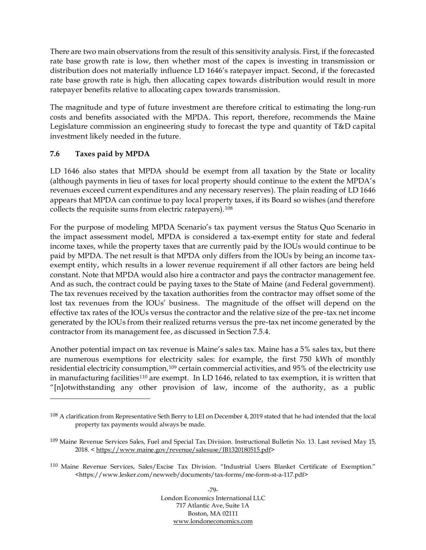There are two main observations from the result of this sensitivity analysis. First, if the forecasted rate base growth rate is low, then whether most of the capex is investing in transmission or distribution does not materially influence LD 1646's ratepayer impact. Second, if the forecasted rate base growth rate is high, then allocating capex towards distribution would result in more ratepayer benefits relative to allocating capex towards transmission.

The magnitude and type of future investment are therefore critical to estimating the long-run costs and benefits associated with the MPDA. This report, therefore, recommends the Maine Legislature commission an engineering study to forecast the type and quantity of T&D capital investment likely needed in the future.

### <span id="page-85-0"></span>**7.6 Taxes paid by MPDA**

LD 1646 also states that MPDA should be exempt from all taxation by the State or locality (although payments in lieu of taxes for local property should continue to the extent the MPDA's revenues exceed current expenditures and any necessary reserves). The plain reading of LD 1646 appears that MPDA can continue to pay local property taxes, if its Board so wishes (and therefore collects the requisite sums from electric ratepayers).<sup>108</sup>

For the purpose of modeling MPDA Scenario's tax payment versus the Status Quo Scenario in the impact assessment model, MPDA is considered a tax-exempt entity for state and federal income taxes, while the property taxes that are currently paid by the IOUs would continue to be paid by MPDA. The net result is that MPDA only differs from the IOUs by being an income taxexempt entity, which results in a lower revenue requirement if all other factors are being held constant. Note that MPDA would also hire a contractor and pays the contractor management fee. And as such, the contract could be paying taxes to the State of Maine (and Federal government). The tax revenues received by the taxation authorities from the contractor may offset some of the lost tax revenues from the IOUs' business. The magnitude of the offset will depend on the effective tax rates of the IOUs versus the contractor and the relative size of the pre-tax net income generated by the IOUs from their realized returns versus the pre-tax net income generated by the contractor from its management fee, as discussed in Section [7.5.4.](#page-79-1)

Another potential impact on tax revenue is Maine's sales tax. Maine has a 5% sales tax, but there are numerous exemptions for electricity sales: for example, the first 750 kWh of monthly residential electricity consumption,<sup>109</sup> certain commercial activities, and 95% of the electricity use in manufacturing facilities<sup>110</sup> are exempt. In LD 1646, related to tax exemption, it is written that "[n]otwithstanding any other provision of law, income of the authority, as a public

<sup>108</sup> A clarification from Representative Seth Berry to LEI on December 4, 2019 stated that he had intended that the local property tax payments would always be made.

<sup>109</sup> Maine Revenue Services Sales, Fuel and Special Tax Division. Instructional Bulletin No. 13. Last revised May 15, 2018. < [https://www.maine.gov/revenue/salesuse/IB1320180515.pdf>](https://www.maine.gov/revenue/salesuse/IB1320180515.pdf)

<sup>110</sup> Maine Revenue Services, Sales/Excise Tax Division. "Industrial Users Blanket Certificate of Exemption." <https://www.lesker.com/newweb/documents/tax-forms/me-form-st-a-117.pdf>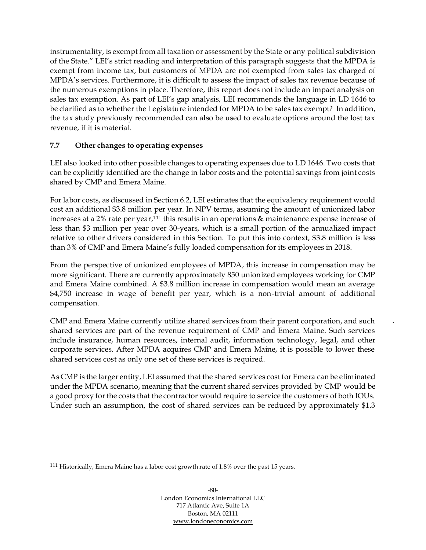instrumentality, is exempt from all taxation or assessment by the State or any political subdivision of the State." LEI's strict reading and interpretation of this paragraph suggests that the MPDA is exempt from income tax, but customers of MPDA are not exempted from sales tax charged of MPDA's services. Furthermore, it is difficult to assess the impact of sales tax revenue because of the numerous exemptions in place. Therefore, this report does not include an impact analysis on sales tax exemption. As part of LEI's gap analysis, LEI recommends the language in LD 1646 to be clarified as to whether the Legislature intended for MPDA to be sales tax exempt? In addition, the tax study previously recommended can also be used to evaluate options around the lost tax revenue, if it is material.

## **7.7 Other changes to operating expenses**

LEI also looked into other possible changes to operating expenses due to LD 1646. Two costs that can be explicitly identified are the change in labor costs and the potential savings from joint costs shared by CMP and Emera Maine.

For labor costs, as discussed in Section [6.2,](#page-53-0) LEI estimates that the equivalency requirement would cost an additional \$3.8 million per year. In NPV terms, assuming the amount of unionized labor increases at a 2% rate per year,<sup>111</sup> this results in an operations & maintenance expense increase of less than \$3 million per year over 30-years, which is a small portion of the annualized impact relative to other drivers considered in this Section. To put this into context, \$3.8 million is less than 3% of CMP and Emera Maine's fully loaded compensation for its employees in 2018.

From the perspective of unionized employees of MPDA, this increase in compensation may be more significant. There are currently approximately 850 unionized employees working for CMP and Emera Maine combined. A \$3.8 million increase in compensation would mean an average \$4,750 increase in wage of benefit per year, which is a non-trivial amount of additional compensation.

CMP and Emera Maine currently utilize shared services from their parent corporation, and such shared services are part of the revenue requirement of CMP and Emera Maine. Such services include insurance, human resources, internal audit, information technology, legal, and other corporate services. After MPDA acquires CMP and Emera Maine, it is possible to lower these shared services cost as only one set of these services is required.

As CMP is the larger entity, LEI assumed that the shared services cost for Emera can be eliminated under the MPDA scenario, meaning that the current shared services provided by CMP would be a good proxy for the costs that the contractor would require to service the customers of both IOUs. Under such an assumption, the cost of shared services can be reduced by approximately \$1.3

<sup>111</sup> Historically, Emera Maine has a labor cost growth rate of 1.8% over the past 15 years.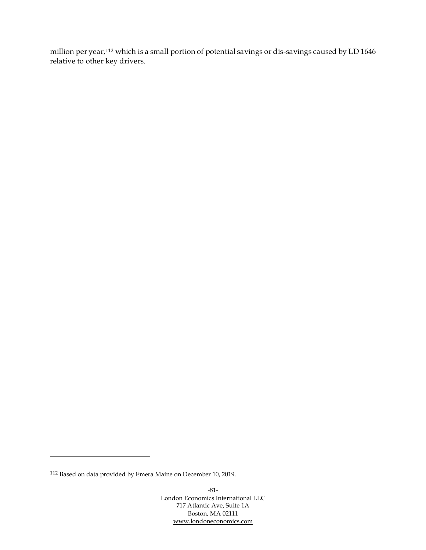million per year, <sup>112</sup> which is a small portion of potential savings or dis-savings caused by LD 1646 relative to other key drivers.

<sup>112</sup> Based on data provided by Emera Maine on December 10, 2019.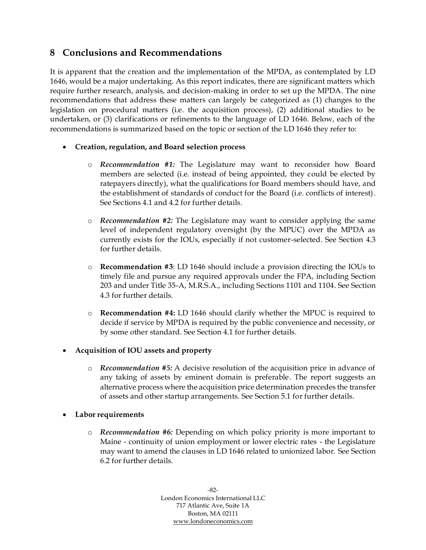## **8 Conclusions and Recommendations**

It is apparent that the creation and the implementation of the MPDA, as contemplated by LD 1646, would be a major undertaking. As this report indicates, there are significant matters which require further research, analysis, and decision-making in order to set up the MPDA. The nine recommendations that address these matters can largely be categorized as (1) changes to the legislation on procedural matters (i.e. the acquisition process), (2) additional studies to be undertaken, or (3) clarifications or refinements to the language of LD 1646. Below, each of the recommendations is summarized based on the topic or section of the LD 1646 they refer to:

## • **Creation, regulation, and Board selection process**

- o *Recommendation #1:* The Legislature may want to reconsider how Board members are selected (i.e. instead of being appointed, they could be elected by ratepayers directly), what the qualifications for Board members should have, and the establishment of standards of conduct for the Board (i.e. conflicts of interest). See Sections [4.1](#page-37-0) and [4.2](#page-39-0) for further details.
- o *Recommendation #2:* The Legislature may want to consider applying the same level of independent regulatory oversight (by the MPUC) over the MPDA as currently exists for the IOUs, especially if not customer-selected. See Section [4.3](#page-40-0) for further details.
- o **Recommendation #3**: LD 1646 should include a provision directing the IOUs to timely file and pursue any required approvals under the FPA, including Section 203 and under Title 35-A, M.R.S.A., including Sections 1101 and 1104. See Section [4.3](#page-40-0) for further details.
- o **Recommendation #4:** LD 1646 should clarify whether the MPUC is required to decide if service by MPDA is required by the public convenience and necessity, or by some other standard. See Section [4.1](#page-37-0) for further details.

#### • **Acquisition of IOU assets and property**

o *Recommendation #5:* A decisive resolution of the acquisition price in advance of any taking of assets by eminent domain is preferable. The report suggests an alternative process where the acquisition price determination precedes the transfer of assets and other startup arrangements. See Section [5.1](#page-43-0) for further details.

#### • **Labor requirements**

o *Recommendation #6:* Depending on which policy priority is more important to Maine - continuity of union employment or lower electric rates - the Legislature may want to amend the clauses in LD 1646 related to unionized labor. See Section [6.2](#page-53-0) for further details.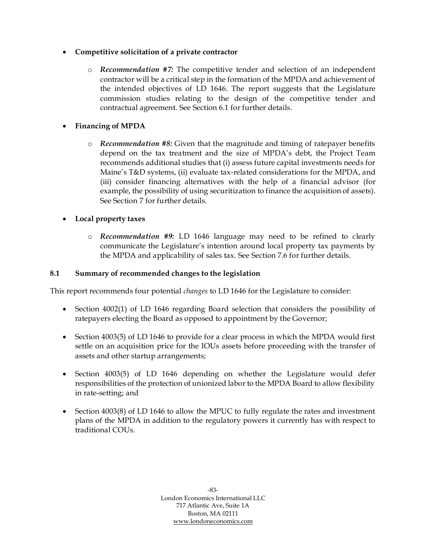## • **Competitive solicitation of a private contractor**

o *Recommendation #7:* The competitive tender and selection of an independent contractor will be a critical step in the formation of the MPDA and achievement of the intended objectives of LD 1646. The report suggests that the Legislature commission studies relating to the design of the competitive tender and contractual agreement. See Section [6.1](#page-51-0) for further details.

## • **Financing of MPDA**

o *Recommendation #8:* Given that the magnitude and timing of ratepayer benefits depend on the tax treatment and the size of MPDA's debt, the Project Team recommends additional studies that (i) assess future capital investments needs for Maine's T&D systems, (ii) evaluate tax-related considerations for the MPDA, and (iii) consider financing alternatives with the help of a financial advisor (for example, the possibility of using securitization to finance the acquisition of assets). See Section [7](#page-57-0) for further details.

## • **Local property taxes**

o *Recommendation #9:* LD 1646 language may need to be refined to clearly communicate the Legislature's intention around local property tax payments by the MPDA and applicability of sales tax. See Section [7.6](#page-85-0) for further details.

#### **8.1 Summary of recommended changes to the legislation**

This report recommends four potential *changes* to LD 1646 for the Legislature to consider:

- Section 4002(1) of LD 1646 regarding Board selection that considers the possibility of ratepayers electing the Board as opposed to appointment by the Governor;
- Section 4003(5) of LD 1646 to provide for a clear process in which the MPDA would first settle on an acquisition price for the IOUs assets before proceeding with the transfer of assets and other startup arrangements;
- Section 4003(5) of LD 1646 depending on whether the Legislature would defer responsibilities of the protection of unionized labor to the MPDA Board to allow flexibility in rate-setting; and
- Section 4003(8) of LD 1646 to allow the MPUC to fully regulate the rates and investment plans of the MPDA in addition to the regulatory powers it currently has with respect to traditional COUs.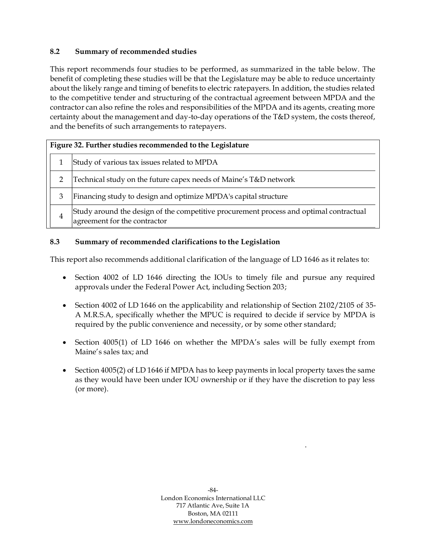## **8.2 Summary of recommended studies**

This report recommends four studies to be performed, as summarized in the table below. The benefit of completing these studies will be that the Legislature may be able to reduce uncertainty about the likely range and timing of benefits to electric ratepayers. In addition, the studies related to the competitive tender and structuring of the contractual agreement between MPDA and the contractor can also refine the roles and responsibilities of the MPDA and its agents, creating more certainty about the management and day-to-day operations of the T&D system, the costs thereof, and the benefits of such arrangements to ratepayers.

| Figure 32. Further studies recommended to the Legislature                                                              |
|------------------------------------------------------------------------------------------------------------------------|
| Study of various tax issues related to MPDA                                                                            |
| Technical study on the future capex needs of Maine's T&D network                                                       |
| Financing study to design and optimize MPDA's capital structure                                                        |
| Study around the design of the competitive procurement process and optimal contractual<br>agreement for the contractor |

### **8.3 Summary of recommended clarifications to the Legislation**

This report also recommends additional clarification of the language of LD 1646 as it relates to:

- Section 4002 of LD 1646 directing the IOUs to timely file and pursue any required approvals under the Federal Power Act, including Section 203;
- Section 4002 of LD 1646 on the applicability and relationship of Section 2102/2105 of 35-A M.R.S.A, specifically whether the MPUC is required to decide if service by MPDA is required by the public convenience and necessity, or by some other standard;
- Section 4005(1) of LD 1646 on whether the MPDA's sales will be fully exempt from Maine's sales tax; and
- Section 4005(2) of LD 1646 if MPDA has to keep payments in local property taxes the same as they would have been under IOU ownership or if they have the discretion to pay less (or more).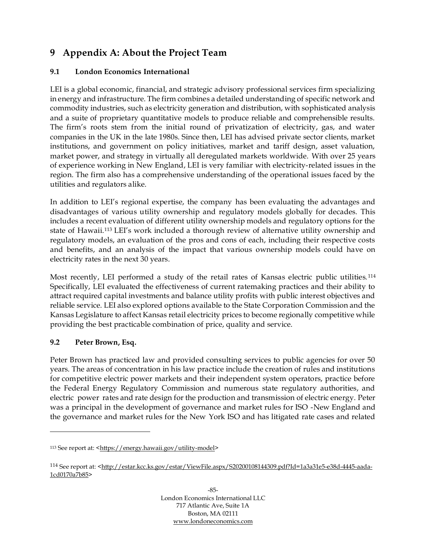# **9 Appendix A: About the Project Team**

## **9.1 London Economics International**

LEI is a global economic, financial, and strategic advisory professional services firm specializing in energy and infrastructure. The firm combines a detailed understanding of specific network and commodity industries, such as electricity generation and distribution, with sophisticated analysis and a suite of proprietary quantitative models to produce reliable and comprehensible results. The firm's roots stem from the initial round of privatization of electricity, gas, and water companies in the UK in the late 1980s. Since then, LEI has advised private sector clients, market institutions, and government on policy initiatives, market and tariff design, asset valuation, market power, and strategy in virtually all deregulated markets worldwide. With over 25 years of experience working in New England, LEI is very familiar with electricity-related issues in the region. The firm also has a comprehensive understanding of the operational issues faced by the utilities and regulators alike.

In addition to LEI's regional expertise, the company has been evaluating the advantages and disadvantages of various utility ownership and regulatory models globally for decades. This includes a recent evaluation of different utility ownership models and regulatory options for the state of Hawaii.<sup>113</sup> LEI's work included a thorough review of alternative utility ownership and regulatory models, an evaluation of the pros and cons of each, including their respective costs and benefits, and an analysis of the impact that various ownership models could have on electricity rates in the next 30 years.

Most recently, LEI performed a study of the retail rates of Kansas electric public utilities. <sup>114</sup> Specifically, LEI evaluated the effectiveness of current ratemaking practices and their ability to attract required capital investments and balance utility profits with public interest objectives and reliable service. LEI also explored options available to the State Corporation Commission and the Kansas Legislature to affect Kansas retail electricity prices to become regionally competitive while providing the best practicable combination of price, quality and service.

#### **9.2 Peter Brown, Esq.**

Peter Brown has practiced law and provided consulting services to public agencies for over 50 years. The areas of concentration in his law practice include the creation of rules and institutions for competitive electric power markets and their independent system operators, practice before the Federal Energy Regulatory Commission and numerous state regulatory authorities, and electric power rates and rate design for the production and transmission of electric energy. Peter was a principal in the development of governance and market rules for ISO -New England and the governance and market rules for the New York ISO and has litigated rate cases and related

<sup>113</sup> See report at: [<https://energy.hawaii.gov/utility-model>](https://energy.hawaii.gov/utility-model)

<sup>114</sup> See report at: *<*[http://estar.kcc.ks.gov/estar/ViewFile.aspx/S20200108144309.pdf?Id=1a3a31e5-e38d-4445-aada-](http://estar.kcc.ks.gov/estar/ViewFile.aspx/S20200108144309.pdf?Id=1a3a31e5%20e38d%204445%20aada%201cd0170a7b85)[1cd0170a7b85>](http://estar.kcc.ks.gov/estar/ViewFile.aspx/S20200108144309.pdf?Id=1a3a31e5%20e38d%204445%20aada%201cd0170a7b85)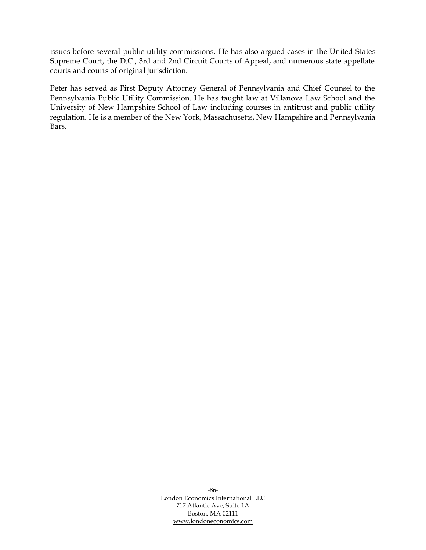issues before several public utility commissions. He has also argued cases in the United States Supreme Court, the D.C., 3rd and 2nd Circuit Courts of Appeal, and numerous state appellate courts and courts of original jurisdiction.

Peter has served as First Deputy Attorney General of Pennsylvania and Chief Counsel to the Pennsylvania Public Utility Commission. He has taught law at Villanova Law School and the University of New Hampshire School of Law including courses in antitrust and public utility regulation. He is a member of the New York, Massachusetts, New Hampshire and Pennsylvania Bars.

> -86- London Economics International LLC 717 Atlantic Ave, Suite 1A Boston, MA 02111 [www.londoneconomics.com](http://www.londoneconomics.com/)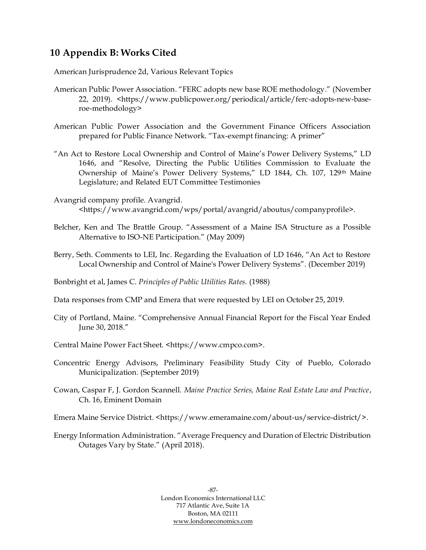## **10 Appendix B: Works Cited**

American Jurisprudence 2d, Various Relevant Topics

- American Public Power Association. "FERC adopts new base ROE methodology." (November 22, 2019). <https://www.publicpower.org/periodical/article/ferc-adopts-new-baseroe-methodology>
- American Public Power Association and the Government Finance Officers Association prepared for Public Finance Network. "Tax-exempt financing: A primer"
- "An Act to Restore Local Ownership and Control of Maine's Power Delivery Systems," LD 1646, and "Resolve, Directing the Public Utilities Commission to Evaluate the Ownership of Maine's Power Delivery Systems," LD 1844, Ch. 107, 129th Maine Legislature; and Related EUT Committee Testimonies
- Avangrid company profile. Avangrid. <https://www.avangrid.com/wps/portal/avangrid/aboutus/companyprofile>.
- Belcher, Ken and The Brattle Group. "Assessment of a Maine ISA Structure as a Possible Alternative to ISO-NE Participation." (May 2009)
- Berry, Seth. Comments to LEI, Inc. Regarding the Evaluation of LD 1646, "An Act to Restore Local Ownership and Control of Maine's Power Delivery Systems". (December 2019)
- Bonbright et al, James C. *Principles of Public Utilities Rates.* (1988)

Data responses from CMP and Emera that were requested by LEI on October 25, 2019.

- City of Portland, Maine. "Comprehensive Annual Financial Report for the Fiscal Year Ended June 30, 2018."
- Central Maine Power Fact Sheet. <https://www.cmpco.com>.
- Concentric Energy Advisors, Preliminary Feasibility Study City of Pueblo, Colorado Municipalization. (September 2019)
- Cowan, Caspar F, J. Gordon Scannell. *Maine Practice Series, Maine Real Estate Law and Practice*, Ch. 16, Eminent Domain
- Emera Maine Service District. <https://www.emeramaine.com/about-us/service-district/>.
- Energy Information Administration. "Average Frequency and Duration of Electric Distribution Outages Vary by State." (April 2018).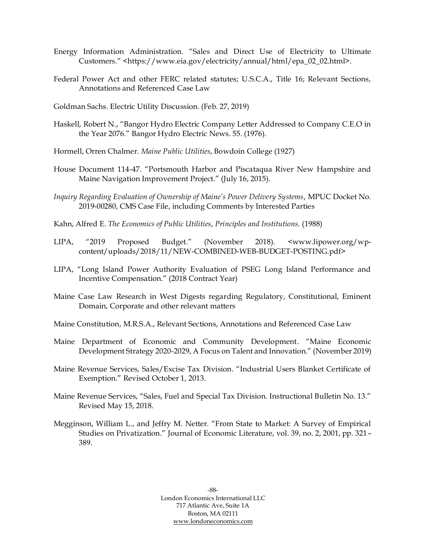- Energy Information Administration. "Sales and Direct Use of Electricity to Ultimate Customers." <https://www.eia.gov/electricity/annual/html/epa\_02\_02.html>.
- Federal Power Act and other FERC related statutes; U.S.C.A., Title 16; Relevant Sections, Annotations and Referenced Case Law
- Goldman Sachs. Electric Utility Discussion. (Feb. 27, 2019)
- Haskell, Robert N., "Bangor Hydro Electric Company Letter Addressed to Company C.E.O in the Year 2076." Bangor Hydro Electric News. 55. (1976).
- Hormell, Orren Chalmer*. Maine Public Utilities*, Bowdoin College (1927)
- House Document 114-47. "Portsmouth Harbor and Piscataqua River New Hampshire and Maine Navigation Improvement Project." (July 16, 2015).
- *Inquiry Regarding Evaluation of Ownership of Maine's Power Delivery Systems*, MPUC Docket No. 2019-00280, CMS Case File, including Comments by Interested Parties
- Kahn, Alfred E. *The Economics of Public Utilities*, *Principles and Institutions.* (1988)
- LIPA, "2019 Proposed Budget." (November 2018). <www.lipower.org/wpcontent/uploads/2018/11/NEW-COMBINED-WEB-BUDGET-POSTING.pdf>
- LIPA, "Long Island Power Authority Evaluation of PSEG Long Island Performance and Incentive Compensation." (2018 Contract Year)
- Maine Case Law Research in West Digests regarding Regulatory, Constitutional, Eminent Domain, Corporate and other relevant matters
- Maine Constitution, M.R.S.A., Relevant Sections, Annotations and Referenced Case Law
- Maine Department of Economic and Community Development. "Maine Economic Development Strategy 2020-2029, A Focus on Talent and Innovation." (November 2019)
- Maine Revenue Services, Sales/Excise Tax Division. "Industrial Users Blanket Certificate of Exemption." Revised October 1, 2013.
- Maine Revenue Services, "Sales, Fuel and Special Tax Division. Instructional Bulletin No. 13." Revised May 15, 2018.
- Megginson, William L., and Jeffry M. Netter. "From State to Market: A Survey of Empirical Studies on Privatization." Journal of Economic Literature, vol. 39, no. 2, 2001, pp. 321– 389.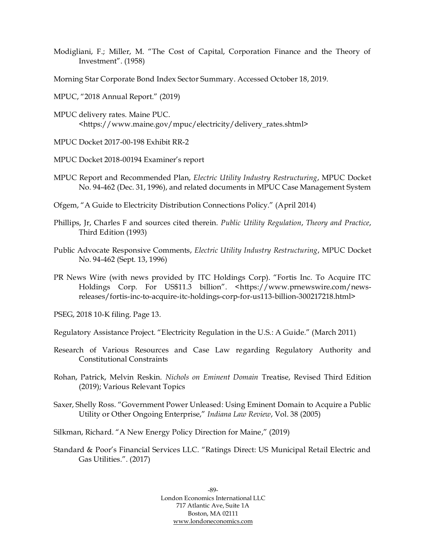- Modigliani, F.; Miller, M. "The Cost of Capital, Corporation Finance and the Theory of Investment". (1958)
- Morning Star Corporate Bond Index Sector Summary. Accessed October 18, 2019.
- MPUC, "2018 Annual Report." (2019)
- MPUC delivery rates. Maine PUC. <https://www.maine.gov/mpuc/electricity/delivery\_rates.shtml>
- MPUC Docket 2017-00-198 Exhibit RR-2
- MPUC Docket 2018-00194 Examiner's report
- MPUC Report and Recommended Plan, *Electric Utility Industry Restructuring*, MPUC Docket No. 94-462 (Dec. 31, 1996), and related documents in MPUC Case Management System
- Ofgem, "A Guide to Electricity Distribution Connections Policy." (April 2014)
- Phillips, Jr, Charles F and sources cited therein. *Public Utility Regulation*, *Theory and Practice*, Third Edition (1993)
- Public Advocate Responsive Comments, *Electric Utility Industry Restructuring*, MPUC Docket No. 94-462 (Sept. 13, 1996)
- PR News Wire (with news provided by ITC Holdings Corp). "Fortis Inc. To Acquire ITC Holdings Corp. For US\$11.3 billion". <https://www.prnewswire.com/newsreleases/fortis-inc-to-acquire-itc-holdings-corp-for-us113-billion-300217218.html>
- PSEG, 2018 10-K filing. Page 13.
- Regulatory Assistance Project. "Electricity Regulation in the U.S.: A Guide." (March 2011)
- Research of Various Resources and Case Law regarding Regulatory Authority and Constitutional Constraints
- Rohan, Patrick, Melvin Reskin. *Nichols on Eminent Domain* Treatise, Revised Third Edition (2019); Various Relevant Topics
- Saxer, Shelly Ross. "Government Power Unleased: Using Eminent Domain to Acquire a Public Utility or Other Ongoing Enterprise," *Indiana Law Review*, Vol. 38 (2005)
- Silkman, Richard. "A New Energy Policy Direction for Maine," (2019)
- Standard & Poor's Financial Services LLC. "Ratings Direct: US Municipal Retail Electric and Gas Utilities.". (2017)

-89- London Economics International LLC 717 Atlantic Ave, Suite 1A Boston, MA 02111 [www.londoneconomics.com](http://www.londoneconomics.com/)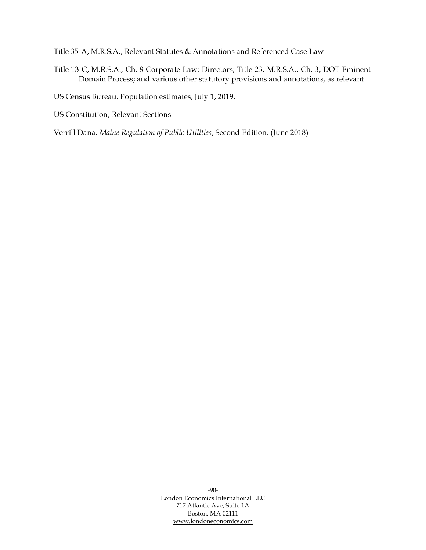Title 35-A, M.R.S.A., Relevant Statutes & Annotations and Referenced Case Law

- Title 13-C, M.R.S.A., Ch. 8 Corporate Law: Directors; Title 23, M.R.S.A., Ch. 3, DOT Eminent Domain Process; and various other statutory provisions and annotations, as relevant
- US Census Bureau. Population estimates, July 1, 2019.
- US Constitution, Relevant Sections

Verrill Dana. *Maine Regulation of Public Utilities*, Second Edition. (June 2018)

-90- London Economics International LLC 717 Atlantic Ave, Suite 1A Boston, MA 02111 [www.londoneconomics.com](http://www.londoneconomics.com/)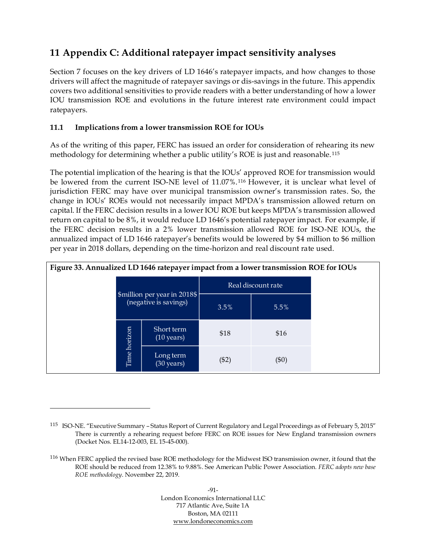# **11 Appendix C: Additional ratepayer impact sensitivity analyses**

Section [7](#page-57-0) focuses on the key drivers of LD 1646's ratepayer impacts, and how changes to those drivers will affect the magnitude of ratepayer savings or dis-savings in the future. This appendix covers two additional sensitivities to provide readers with a better understanding of how a lower IOU transmission ROE and evolutions in the future interest rate environment could impact ratepayers.

## **11.1 Implications from a lower transmission ROE for IOUs**

As of the writing of this paper, FERC has issued an order for consideration of rehearing its new methodology for determining whether a public utility's ROE is just and reasonable. <sup>115</sup>

The potential implication of the hearing is that the IOUs' approved ROE for transmission would be lowered from the current ISO-NE level of 11.07%.<sup>116</sup> However, it is unclear what level of jurisdiction FERC may have over municipal transmission owner's transmission rates. So, the change in IOUs' ROEs would not necessarily impact MPDA's transmission allowed return on capital. If the FERC decision results in a lower IOU ROE but keeps MPDA's transmission allowed return on capital to be 8%, it would reduce LD 1646's potential ratepayer impact. For example, if the FERC decision results in a 2% lower transmission allowed ROE for ISO-NE IOUs, the annualized impact of LD 1646 ratepayer's benefits would be lowered by \$4 million to \$6 million per year in 2018 dollars, depending on the time-horizon and real discount rate used.

| Figure 33. Annualized LD 1646 ratepayer impact from a lower transmission ROE for IOUs |              |                                                       |                    |         |  |  |  |  |  |
|---------------------------------------------------------------------------------------|--------------|-------------------------------------------------------|--------------------|---------|--|--|--|--|--|
|                                                                                       |              |                                                       | Real discount rate |         |  |  |  |  |  |
|                                                                                       |              | \$million per year in 2018\$<br>(negative is savings) | 3.5%               | 5.5%    |  |  |  |  |  |
|                                                                                       |              | Short term<br>$(10 \text{ years})$                    | \$18               | \$16    |  |  |  |  |  |
|                                                                                       | Time horizon | Long term<br>$(30 \text{ years})$                     | ( \$2)             | $(\$0)$ |  |  |  |  |  |

<sup>115</sup> ISO-NE. "Executive Summary – Status Report of Current Regulatory and Legal Proceedings as of February 5, 2015" There is currently a rehearing request before FERC on ROE issues for New England transmission owners (Docket Nos. EL14-12-003, EL 15-45-000).

<sup>116</sup> When FERC applied the revised base ROE methodology for the Midwest ISO transmission owner, it found that the ROE should be reduced from 12.38% to 9.88%. See American Public Power Association*. FERC adopts new base ROE methodology*. November 22, 2019.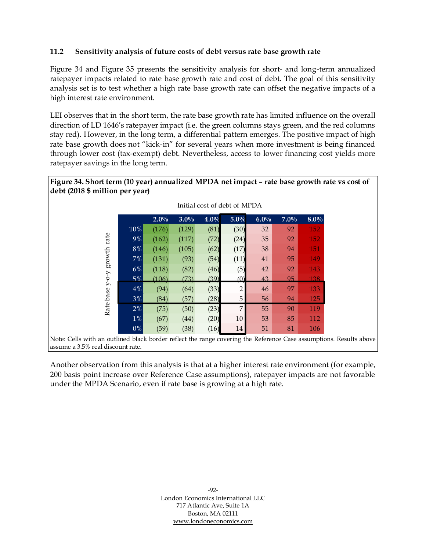## **11.2 Sensitivity analysis of future costs of debt versus rate base growth rate**

[Figure 34](#page-98-0) and [Figure 35](#page-99-0) presents the sensitivity analysis for short- and long-term annualized ratepayer impacts related to rate base growth rate and cost of debt. The goal of this sensitivity analysis set is to test whether a high rate base growth rate can offset the negative impacts of a high interest rate environment.

LEI observes that in the short term, the rate base growth rate has limited influence on the overall direction of LD 1646's ratepayer impact (i.e. the green columns stays green, and the red columns stay red). However, in the long term, a differential pattern emerges. The positive impact of high rate base growth does not "kick-in" for several years when more investment is being financed through lower cost (tax-exempt) debt. Nevertheless, access to lower financing cost yields more ratepayer savings in the long term.

<span id="page-98-0"></span>

|                                                                                                                    |         | Initial cost of debt of MPDA |         |         |         |         |         |            |  |
|--------------------------------------------------------------------------------------------------------------------|---------|------------------------------|---------|---------|---------|---------|---------|------------|--|
|                                                                                                                    |         | $2.0\%$                      | $3.0\%$ | $4.0\%$ | $5.0\%$ | $6.0\%$ | $7.0\%$ | $8.0\%$    |  |
|                                                                                                                    | 10%     | (176)                        | (129)   | (81)    | (30)    | 32      | 92      | <b>152</b> |  |
| rate                                                                                                               | 9%      | (162)                        | (117)   | (72)    | (24)    | 35      | 92      | <b>152</b> |  |
|                                                                                                                    | $8\,\%$ | (146)                        | (105)   | (62)    | (17)    | 38      | 94      | <b>151</b> |  |
| $\operatorname*{growth}% \left( \mathcal{M}\right) \equiv\operatorname*{grad}\mathcal{M}$                          | 7%      | (131)                        | (93)    | (54)    | (11)    | 41      | 95      | 149        |  |
|                                                                                                                    | 6%      | (118)                        | (82)    | (46)    | (5)     | 42      | 92      | 143        |  |
| $Y$ -O-Y                                                                                                           | 5%      | (106)                        | (73)    | (39)    | (0)     | 43      | 95      | 138.       |  |
|                                                                                                                    | 4%      | (94)                         | (64)    | (33)    | 2       | 46      | 97      | 133        |  |
| Rate base                                                                                                          | 3%      | (84)                         | (57)    | (28)    | 5       | 56      | 94      | 125        |  |
|                                                                                                                    | 2%      | (75)                         | (50)    | (23)    | 7       | 55      | 90      | 119        |  |
|                                                                                                                    | $1\%$   | (67)                         | (44)    | (20)    | 10      | 53      | 85      | 112        |  |
|                                                                                                                    | 0%      | (59)                         | (38)    | (16)    | 14      | 51      | 81      | 106        |  |
| Note: Cells with an outlined black border reflect the range covering the Reference Case assumptions. Results above |         |                              |         |         |         |         |         |            |  |
| assume a 3.5% real discount rate.                                                                                  |         |                              |         |         |         |         |         |            |  |

Another observation from this analysis is that at a higher interest rate environment (for example, 200 basis point increase over Reference Case assumptions), ratepayer impacts are not favorable

under the MPDA Scenario, even if rate base is growing at a high rate.